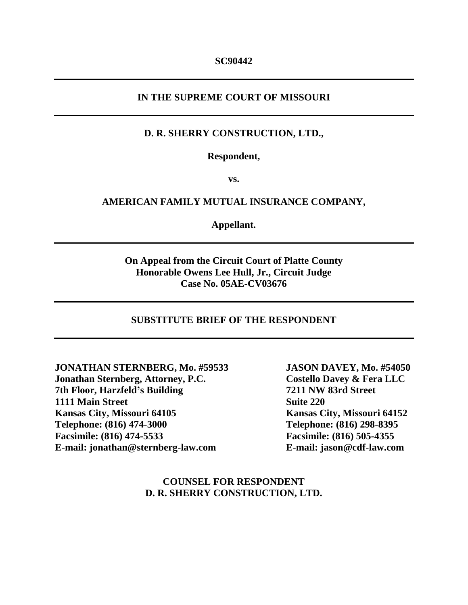# **IN THE SUPREME COURT OF MISSOURI**

## **D. R. SHERRY CONSTRUCTION, LTD.,**

**Respondent,**

**vs.**

### **AMERICAN FAMILY MUTUAL INSURANCE COMPANY,**

**Appellant.**

# **On Appeal from the Circuit Court of Platte County Honorable Owens Lee Hull, Jr., Circuit Judge Case No. 05AE-CV03676**

#### **SUBSTITUTE BRIEF OF THE RESPONDENT**

**JONATHAN STERNBERG, Mo. #59533 Jonathan Sternberg, Attorney, P.C. 7th Floor, Harzfeld's Building 1111 Main Street Kansas City, Missouri 64105 Telephone: (816) 474-3000 Facsimile: (816) 474-5533 E-mail: jonathan@sternberg-law.com**

**JASON DAVEY, Mo. #54050 Costello Davey & Fera LLC 7211 NW 83rd Street Suite 220 Kansas City, Missouri 64152 Telephone: (816) 298-8395 Facsimile: (816) 505-4355 E-mail: jason@cdf-law.com**

## **COUNSEL FOR RESPONDENT D. R. SHERRY CONSTRUCTION, LTD.**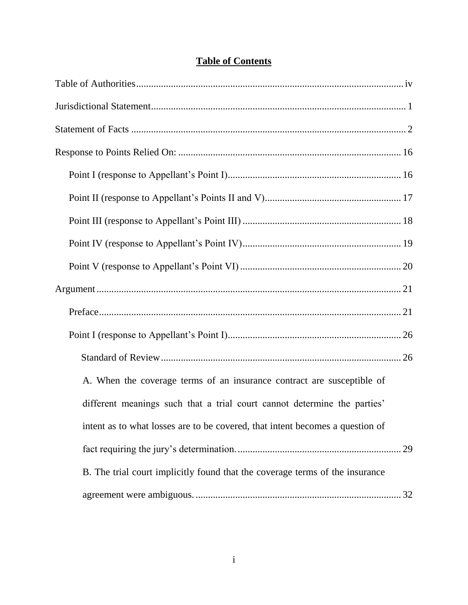| A. When the coverage terms of an insurance contract are susceptible of        |
|-------------------------------------------------------------------------------|
| different meanings such that a trial court cannot determine the parties'      |
| intent as to what losses are to be covered, that intent becomes a question of |
|                                                                               |
| B. The trial court implicitly found that the coverage terms of the insurance  |
|                                                                               |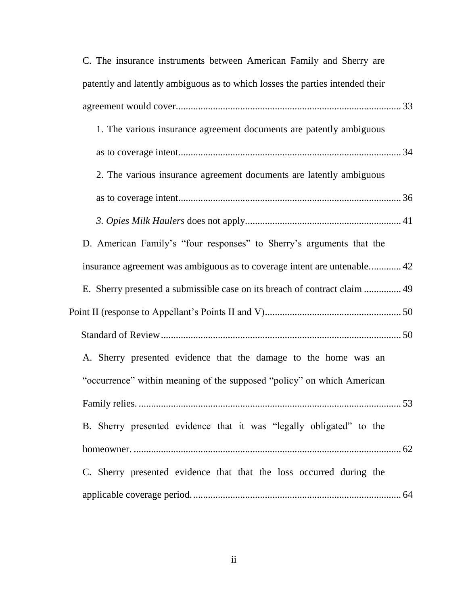| C. The insurance instruments between American Family and Sherry are           |  |
|-------------------------------------------------------------------------------|--|
| patently and latently ambiguous as to which losses the parties intended their |  |
|                                                                               |  |
| 1. The various insurance agreement documents are patently ambiguous           |  |
|                                                                               |  |
| 2. The various insurance agreement documents are latently ambiguous           |  |
|                                                                               |  |
|                                                                               |  |
| D. American Family's "four responses" to Sherry's arguments that the          |  |
| insurance agreement was ambiguous as to coverage intent are untenable 42      |  |
| E. Sherry presented a submissible case on its breach of contract claim  49    |  |
|                                                                               |  |
|                                                                               |  |
| A. Sherry presented evidence that the damage to the home was an               |  |
| "occurrence" within meaning of the supposed "policy" on which American        |  |
|                                                                               |  |
| B. Sherry presented evidence that it was "legally obligated" to the           |  |
|                                                                               |  |
| C. Sherry presented evidence that that the loss occurred during the           |  |
|                                                                               |  |
|                                                                               |  |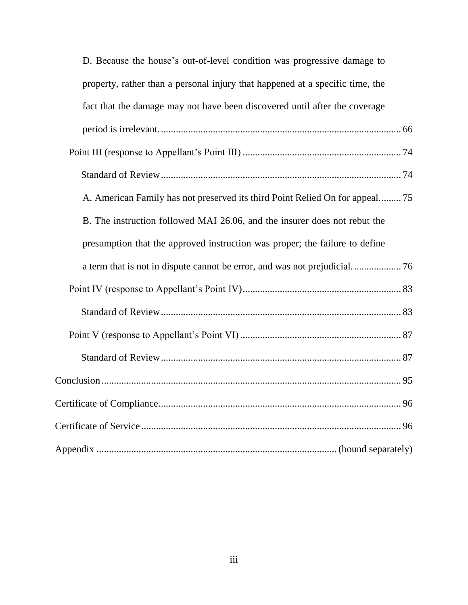| D. Because the house's out-of-level condition was progressive damage to       |
|-------------------------------------------------------------------------------|
| property, rather than a personal injury that happened at a specific time, the |
| fact that the damage may not have been discovered until after the coverage    |
|                                                                               |
|                                                                               |
|                                                                               |
| A. American Family has not preserved its third Point Relied On for appeal 75  |
| B. The instruction followed MAI 26.06, and the insurer does not rebut the     |
| presumption that the approved instruction was proper; the failure to define   |
|                                                                               |
|                                                                               |
|                                                                               |
|                                                                               |
|                                                                               |
|                                                                               |
|                                                                               |
|                                                                               |
|                                                                               |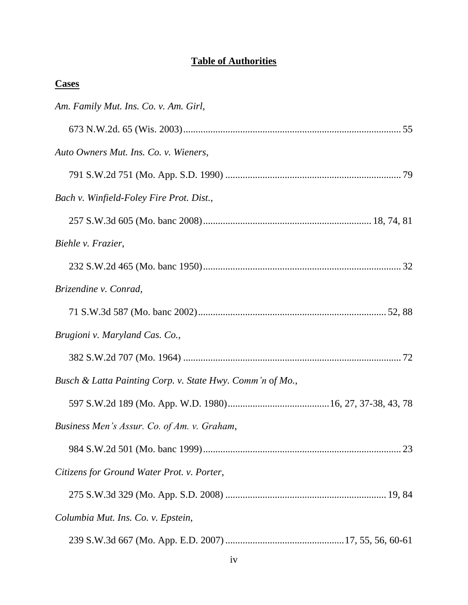# **Table of Authorities**

| <b>Cases</b>                                              |
|-----------------------------------------------------------|
| Am. Family Mut. Ins. Co. v. Am. Girl,                     |
|                                                           |
| Auto Owners Mut. Ins. Co. v. Wieners,                     |
|                                                           |
| Bach v. Winfield-Foley Fire Prot. Dist.,                  |
|                                                           |
| Biehle v. Frazier,                                        |
|                                                           |
| Brizendine v. Conrad,                                     |
|                                                           |
| Brugioni v. Maryland Cas. Co.,                            |
|                                                           |
| Busch & Latta Painting Corp. v. State Hwy. Comm'n of Mo., |
|                                                           |
| Business Men's Assur. Co. of Am. v. Graham,               |
|                                                           |
| Citizens for Ground Water Prot. v. Porter,                |
|                                                           |
| Columbia Mut. Ins. Co. v. Epstein,                        |
|                                                           |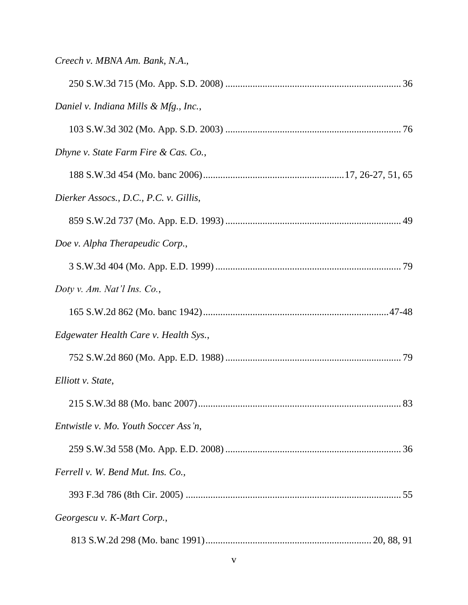| Creech v. MBNA Am. Bank, N.A.,         |
|----------------------------------------|
|                                        |
| Daniel v. Indiana Mills & Mfg., Inc.,  |
|                                        |
| Dhyne v. State Farm Fire & Cas. Co.,   |
|                                        |
| Dierker Assocs., D.C., P.C. v. Gillis, |
|                                        |
| Doe v. Alpha Therapeudic Corp.,        |
|                                        |
| Doty v. Am. Nat'l Ins. Co.,            |
|                                        |
| Edgewater Health Care v. Health Sys.,  |
|                                        |
| Elliott v. State,                      |
|                                        |
| Entwistle v. Mo. Youth Soccer Ass'n,   |
|                                        |
| Ferrell v. W. Bend Mut. Ins. Co.,      |
|                                        |
| Georgescu v. K-Mart Corp.,             |
|                                        |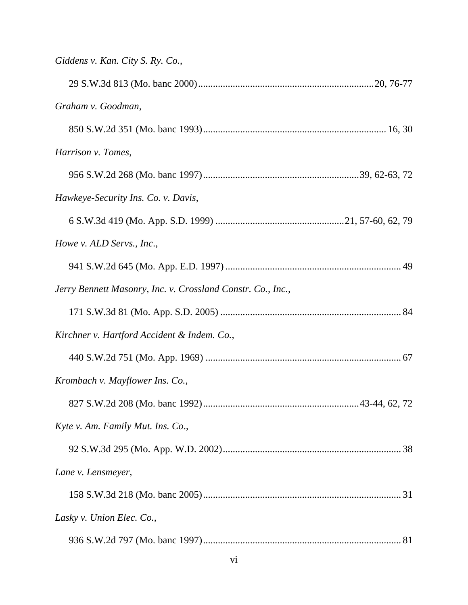| Giddens v. Kan. City S. Ry. Co.,                            |
|-------------------------------------------------------------|
|                                                             |
| Graham v. Goodman,                                          |
|                                                             |
| Harrison v. Tomes,                                          |
|                                                             |
| Hawkeye-Security Ins. Co. v. Davis,                         |
|                                                             |
| Howe v. ALD Servs., Inc.,                                   |
|                                                             |
| Jerry Bennett Masonry, Inc. v. Crossland Constr. Co., Inc., |
|                                                             |
| Kirchner v. Hartford Accident & Indem. Co.,                 |
|                                                             |
| Krombach v. Mayflower Ins. Co.,                             |
|                                                             |
| Kyte v. Am. Family Mut. Ins. Co.,                           |
|                                                             |
| Lane v. Lensmeyer,                                          |
|                                                             |
| Lasky v. Union Elec. Co.,                                   |
|                                                             |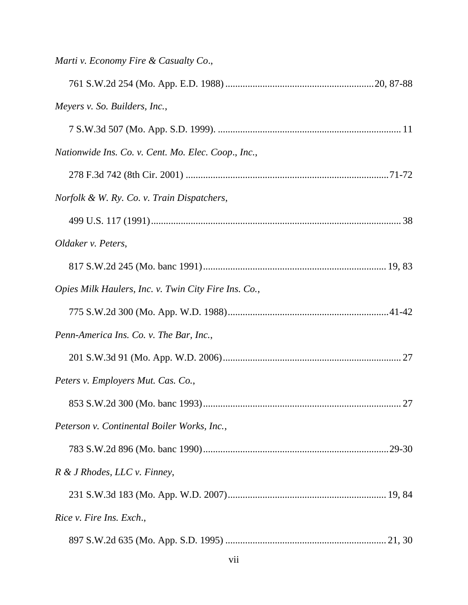| Marti v. Economy Fire & Casualty Co.,                |
|------------------------------------------------------|
|                                                      |
| Meyers v. So. Builders, Inc.,                        |
|                                                      |
| Nationwide Ins. Co. v. Cent. Mo. Elec. Coop., Inc.,  |
|                                                      |
| Norfolk & W. Ry. Co. v. Train Dispatchers,           |
|                                                      |
| Oldaker v. Peters,                                   |
|                                                      |
| Opies Milk Haulers, Inc. v. Twin City Fire Ins. Co., |
|                                                      |
| Penn-America Ins. Co. v. The Bar, Inc.,              |
|                                                      |
| Peters v. Employers Mut. Cas. Co.,                   |
|                                                      |
| Peterson v. Continental Boiler Works, Inc.,          |
|                                                      |
| R & J Rhodes, LLC v. Finney,                         |
|                                                      |
| Rice v. Fire Ins. Exch.,                             |
|                                                      |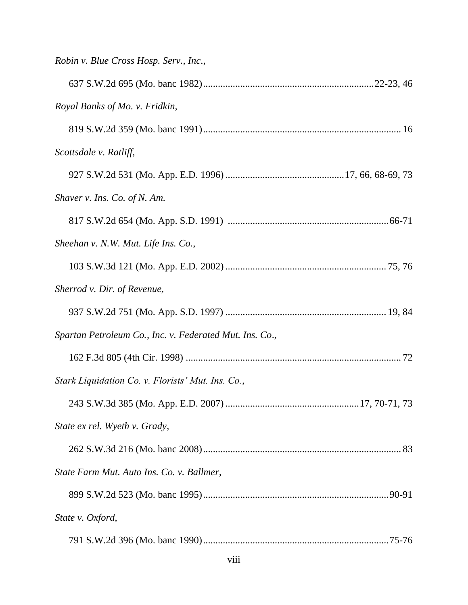| Robin v. Blue Cross Hosp. Serv., Inc.,                  |
|---------------------------------------------------------|
|                                                         |
| Royal Banks of Mo. v. Fridkin,                          |
|                                                         |
| Scottsdale v. Ratliff,                                  |
|                                                         |
| Shaver v. Ins. Co. of N. Am.                            |
|                                                         |
| Sheehan v. N.W. Mut. Life Ins. Co.,                     |
|                                                         |
| Sherrod v. Dir. of Revenue,                             |
|                                                         |
| Spartan Petroleum Co., Inc. v. Federated Mut. Ins. Co., |
|                                                         |
| Stark Liquidation Co. v. Florists' Mut. Ins. Co.,       |
|                                                         |
| State ex rel. Wyeth v. Grady,                           |
|                                                         |
| State Farm Mut. Auto Ins. Co. v. Ballmer,               |
|                                                         |
| State v. Oxford,                                        |
|                                                         |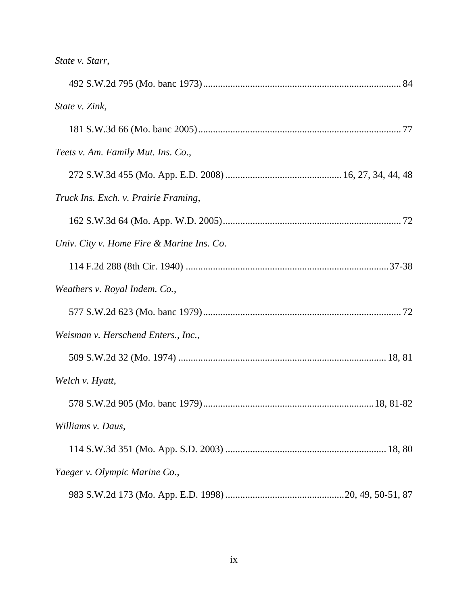| State v. Zink,                            |  |
|-------------------------------------------|--|
|                                           |  |
| Teets v. Am. Family Mut. Ins. Co.,        |  |
|                                           |  |
| Truck Ins. Exch. v. Prairie Framing,      |  |
|                                           |  |
| Univ. City v. Home Fire & Marine Ins. Co. |  |
|                                           |  |
| Weathers v. Royal Indem. Co.,             |  |
|                                           |  |
| Weisman v. Herschend Enters., Inc.,       |  |
|                                           |  |
| Welch v. Hyatt,                           |  |
|                                           |  |
| Williams v. Daus,                         |  |
|                                           |  |
| Yaeger v. Olympic Marine Co.,             |  |
|                                           |  |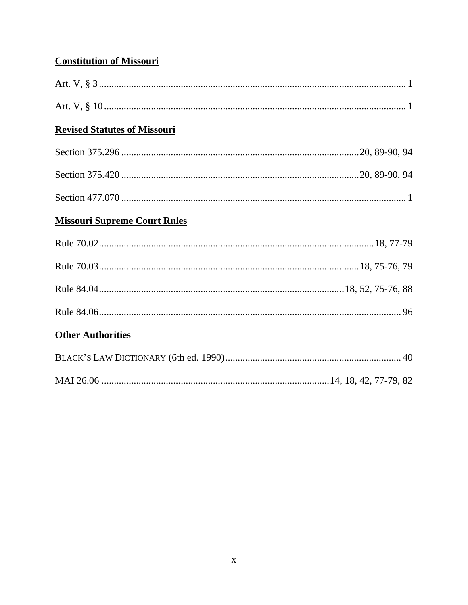# **Constitution of Missouri**

| <b>Revised Statutes of Missouri</b> |  |
|-------------------------------------|--|
|                                     |  |
|                                     |  |
|                                     |  |
| <b>Missouri Supreme Court Rules</b> |  |
|                                     |  |
|                                     |  |
|                                     |  |
|                                     |  |
| <b>Other Authorities</b>            |  |
|                                     |  |
|                                     |  |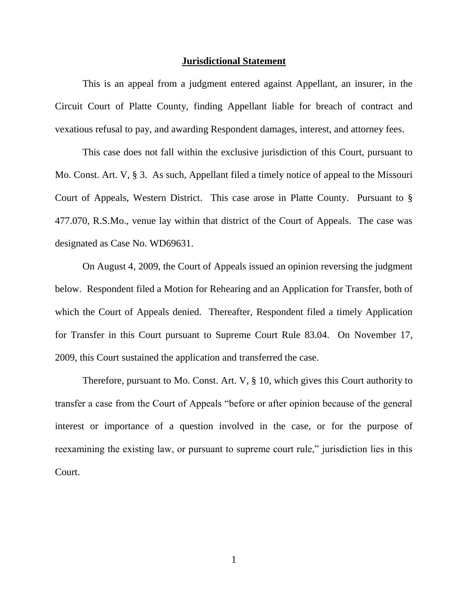#### **Jurisdictional Statement**

This is an appeal from a judgment entered against Appellant, an insurer, in the Circuit Court of Platte County, finding Appellant liable for breach of contract and vexatious refusal to pay, and awarding Respondent damages, interest, and attorney fees.

This case does not fall within the exclusive jurisdiction of this Court, pursuant to Mo. Const. Art. V, § 3. As such, Appellant filed a timely notice of appeal to the Missouri Court of Appeals, Western District. This case arose in Platte County. Pursuant to § 477.070, R.S.Mo., venue lay within that district of the Court of Appeals. The case was designated as Case No. WD69631.

On August 4, 2009, the Court of Appeals issued an opinion reversing the judgment below. Respondent filed a Motion for Rehearing and an Application for Transfer, both of which the Court of Appeals denied. Thereafter, Respondent filed a timely Application for Transfer in this Court pursuant to Supreme Court Rule 83.04. On November 17, 2009, this Court sustained the application and transferred the case.

Therefore, pursuant to Mo. Const. Art. V, § 10, which gives this Court authority to transfer a case from the Court of Appeals "before or after opinion because of the general interest or importance of a question involved in the case, or for the purpose of reexamining the existing law, or pursuant to supreme court rule," jurisdiction lies in this Court.

1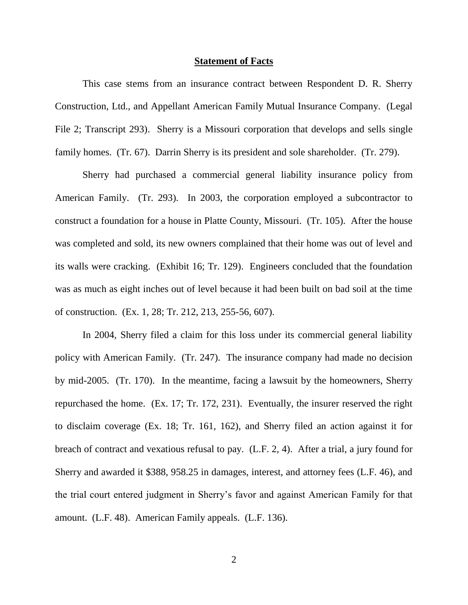#### **Statement of Facts**

This case stems from an insurance contract between Respondent D. R. Sherry Construction, Ltd., and Appellant American Family Mutual Insurance Company. (Legal File 2; Transcript 293). Sherry is a Missouri corporation that develops and sells single family homes. (Tr. 67). Darrin Sherry is its president and sole shareholder. (Tr. 279).

Sherry had purchased a commercial general liability insurance policy from American Family. (Tr. 293). In 2003, the corporation employed a subcontractor to construct a foundation for a house in Platte County, Missouri. (Tr. 105). After the house was completed and sold, its new owners complained that their home was out of level and its walls were cracking. (Exhibit 16; Tr. 129). Engineers concluded that the foundation was as much as eight inches out of level because it had been built on bad soil at the time of construction. (Ex. 1, 28; Tr. 212, 213, 255-56, 607).

In 2004, Sherry filed a claim for this loss under its commercial general liability policy with American Family. (Tr. 247). The insurance company had made no decision by mid-2005. (Tr. 170). In the meantime, facing a lawsuit by the homeowners, Sherry repurchased the home. (Ex. 17; Tr. 172, 231). Eventually, the insurer reserved the right to disclaim coverage (Ex. 18; Tr. 161, 162), and Sherry filed an action against it for breach of contract and vexatious refusal to pay. (L.F. 2, 4). After a trial, a jury found for Sherry and awarded it \$388, 958.25 in damages, interest, and attorney fees (L.F. 46), and the trial court entered judgment in Sherry"s favor and against American Family for that amount. (L.F. 48). American Family appeals. (L.F. 136).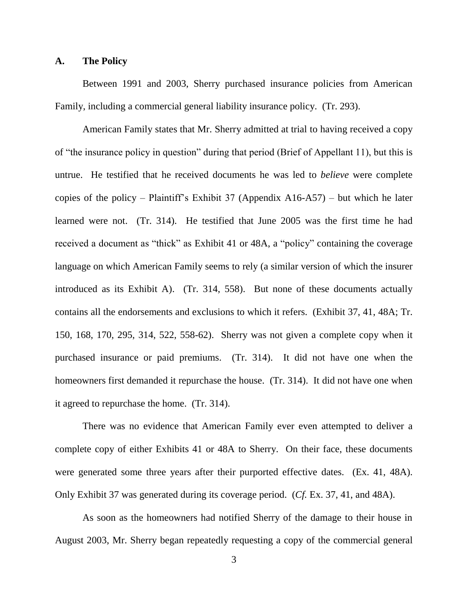### **A. The Policy**

Between 1991 and 2003, Sherry purchased insurance policies from American Family, including a commercial general liability insurance policy. (Tr. 293).

American Family states that Mr. Sherry admitted at trial to having received a copy of "the insurance policy in question" during that period (Brief of Appellant 11), but this is untrue. He testified that he received documents he was led to *believe* were complete copies of the policy – Plaintiff's Exhibit 37 (Appendix A16-A57) – but which he later learned were not. (Tr. 314). He testified that June 2005 was the first time he had received a document as "thick" as Exhibit 41 or 48A, a "policy" containing the coverage language on which American Family seems to rely (a similar version of which the insurer introduced as its Exhibit A). (Tr. 314, 558). But none of these documents actually contains all the endorsements and exclusions to which it refers. (Exhibit 37, 41, 48A; Tr. 150, 168, 170, 295, 314, 522, 558-62). Sherry was not given a complete copy when it purchased insurance or paid premiums. (Tr. 314). It did not have one when the homeowners first demanded it repurchase the house. (Tr. 314). It did not have one when it agreed to repurchase the home. (Tr. 314).

There was no evidence that American Family ever even attempted to deliver a complete copy of either Exhibits 41 or 48A to Sherry. On their face, these documents were generated some three years after their purported effective dates. (Ex. 41, 48A). Only Exhibit 37 was generated during its coverage period. (*Cf.* Ex. 37, 41, and 48A).

As soon as the homeowners had notified Sherry of the damage to their house in August 2003, Mr. Sherry began repeatedly requesting a copy of the commercial general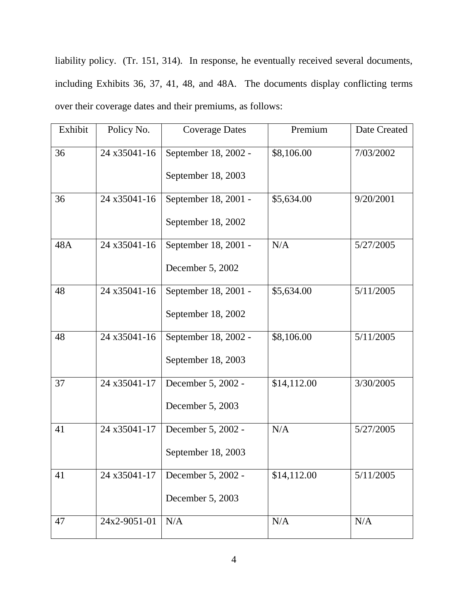liability policy. (Tr. 151, 314). In response, he eventually received several documents, including Exhibits 36, 37, 41, 48, and 48A. The documents display conflicting terms over their coverage dates and their premiums, as follows:

| Exhibit | Policy No.   | <b>Coverage Dates</b> | Premium     | Date Created |
|---------|--------------|-----------------------|-------------|--------------|
| 36      | 24 x35041-16 | September 18, 2002 -  | \$8,106.00  | 7/03/2002    |
|         |              | September 18, 2003    |             |              |
| 36      | 24 x35041-16 | September 18, 2001 -  | \$5,634.00  | 9/20/2001    |
|         |              | September 18, 2002    |             |              |
| 48A     | 24 x35041-16 | September 18, 2001 -  | N/A         | 5/27/2005    |
|         |              | December 5, 2002      |             |              |
| 48      | 24 x35041-16 | September 18, 2001 -  | \$5,634.00  | 5/11/2005    |
|         |              | September 18, 2002    |             |              |
| 48      | 24 x35041-16 | September 18, 2002 -  | \$8,106.00  | 5/11/2005    |
|         |              | September 18, 2003    |             |              |
| 37      | 24 x35041-17 | December 5, 2002 -    | \$14,112.00 | 3/30/2005    |
|         |              | December 5, 2003      |             |              |
| 41      | 24 x35041-17 | December 5, 2002 -    | N/A         | 5/27/2005    |
|         |              | September 18, 2003    |             |              |
| 41      | 24 x35041-17 | December 5, 2002 -    | \$14,112.00 | 5/11/2005    |
|         |              | December 5, 2003      |             |              |
| 47      | 24x2-9051-01 | N/A                   | N/A         | N/A          |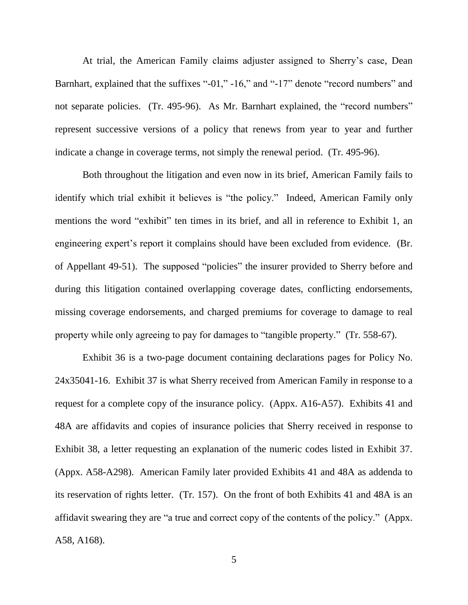At trial, the American Family claims adjuster assigned to Sherry"s case, Dean Barnhart, explained that the suffixes "-01," -16," and "-17" denote "record numbers" and not separate policies. (Tr. 495-96). As Mr. Barnhart explained, the "record numbers" represent successive versions of a policy that renews from year to year and further indicate a change in coverage terms, not simply the renewal period. (Tr. 495-96).

Both throughout the litigation and even now in its brief, American Family fails to identify which trial exhibit it believes is "the policy." Indeed, American Family only mentions the word "exhibit" ten times in its brief, and all in reference to Exhibit 1, an engineering expert's report it complains should have been excluded from evidence. (Br. of Appellant 49-51). The supposed "policies" the insurer provided to Sherry before and during this litigation contained overlapping coverage dates, conflicting endorsements, missing coverage endorsements, and charged premiums for coverage to damage to real property while only agreeing to pay for damages to "tangible property." (Tr. 558-67).

Exhibit 36 is a two-page document containing declarations pages for Policy No. 24x35041-16. Exhibit 37 is what Sherry received from American Family in response to a request for a complete copy of the insurance policy. (Appx. A16-A57). Exhibits 41 and 48A are affidavits and copies of insurance policies that Sherry received in response to Exhibit 38, a letter requesting an explanation of the numeric codes listed in Exhibit 37. (Appx. A58-A298). American Family later provided Exhibits 41 and 48A as addenda to its reservation of rights letter. (Tr. 157). On the front of both Exhibits 41 and 48A is an affidavit swearing they are "a true and correct copy of the contents of the policy." (Appx. A58, A168).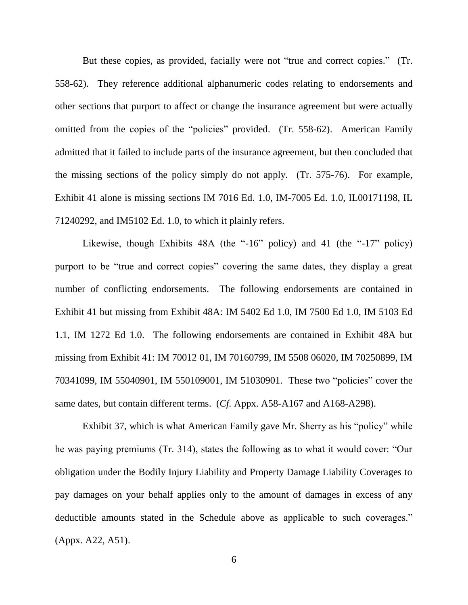But these copies, as provided, facially were not "true and correct copies." (Tr. 558-62). They reference additional alphanumeric codes relating to endorsements and other sections that purport to affect or change the insurance agreement but were actually omitted from the copies of the "policies" provided. (Tr. 558-62). American Family admitted that it failed to include parts of the insurance agreement, but then concluded that the missing sections of the policy simply do not apply. (Tr. 575-76). For example, Exhibit 41 alone is missing sections IM 7016 Ed. 1.0, IM-7005 Ed. 1.0, IL00171198, IL 71240292, and IM5102 Ed. 1.0, to which it plainly refers.

Likewise, though Exhibits 48A (the "-16" policy) and 41 (the "-17" policy) purport to be "true and correct copies" covering the same dates, they display a great number of conflicting endorsements. The following endorsements are contained in Exhibit 41 but missing from Exhibit 48A: IM 5402 Ed 1.0, IM 7500 Ed 1.0, IM 5103 Ed 1.1, IM 1272 Ed 1.0. The following endorsements are contained in Exhibit 48A but missing from Exhibit 41: IM 70012 01, IM 70160799, IM 5508 06020, IM 70250899, IM 70341099, IM 55040901, IM 550109001, IM 51030901. These two "policies" cover the same dates, but contain different terms. (*Cf.* Appx. A58-A167 and A168-A298).

Exhibit 37, which is what American Family gave Mr. Sherry as his "policy" while he was paying premiums (Tr. 314), states the following as to what it would cover: "Our obligation under the Bodily Injury Liability and Property Damage Liability Coverages to pay damages on your behalf applies only to the amount of damages in excess of any deductible amounts stated in the Schedule above as applicable to such coverages." (Appx. A22, A51).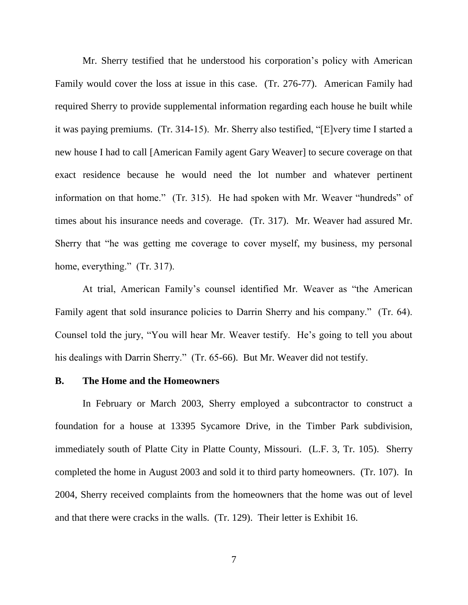Mr. Sherry testified that he understood his corporation"s policy with American Family would cover the loss at issue in this case. (Tr. 276-77). American Family had required Sherry to provide supplemental information regarding each house he built while it was paying premiums. (Tr. 314-15). Mr. Sherry also testified, "[E]very time I started a new house I had to call [American Family agent Gary Weaver] to secure coverage on that exact residence because he would need the lot number and whatever pertinent information on that home." (Tr. 315). He had spoken with Mr. Weaver "hundreds" of times about his insurance needs and coverage. (Tr. 317). Mr. Weaver had assured Mr. Sherry that "he was getting me coverage to cover myself, my business, my personal home, everything." (Tr. 317).

At trial, American Family"s counsel identified Mr. Weaver as "the American Family agent that sold insurance policies to Darrin Sherry and his company." (Tr. 64). Counsel told the jury, "You will hear Mr. Weaver testify. He's going to tell you about his dealings with Darrin Sherry." (Tr. 65-66). But Mr. Weaver did not testify.

## **B. The Home and the Homeowners**

In February or March 2003, Sherry employed a subcontractor to construct a foundation for a house at 13395 Sycamore Drive, in the Timber Park subdivision, immediately south of Platte City in Platte County, Missouri. (L.F. 3, Tr. 105). Sherry completed the home in August 2003 and sold it to third party homeowners. (Tr. 107). In 2004, Sherry received complaints from the homeowners that the home was out of level and that there were cracks in the walls. (Tr. 129). Their letter is Exhibit 16.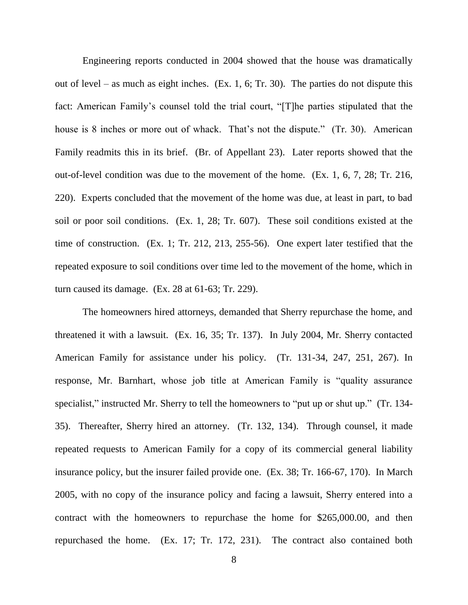Engineering reports conducted in 2004 showed that the house was dramatically out of level – as much as eight inches. (Ex. 1, 6; Tr. 30). The parties do not dispute this fact: American Family"s counsel told the trial court, "[T]he parties stipulated that the house is 8 inches or more out of whack. That's not the dispute." (Tr. 30). American Family readmits this in its brief. (Br. of Appellant 23). Later reports showed that the out-of-level condition was due to the movement of the home. (Ex. 1, 6, 7, 28; Tr. 216, 220). Experts concluded that the movement of the home was due, at least in part, to bad soil or poor soil conditions. (Ex. 1, 28; Tr. 607). These soil conditions existed at the time of construction. (Ex. 1; Tr. 212, 213, 255-56). One expert later testified that the repeated exposure to soil conditions over time led to the movement of the home, which in turn caused its damage. (Ex. 28 at 61-63; Tr. 229).

The homeowners hired attorneys, demanded that Sherry repurchase the home, and threatened it with a lawsuit. (Ex. 16, 35; Tr. 137). In July 2004, Mr. Sherry contacted American Family for assistance under his policy. (Tr. 131-34, 247, 251, 267). In response, Mr. Barnhart, whose job title at American Family is "quality assurance specialist," instructed Mr. Sherry to tell the homeowners to "put up or shut up." (Tr. 134-35). Thereafter, Sherry hired an attorney. (Tr. 132, 134). Through counsel, it made repeated requests to American Family for a copy of its commercial general liability insurance policy, but the insurer failed provide one. (Ex. 38; Tr. 166-67, 170). In March 2005, with no copy of the insurance policy and facing a lawsuit, Sherry entered into a contract with the homeowners to repurchase the home for \$265,000.00, and then repurchased the home. (Ex. 17; Tr. 172, 231). The contract also contained both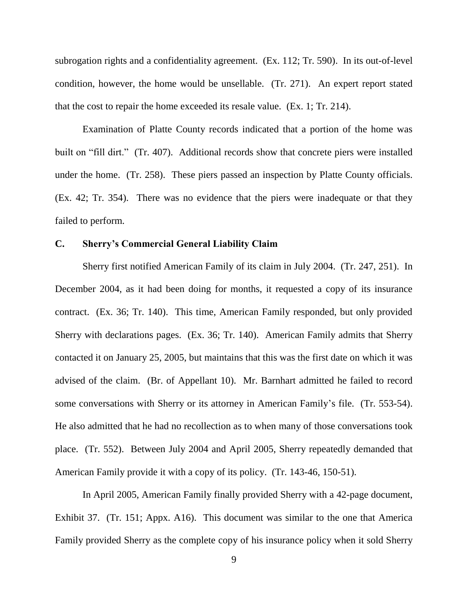subrogation rights and a confidentiality agreement. (Ex. 112; Tr. 590). In its out-of-level condition, however, the home would be unsellable. (Tr. 271). An expert report stated that the cost to repair the home exceeded its resale value. (Ex. 1; Tr. 214).

Examination of Platte County records indicated that a portion of the home was built on "fill dirt." (Tr. 407). Additional records show that concrete piers were installed under the home. (Tr. 258). These piers passed an inspection by Platte County officials. (Ex. 42; Tr. 354). There was no evidence that the piers were inadequate or that they failed to perform.

### **C. Sherry's Commercial General Liability Claim**

Sherry first notified American Family of its claim in July 2004. (Tr. 247, 251). In December 2004, as it had been doing for months, it requested a copy of its insurance contract. (Ex. 36; Tr. 140). This time, American Family responded, but only provided Sherry with declarations pages. (Ex. 36; Tr. 140). American Family admits that Sherry contacted it on January 25, 2005, but maintains that this was the first date on which it was advised of the claim. (Br. of Appellant 10). Mr. Barnhart admitted he failed to record some conversations with Sherry or its attorney in American Family's file. (Tr. 553-54). He also admitted that he had no recollection as to when many of those conversations took place. (Tr. 552). Between July 2004 and April 2005, Sherry repeatedly demanded that American Family provide it with a copy of its policy. (Tr. 143-46, 150-51).

In April 2005, American Family finally provided Sherry with a 42-page document, Exhibit 37. (Tr. 151; Appx. A16). This document was similar to the one that America Family provided Sherry as the complete copy of his insurance policy when it sold Sherry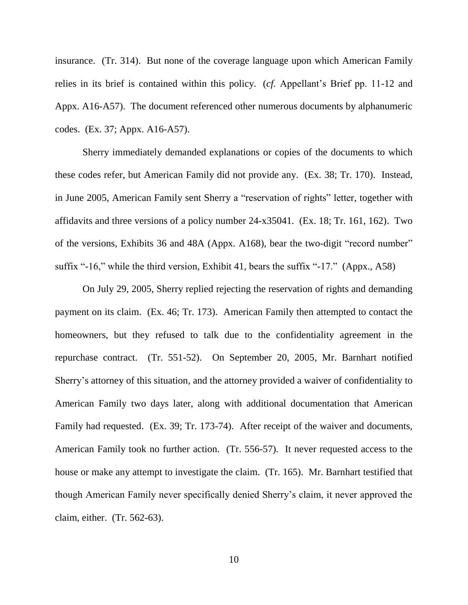insurance. (Tr. 314). But none of the coverage language upon which American Family relies in its brief is contained within this policy. (*cf.* Appellant"s Brief pp. 11-12 and Appx. A16-A57). The document referenced other numerous documents by alphanumeric codes. (Ex. 37; Appx. A16-A57).

Sherry immediately demanded explanations or copies of the documents to which these codes refer, but American Family did not provide any. (Ex. 38; Tr. 170). Instead, in June 2005, American Family sent Sherry a "reservation of rights" letter, together with affidavits and three versions of a policy number 24-x35041. (Ex. 18; Tr. 161, 162). Two of the versions, Exhibits 36 and 48A (Appx. A168), bear the two-digit "record number" suffix "-16," while the third version, Exhibit 41, bears the suffix "-17." (Appx., A58)

On July 29, 2005, Sherry replied rejecting the reservation of rights and demanding payment on its claim. (Ex. 46; Tr. 173). American Family then attempted to contact the homeowners, but they refused to talk due to the confidentiality agreement in the repurchase contract. (Tr. 551-52). On September 20, 2005, Mr. Barnhart notified Sherry"s attorney of this situation, and the attorney provided a waiver of confidentiality to American Family two days later, along with additional documentation that American Family had requested. (Ex. 39; Tr. 173-74). After receipt of the waiver and documents, American Family took no further action. (Tr. 556-57). It never requested access to the house or make any attempt to investigate the claim. (Tr. 165). Mr. Barnhart testified that though American Family never specifically denied Sherry"s claim, it never approved the claim, either. (Tr. 562-63).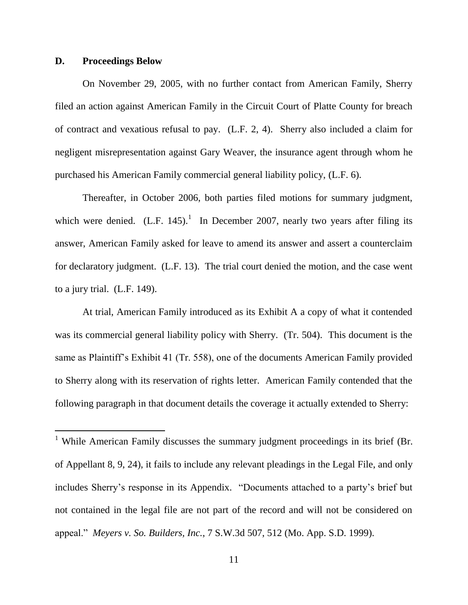#### **D. Proceedings Below**

 $\overline{a}$ 

On November 29, 2005, with no further contact from American Family, Sherry filed an action against American Family in the Circuit Court of Platte County for breach of contract and vexatious refusal to pay. (L.F. 2, 4). Sherry also included a claim for negligent misrepresentation against Gary Weaver, the insurance agent through whom he purchased his American Family commercial general liability policy, (L.F. 6).

Thereafter, in October 2006, both parties filed motions for summary judgment, which were denied.  $(L.F. 145)^1$  In December 2007, nearly two years after filing its answer, American Family asked for leave to amend its answer and assert a counterclaim for declaratory judgment. (L.F. 13). The trial court denied the motion, and the case went to a jury trial. (L.F. 149).

At trial, American Family introduced as its Exhibit A a copy of what it contended was its commercial general liability policy with Sherry. (Tr. 504). This document is the same as Plaintiff"s Exhibit 41 (Tr. 558), one of the documents American Family provided to Sherry along with its reservation of rights letter. American Family contended that the following paragraph in that document details the coverage it actually extended to Sherry:

<sup>&</sup>lt;sup>1</sup> While American Family discusses the summary judgment proceedings in its brief (Br. of Appellant 8, 9, 24), it fails to include any relevant pleadings in the Legal File, and only includes Sherry"s response in its Appendix. "Documents attached to a party"s brief but not contained in the legal file are not part of the record and will not be considered on appeal." *Meyers v. So. Builders, Inc.*, 7 S.W.3d 507, 512 (Mo. App. S.D. 1999).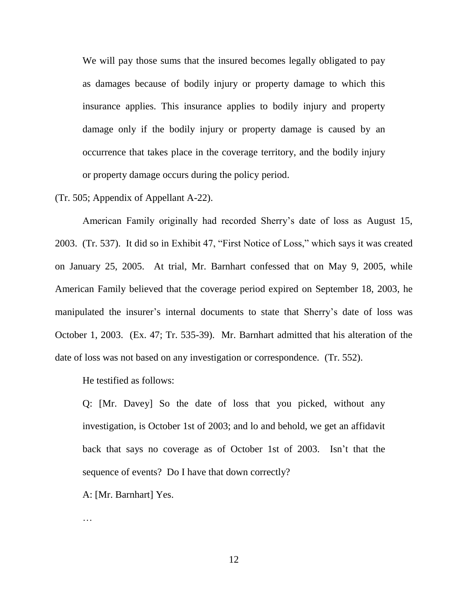We will pay those sums that the insured becomes legally obligated to pay as damages because of bodily injury or property damage to which this insurance applies. This insurance applies to bodily injury and property damage only if the bodily injury or property damage is caused by an occurrence that takes place in the coverage territory, and the bodily injury or property damage occurs during the policy period.

(Tr. 505; Appendix of Appellant A-22).

American Family originally had recorded Sherry"s date of loss as August 15, 2003. (Tr. 537). It did so in Exhibit 47, "First Notice of Loss," which says it was created on January 25, 2005. At trial, Mr. Barnhart confessed that on May 9, 2005, while American Family believed that the coverage period expired on September 18, 2003, he manipulated the insurer's internal documents to state that Sherry's date of loss was October 1, 2003. (Ex. 47; Tr. 535-39). Mr. Barnhart admitted that his alteration of the date of loss was not based on any investigation or correspondence. (Tr. 552).

He testified as follows:

Q: [Mr. Davey] So the date of loss that you picked, without any investigation, is October 1st of 2003; and lo and behold, we get an affidavit back that says no coverage as of October 1st of 2003. Isn"t that the sequence of events? Do I have that down correctly?

A: [Mr. Barnhart] Yes.

…

12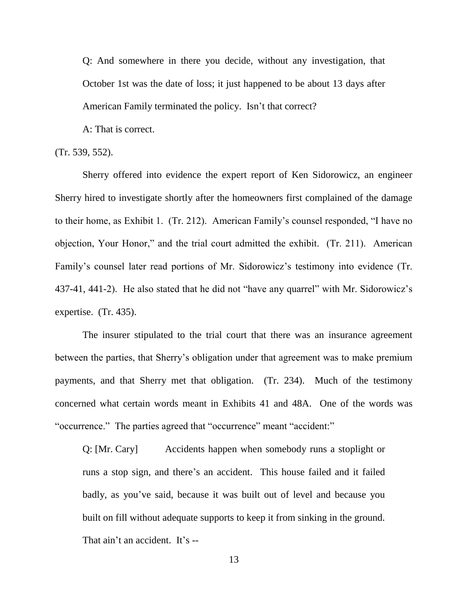Q: And somewhere in there you decide, without any investigation, that October 1st was the date of loss; it just happened to be about 13 days after American Family terminated the policy. Isn't that correct?

A: That is correct.

(Tr. 539, 552).

Sherry offered into evidence the expert report of Ken Sidorowicz, an engineer Sherry hired to investigate shortly after the homeowners first complained of the damage to their home, as Exhibit 1. (Tr. 212). American Family"s counsel responded, "I have no objection, Your Honor," and the trial court admitted the exhibit. (Tr. 211). American Family's counsel later read portions of Mr. Sidorowicz's testimony into evidence (Tr. 437-41, 441-2). He also stated that he did not "have any quarrel" with Mr. Sidorowicz"s expertise. (Tr. 435).

The insurer stipulated to the trial court that there was an insurance agreement between the parties, that Sherry"s obligation under that agreement was to make premium payments, and that Sherry met that obligation. (Tr. 234). Much of the testimony concerned what certain words meant in Exhibits 41 and 48A. One of the words was "occurrence." The parties agreed that "occurrence" meant "accident:"

Q: [Mr. Cary] Accidents happen when somebody runs a stoplight or runs a stop sign, and there"s an accident. This house failed and it failed badly, as you"ve said, because it was built out of level and because you built on fill without adequate supports to keep it from sinking in the ground. That ain't an accident. It's --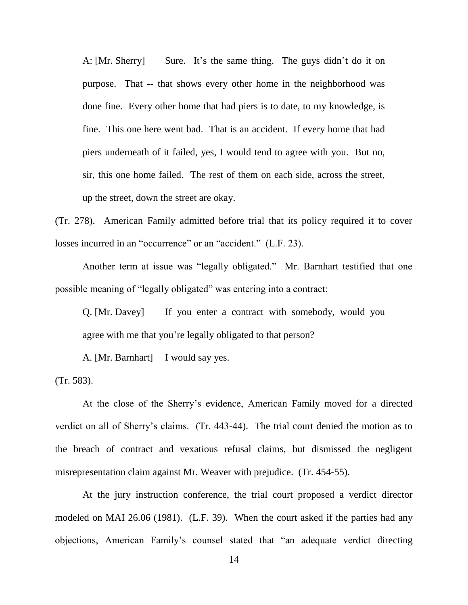A: [Mr. Sherry] Sure. It's the same thing. The guys didn't do it on purpose. That -- that shows every other home in the neighborhood was done fine. Every other home that had piers is to date, to my knowledge, is fine. This one here went bad. That is an accident. If every home that had piers underneath of it failed, yes, I would tend to agree with you. But no, sir, this one home failed. The rest of them on each side, across the street, up the street, down the street are okay.

(Tr. 278). American Family admitted before trial that its policy required it to cover losses incurred in an "occurrence" or an "accident." (L.F. 23).

Another term at issue was "legally obligated." Mr. Barnhart testified that one possible meaning of "legally obligated" was entering into a contract:

Q. [Mr. Davey] If you enter a contract with somebody, would you agree with me that you're legally obligated to that person?

A. [Mr. Barnhart] I would say yes.

(Tr. 583).

At the close of the Sherry"s evidence, American Family moved for a directed verdict on all of Sherry"s claims. (Tr. 443-44). The trial court denied the motion as to the breach of contract and vexatious refusal claims, but dismissed the negligent misrepresentation claim against Mr. Weaver with prejudice. (Tr. 454-55).

At the jury instruction conference, the trial court proposed a verdict director modeled on MAI 26.06 (1981). (L.F. 39). When the court asked if the parties had any objections, American Family"s counsel stated that "an adequate verdict directing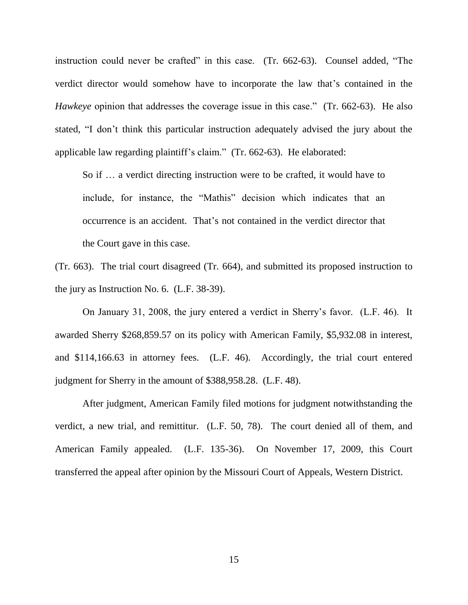instruction could never be crafted" in this case. (Tr. 662-63). Counsel added, "The verdict director would somehow have to incorporate the law that"s contained in the *Hawkeye* opinion that addresses the coverage issue in this case." (Tr. 662-63). He also stated, "I don"t think this particular instruction adequately advised the jury about the applicable law regarding plaintiff"s claim." (Tr. 662-63). He elaborated:

So if … a verdict directing instruction were to be crafted, it would have to include, for instance, the "Mathis" decision which indicates that an occurrence is an accident. That"s not contained in the verdict director that the Court gave in this case.

(Tr. 663). The trial court disagreed (Tr. 664), and submitted its proposed instruction to the jury as Instruction No. 6. (L.F. 38-39).

On January 31, 2008, the jury entered a verdict in Sherry"s favor. (L.F. 46). It awarded Sherry \$268,859.57 on its policy with American Family, \$5,932.08 in interest, and \$114,166.63 in attorney fees. (L.F. 46). Accordingly, the trial court entered judgment for Sherry in the amount of \$388,958.28. (L.F. 48).

After judgment, American Family filed motions for judgment notwithstanding the verdict, a new trial, and remittitur. (L.F. 50, 78). The court denied all of them, and American Family appealed. (L.F. 135-36). On November 17, 2009, this Court transferred the appeal after opinion by the Missouri Court of Appeals, Western District.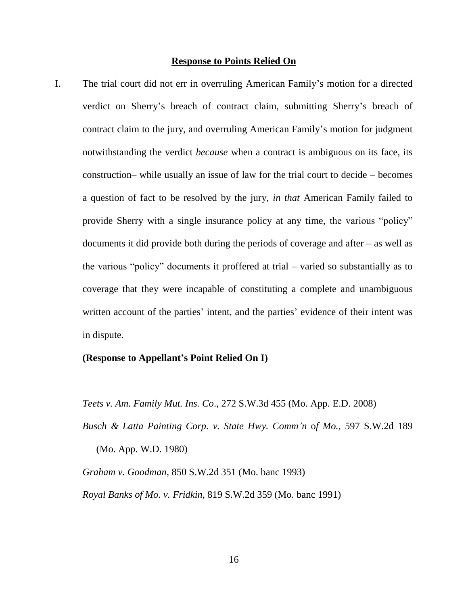#### **Response to Points Relied On**

I. The trial court did not err in overruling American Family"s motion for a directed verdict on Sherry"s breach of contract claim, submitting Sherry"s breach of contract claim to the jury, and overruling American Family"s motion for judgment notwithstanding the verdict *because* when a contract is ambiguous on its face, its construction– while usually an issue of law for the trial court to decide – becomes a question of fact to be resolved by the jury, *in that* American Family failed to provide Sherry with a single insurance policy at any time, the various "policy" documents it did provide both during the periods of coverage and after – as well as the various "policy" documents it proffered at trial – varied so substantially as to coverage that they were incapable of constituting a complete and unambiguous written account of the parties' intent, and the parties' evidence of their intent was in dispute.

## **(Response to Appellant's Point Relied On I)**

*Teets v. Am. Family Mut. Ins. Co*., 272 S.W.3d 455 (Mo. App. E.D. 2008)

*Busch & Latta Painting Corp. v. State Hwy. Comm'n* o*f Mo.*, 597 S.W.2d 189 (Mo. App. W.D. 1980)

*Graham v. Goodman*, 850 S.W.2d 351 (Mo. banc 1993) *Royal Banks of Mo. v. Fridkin*, 819 S.W.2d 359 (Mo. banc 1991)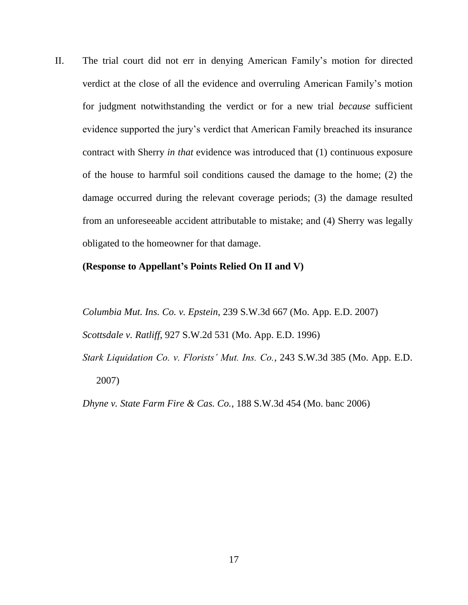II. The trial court did not err in denying American Family"s motion for directed verdict at the close of all the evidence and overruling American Family"s motion for judgment notwithstanding the verdict or for a new trial *because* sufficient evidence supported the jury"s verdict that American Family breached its insurance contract with Sherry *in that* evidence was introduced that (1) continuous exposure of the house to harmful soil conditions caused the damage to the home; (2) the damage occurred during the relevant coverage periods; (3) the damage resulted from an unforeseeable accident attributable to mistake; and (4) Sherry was legally obligated to the homeowner for that damage.

### **(Response to Appellant's Points Relied On II and V)**

*Columbia Mut. Ins. Co. v. Epstein*, 239 S.W.3d 667 (Mo. App. E.D. 2007) *Scottsdale v. Ratliff*, 927 S.W.2d 531 (Mo. App. E.D. 1996)

*Stark Liquidation Co. v. Florists' Mut. Ins. Co.*, 243 S.W.3d 385 (Mo. App. E.D. 2007)

*Dhyne v. State Farm Fire & Cas. Co.*, 188 S.W.3d 454 (Mo. banc 2006)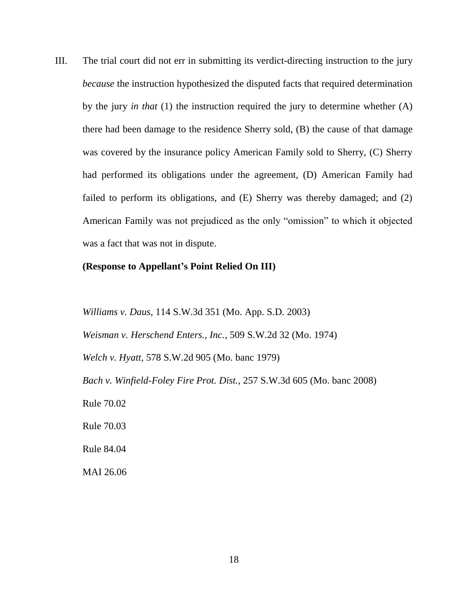III. The trial court did not err in submitting its verdict-directing instruction to the jury *because* the instruction hypothesized the disputed facts that required determination by the jury *in that* (1) the instruction required the jury to determine whether (A) there had been damage to the residence Sherry sold, (B) the cause of that damage was covered by the insurance policy American Family sold to Sherry, (C) Sherry had performed its obligations under the agreement, (D) American Family had failed to perform its obligations, and (E) Sherry was thereby damaged; and (2) American Family was not prejudiced as the only "omission" to which it objected was a fact that was not in dispute.

## **(Response to Appellant's Point Relied On III)**

*Williams v. Daus*, 114 S.W.3d 351 (Mo. App. S.D. 2003)

*Weisman v. Herschend Enters., Inc.*, 509 S.W.2d 32 (Mo. 1974)

*Welch v. Hyatt*, 578 S.W.2d 905 (Mo. banc 1979)

*Bach v. Winfield-Foley Fire Prot. Dist.*, 257 S.W.3d 605 (Mo. banc 2008)

Rule 70.02

Rule 70.03

Rule 84.04

MAI 26.06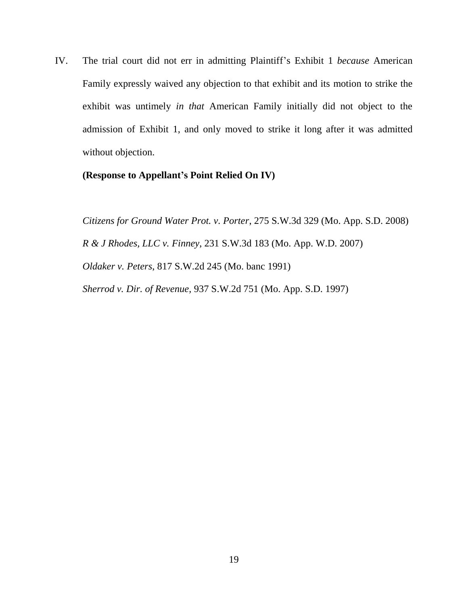IV. The trial court did not err in admitting Plaintiff"s Exhibit 1 *because* American Family expressly waived any objection to that exhibit and its motion to strike the exhibit was untimely *in that* American Family initially did not object to the admission of Exhibit 1, and only moved to strike it long after it was admitted without objection.

# **(Response to Appellant's Point Relied On IV)**

*Citizens for Ground Water Prot. v. Porter*, 275 S.W.3d 329 (Mo. App. S.D. 2008) *R & J Rhodes, LLC v. Finney*, 231 S.W.3d 183 (Mo. App. W.D. 2007) *Oldaker v. Peters*, 817 S.W.2d 245 (Mo. banc 1991) *Sherrod v. Dir. of Revenue,* 937 S.W.2d 751 (Mo. App. S.D. 1997)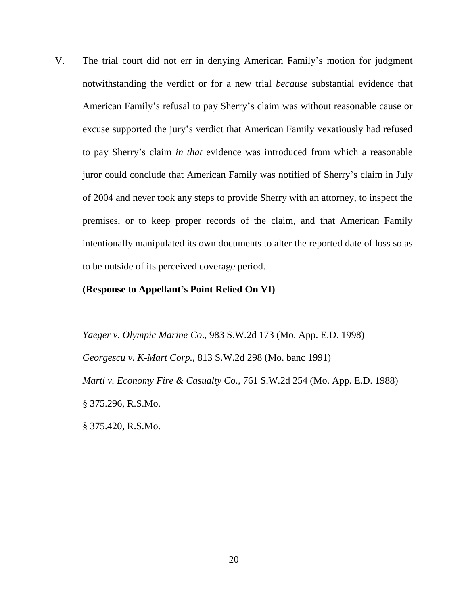V. The trial court did not err in denying American Family"s motion for judgment notwithstanding the verdict or for a new trial *because* substantial evidence that American Family"s refusal to pay Sherry"s claim was without reasonable cause or excuse supported the jury"s verdict that American Family vexatiously had refused to pay Sherry"s claim *in that* evidence was introduced from which a reasonable juror could conclude that American Family was notified of Sherry"s claim in July of 2004 and never took any steps to provide Sherry with an attorney, to inspect the premises, or to keep proper records of the claim, and that American Family intentionally manipulated its own documents to alter the reported date of loss so as to be outside of its perceived coverage period.

#### **(Response to Appellant's Point Relied On VI)**

*Yaeger v. Olympic Marine Co*., 983 S.W.2d 173 (Mo. App. E.D. 1998) *Georgescu v. K-Mart Corp.*, 813 S.W.2d 298 (Mo. banc 1991) *Marti v. Economy Fire & Casualty Co*., 761 S.W.2d 254 (Mo. App. E.D. 1988) § 375.296, R.S.Mo. § 375.420, R.S.Mo.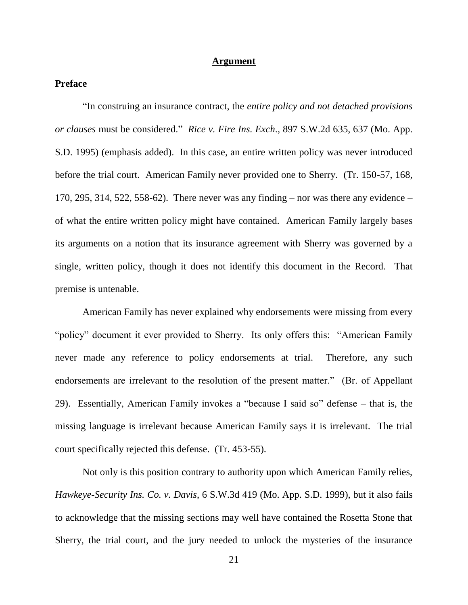#### **Argument**

## **Preface**

"In construing an insurance contract, the *entire policy and not detached provisions or clauses* must be considered." *Rice v. Fire Ins. Exch*., 897 S.W.2d 635, 637 (Mo. App. S.D. 1995) (emphasis added). In this case, an entire written policy was never introduced before the trial court. American Family never provided one to Sherry. (Tr. 150-57, 168, 170, 295, 314, 522, 558-62). There never was any finding  $-$  nor was there any evidence  $$ of what the entire written policy might have contained. American Family largely bases its arguments on a notion that its insurance agreement with Sherry was governed by a single, written policy, though it does not identify this document in the Record. That premise is untenable.

American Family has never explained why endorsements were missing from every "policy" document it ever provided to Sherry. Its only offers this: "American Family never made any reference to policy endorsements at trial. Therefore, any such endorsements are irrelevant to the resolution of the present matter." (Br. of Appellant 29). Essentially, American Family invokes a "because I said so" defense – that is, the missing language is irrelevant because American Family says it is irrelevant. The trial court specifically rejected this defense. (Tr. 453-55).

Not only is this position contrary to authority upon which American Family relies, *Hawkeye-Security Ins. Co. v. Davis*, 6 S.W.3d 419 (Mo. App. S.D. 1999), but it also fails to acknowledge that the missing sections may well have contained the Rosetta Stone that Sherry, the trial court, and the jury needed to unlock the mysteries of the insurance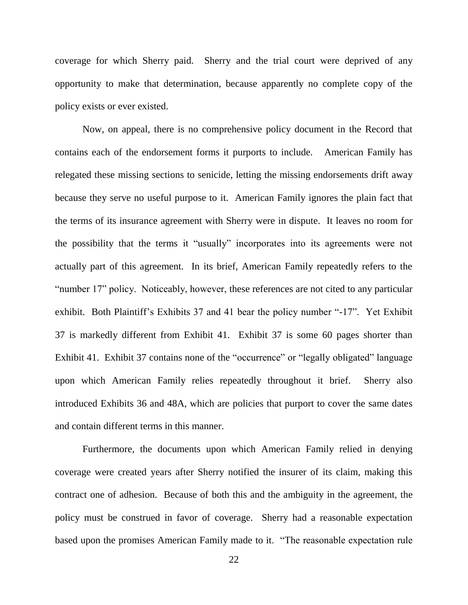coverage for which Sherry paid. Sherry and the trial court were deprived of any opportunity to make that determination, because apparently no complete copy of the policy exists or ever existed.

Now, on appeal, there is no comprehensive policy document in the Record that contains each of the endorsement forms it purports to include. American Family has relegated these missing sections to senicide, letting the missing endorsements drift away because they serve no useful purpose to it. American Family ignores the plain fact that the terms of its insurance agreement with Sherry were in dispute. It leaves no room for the possibility that the terms it "usually" incorporates into its agreements were not actually part of this agreement. In its brief, American Family repeatedly refers to the "number 17" policy. Noticeably, however, these references are not cited to any particular exhibit. Both Plaintiff"s Exhibits 37 and 41 bear the policy number "-17". Yet Exhibit 37 is markedly different from Exhibit 41. Exhibit 37 is some 60 pages shorter than Exhibit 41. Exhibit 37 contains none of the "occurrence" or "legally obligated" language upon which American Family relies repeatedly throughout it brief. Sherry also introduced Exhibits 36 and 48A, which are policies that purport to cover the same dates and contain different terms in this manner.

Furthermore, the documents upon which American Family relied in denying coverage were created years after Sherry notified the insurer of its claim, making this contract one of adhesion. Because of both this and the ambiguity in the agreement, the policy must be construed in favor of coverage. Sherry had a reasonable expectation based upon the promises American Family made to it. "The reasonable expectation rule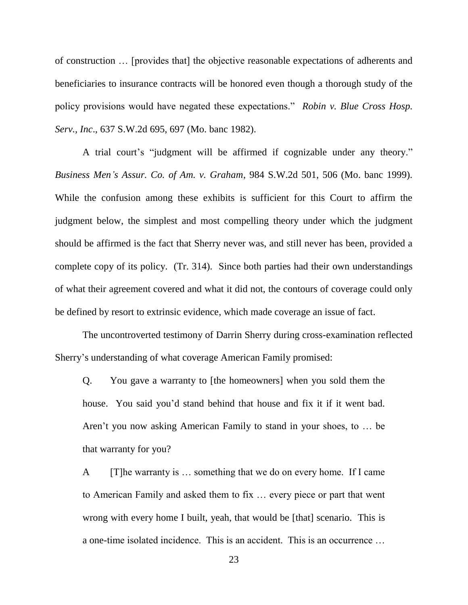of construction … [provides that] the objective reasonable expectations of adherents and beneficiaries to insurance contracts will be honored even though a thorough study of the policy provisions would have negated these expectations." *Robin v. Blue Cross Hosp. Serv., Inc*., 637 S.W.2d 695, 697 (Mo. banc 1982).

A trial court's "judgment will be affirmed if cognizable under any theory." *Business Men's Assur. Co. of Am. v. Graham*, 984 S.W.2d 501, 506 (Mo. banc 1999). While the confusion among these exhibits is sufficient for this Court to affirm the judgment below, the simplest and most compelling theory under which the judgment should be affirmed is the fact that Sherry never was, and still never has been, provided a complete copy of its policy. (Tr. 314). Since both parties had their own understandings of what their agreement covered and what it did not, the contours of coverage could only be defined by resort to extrinsic evidence, which made coverage an issue of fact.

The uncontroverted testimony of Darrin Sherry during cross-examination reflected Sherry"s understanding of what coverage American Family promised:

Q. You gave a warranty to [the homeowners] when you sold them the house. You said you"d stand behind that house and fix it if it went bad. Aren't you now asking American Family to stand in your shoes, to ... be that warranty for you?

A [T]he warranty is … something that we do on every home. If I came to American Family and asked them to fix … every piece or part that went wrong with every home I built, yeah, that would be [that] scenario. This is a one-time isolated incidence. This is an accident. This is an occurrence …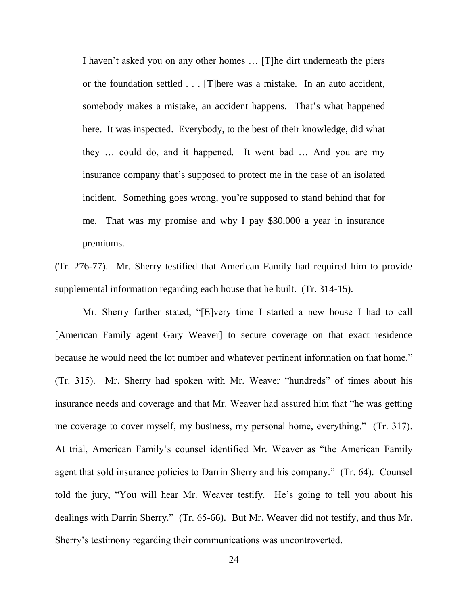I haven"t asked you on any other homes … [T]he dirt underneath the piers or the foundation settled . . . [T]here was a mistake. In an auto accident, somebody makes a mistake, an accident happens. That's what happened here. It was inspected. Everybody, to the best of their knowledge, did what they … could do, and it happened. It went bad … And you are my insurance company that's supposed to protect me in the case of an isolated incident. Something goes wrong, you"re supposed to stand behind that for me. That was my promise and why I pay \$30,000 a year in insurance premiums.

(Tr. 276-77). Mr. Sherry testified that American Family had required him to provide supplemental information regarding each house that he built. (Tr. 314-15).

Mr. Sherry further stated, "[E]very time I started a new house I had to call [American Family agent Gary Weaver] to secure coverage on that exact residence because he would need the lot number and whatever pertinent information on that home." (Tr. 315). Mr. Sherry had spoken with Mr. Weaver "hundreds" of times about his insurance needs and coverage and that Mr. Weaver had assured him that "he was getting me coverage to cover myself, my business, my personal home, everything." (Tr. 317). At trial, American Family"s counsel identified Mr. Weaver as "the American Family agent that sold insurance policies to Darrin Sherry and his company." (Tr. 64). Counsel told the jury, "You will hear Mr. Weaver testify. He"s going to tell you about his dealings with Darrin Sherry." (Tr. 65-66). But Mr. Weaver did not testify, and thus Mr. Sherry"s testimony regarding their communications was uncontroverted.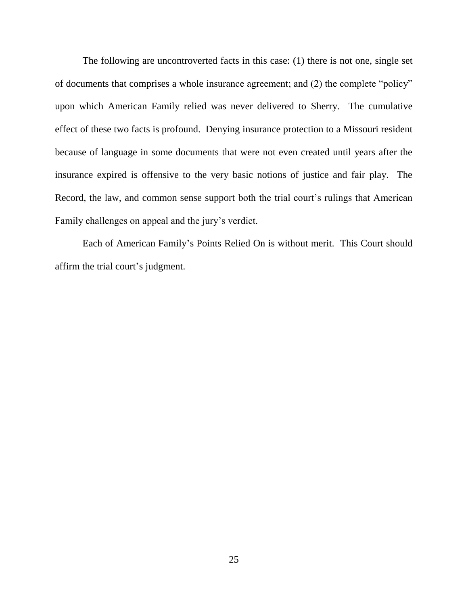The following are uncontroverted facts in this case: (1) there is not one, single set of documents that comprises a whole insurance agreement; and (2) the complete "policy" upon which American Family relied was never delivered to Sherry. The cumulative effect of these two facts is profound. Denying insurance protection to a Missouri resident because of language in some documents that were not even created until years after the insurance expired is offensive to the very basic notions of justice and fair play. The Record, the law, and common sense support both the trial court's rulings that American Family challenges on appeal and the jury's verdict.

Each of American Family"s Points Relied On is without merit. This Court should affirm the trial court's judgment.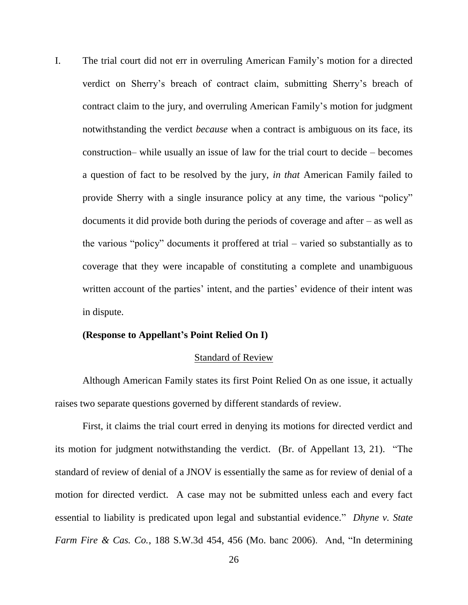I. The trial court did not err in overruling American Family"s motion for a directed verdict on Sherry"s breach of contract claim, submitting Sherry"s breach of contract claim to the jury, and overruling American Family"s motion for judgment notwithstanding the verdict *because* when a contract is ambiguous on its face, its construction– while usually an issue of law for the trial court to decide – becomes a question of fact to be resolved by the jury, *in that* American Family failed to provide Sherry with a single insurance policy at any time, the various "policy" documents it did provide both during the periods of coverage and after – as well as the various "policy" documents it proffered at trial – varied so substantially as to coverage that they were incapable of constituting a complete and unambiguous written account of the parties' intent, and the parties' evidence of their intent was in dispute.

#### **(Response to Appellant's Point Relied On I)**

#### Standard of Review

Although American Family states its first Point Relied On as one issue, it actually raises two separate questions governed by different standards of review.

First, it claims the trial court erred in denying its motions for directed verdict and its motion for judgment notwithstanding the verdict. (Br. of Appellant 13, 21). "The standard of review of denial of a JNOV is essentially the same as for review of denial of a motion for directed verdict. A case may not be submitted unless each and every fact essential to liability is predicated upon legal and substantial evidence." *Dhyne v. State Farm Fire & Cas. Co.*, 188 S.W.3d 454, 456 (Mo. banc 2006). And, "In determining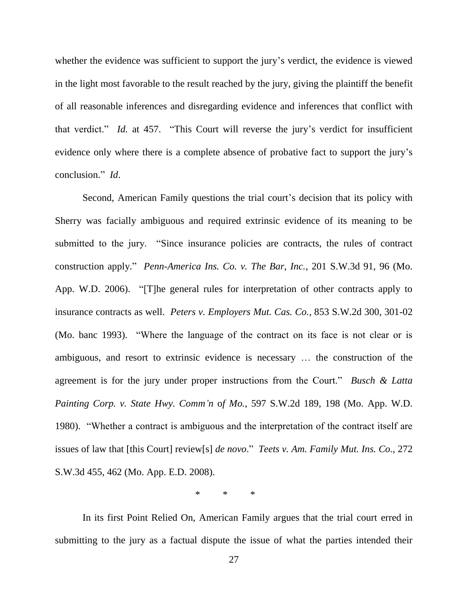whether the evidence was sufficient to support the jury's verdict, the evidence is viewed in the light most favorable to the result reached by the jury, giving the plaintiff the benefit of all reasonable inferences and disregarding evidence and inferences that conflict with that verdict." *Id.* at 457. "This Court will reverse the jury's verdict for insufficient evidence only where there is a complete absence of probative fact to support the jury"s conclusion." *Id*.

Second, American Family questions the trial court's decision that its policy with Sherry was facially ambiguous and required extrinsic evidence of its meaning to be submitted to the jury. "Since insurance policies are contracts, the rules of contract construction apply." *Penn-America Ins. Co. v. The Bar, Inc.*, 201 S.W.3d 91, 96 (Mo. App. W.D. 2006). "[T]he general rules for interpretation of other contracts apply to insurance contracts as well. *Peters v. Employers Mut. Cas. Co.*, 853 S.W.2d 300, 301-02 (Mo. banc 1993). "Where the language of the contract on its face is not clear or is ambiguous, and resort to extrinsic evidence is necessary … the construction of the agreement is for the jury under proper instructions from the Court." *Busch & Latta Painting Corp. v. State Hwy. Comm'n* o*f Mo.*, 597 S.W.2d 189, 198 (Mo. App. W.D. 1980). "Whether a contract is ambiguous and the interpretation of the contract itself are issues of law that [this Court] review[s] *de novo*." *Teets v. Am. Family Mut. Ins. Co*., 272 S.W.3d 455, 462 (Mo. App. E.D. 2008).

\* \* \*

In its first Point Relied On, American Family argues that the trial court erred in submitting to the jury as a factual dispute the issue of what the parties intended their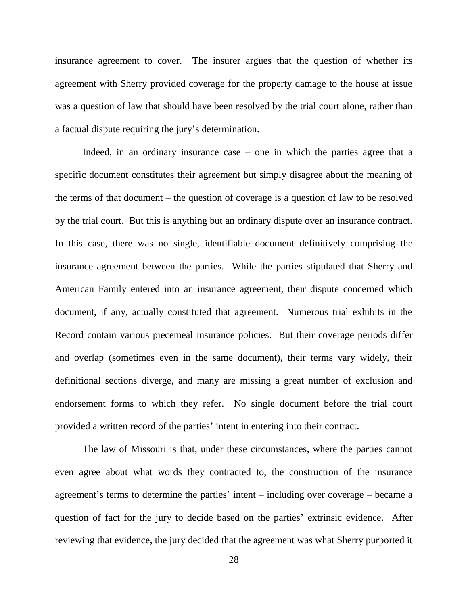insurance agreement to cover. The insurer argues that the question of whether its agreement with Sherry provided coverage for the property damage to the house at issue was a question of law that should have been resolved by the trial court alone, rather than a factual dispute requiring the jury"s determination.

Indeed, in an ordinary insurance case – one in which the parties agree that a specific document constitutes their agreement but simply disagree about the meaning of the terms of that document – the question of coverage is a question of law to be resolved by the trial court. But this is anything but an ordinary dispute over an insurance contract. In this case, there was no single, identifiable document definitively comprising the insurance agreement between the parties. While the parties stipulated that Sherry and American Family entered into an insurance agreement, their dispute concerned which document, if any, actually constituted that agreement. Numerous trial exhibits in the Record contain various piecemeal insurance policies. But their coverage periods differ and overlap (sometimes even in the same document), their terms vary widely, their definitional sections diverge, and many are missing a great number of exclusion and endorsement forms to which they refer. No single document before the trial court provided a written record of the parties' intent in entering into their contract.

The law of Missouri is that, under these circumstances, where the parties cannot even agree about what words they contracted to, the construction of the insurance agreement's terms to determine the parties' intent  $-$  including over coverage  $-$  became a question of fact for the jury to decide based on the parties' extrinsic evidence. After reviewing that evidence, the jury decided that the agreement was what Sherry purported it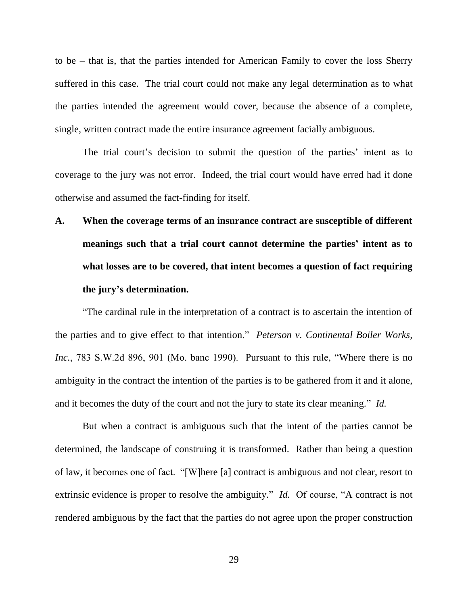to be – that is, that the parties intended for American Family to cover the loss Sherry suffered in this case. The trial court could not make any legal determination as to what the parties intended the agreement would cover, because the absence of a complete, single, written contract made the entire insurance agreement facially ambiguous.

The trial court's decision to submit the question of the parties' intent as to coverage to the jury was not error. Indeed, the trial court would have erred had it done otherwise and assumed the fact-finding for itself.

# **A. When the coverage terms of an insurance contract are susceptible of different meanings such that a trial court cannot determine the parties' intent as to what losses are to be covered, that intent becomes a question of fact requiring the jury's determination.**

"The cardinal rule in the interpretation of a contract is to ascertain the intention of the parties and to give effect to that intention." *Peterson v. Continental Boiler Works, Inc.*, 783 S.W.2d 896, 901 (Mo. banc 1990). Pursuant to this rule, "Where there is no ambiguity in the contract the intention of the parties is to be gathered from it and it alone, and it becomes the duty of the court and not the jury to state its clear meaning." *Id.*

But when a contract is ambiguous such that the intent of the parties cannot be determined, the landscape of construing it is transformed. Rather than being a question of law, it becomes one of fact. "[W]here [a] contract is ambiguous and not clear, resort to extrinsic evidence is proper to resolve the ambiguity." *Id.* Of course, "A contract is not rendered ambiguous by the fact that the parties do not agree upon the proper construction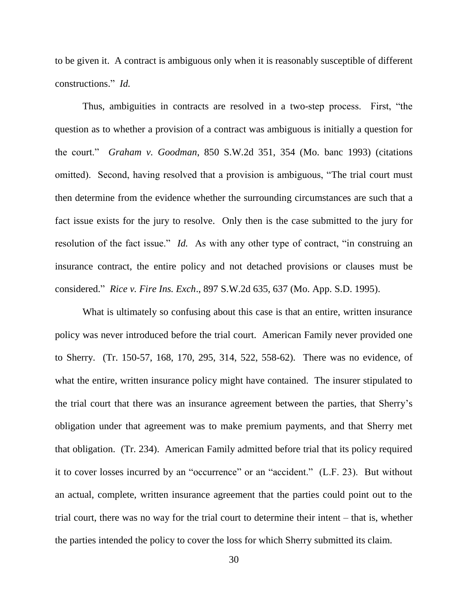to be given it. A contract is ambiguous only when it is reasonably susceptible of different constructions." *Id.*

Thus, ambiguities in contracts are resolved in a two-step process. First, "the question as to whether a provision of a contract was ambiguous is initially a question for the court." *Graham v. Goodman*, 850 S.W.2d 351, 354 (Mo. banc 1993) (citations omitted). Second, having resolved that a provision is ambiguous, "The trial court must then determine from the evidence whether the surrounding circumstances are such that a fact issue exists for the jury to resolve. Only then is the case submitted to the jury for resolution of the fact issue." *Id.* As with any other type of contract, "in construing an insurance contract, the entire policy and not detached provisions or clauses must be considered." *Rice v. Fire Ins. Exch*., 897 S.W.2d 635, 637 (Mo. App. S.D. 1995).

What is ultimately so confusing about this case is that an entire, written insurance policy was never introduced before the trial court. American Family never provided one to Sherry. (Tr. 150-57, 168, 170, 295, 314, 522, 558-62). There was no evidence, of what the entire, written insurance policy might have contained. The insurer stipulated to the trial court that there was an insurance agreement between the parties, that Sherry"s obligation under that agreement was to make premium payments, and that Sherry met that obligation. (Tr. 234). American Family admitted before trial that its policy required it to cover losses incurred by an "occurrence" or an "accident." (L.F. 23). But without an actual, complete, written insurance agreement that the parties could point out to the trial court, there was no way for the trial court to determine their intent – that is, whether the parties intended the policy to cover the loss for which Sherry submitted its claim.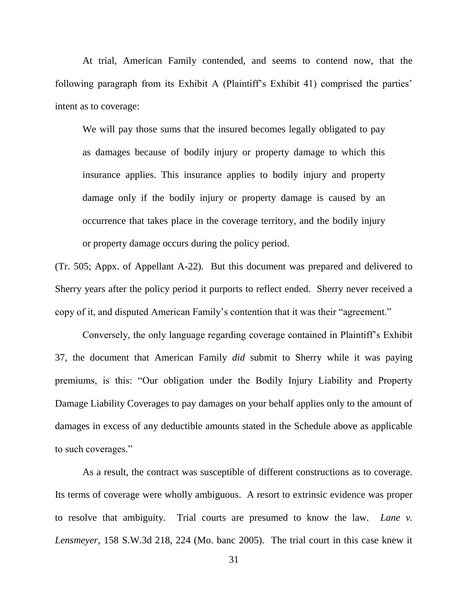At trial, American Family contended, and seems to contend now, that the following paragraph from its Exhibit A (Plaintiff's Exhibit 41) comprised the parties' intent as to coverage:

We will pay those sums that the insured becomes legally obligated to pay as damages because of bodily injury or property damage to which this insurance applies. This insurance applies to bodily injury and property damage only if the bodily injury or property damage is caused by an occurrence that takes place in the coverage territory, and the bodily injury or property damage occurs during the policy period.

(Tr. 505; Appx. of Appellant A-22). But this document was prepared and delivered to Sherry years after the policy period it purports to reflect ended. Sherry never received a copy of it, and disputed American Family"s contention that it was their "agreement."

Conversely, the only language regarding coverage contained in Plaintiff"s Exhibit 37, the document that American Family *did* submit to Sherry while it was paying premiums, is this: "Our obligation under the Bodily Injury Liability and Property Damage Liability Coverages to pay damages on your behalf applies only to the amount of damages in excess of any deductible amounts stated in the Schedule above as applicable to such coverages."

As a result, the contract was susceptible of different constructions as to coverage. Its terms of coverage were wholly ambiguous. A resort to extrinsic evidence was proper to resolve that ambiguity. Trial courts are presumed to know the law. *Lane v. Lensmeyer,* 158 S.W.3d 218, 224 (Mo. banc 2005). The trial court in this case knew it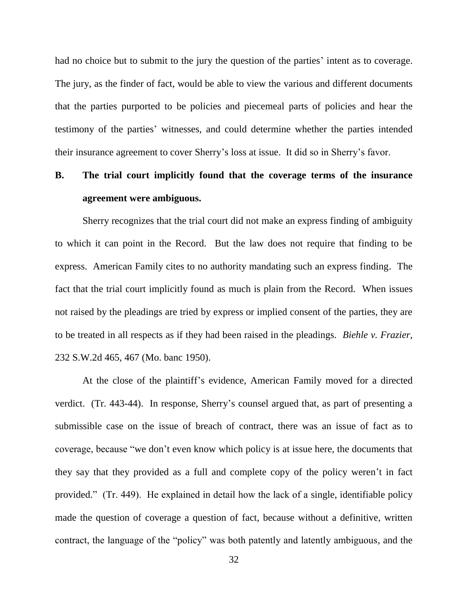had no choice but to submit to the jury the question of the parties' intent as to coverage. The jury, as the finder of fact, would be able to view the various and different documents that the parties purported to be policies and piecemeal parts of policies and hear the testimony of the parties" witnesses, and could determine whether the parties intended their insurance agreement to cover Sherry"s loss at issue. It did so in Sherry"s favor.

### **B. The trial court implicitly found that the coverage terms of the insurance agreement were ambiguous.**

Sherry recognizes that the trial court did not make an express finding of ambiguity to which it can point in the Record. But the law does not require that finding to be express. American Family cites to no authority mandating such an express finding. The fact that the trial court implicitly found as much is plain from the Record. When issues not raised by the pleadings are tried by express or implied consent of the parties, they are to be treated in all respects as if they had been raised in the pleadings. *Biehle v. Frazier*, 232 S.W.2d 465, 467 (Mo. banc 1950).

At the close of the plaintiff"s evidence, American Family moved for a directed verdict. (Tr. 443-44). In response, Sherry"s counsel argued that, as part of presenting a submissible case on the issue of breach of contract, there was an issue of fact as to coverage, because "we don"t even know which policy is at issue here, the documents that they say that they provided as a full and complete copy of the policy weren"t in fact provided." (Tr. 449). He explained in detail how the lack of a single, identifiable policy made the question of coverage a question of fact, because without a definitive, written contract, the language of the "policy" was both patently and latently ambiguous, and the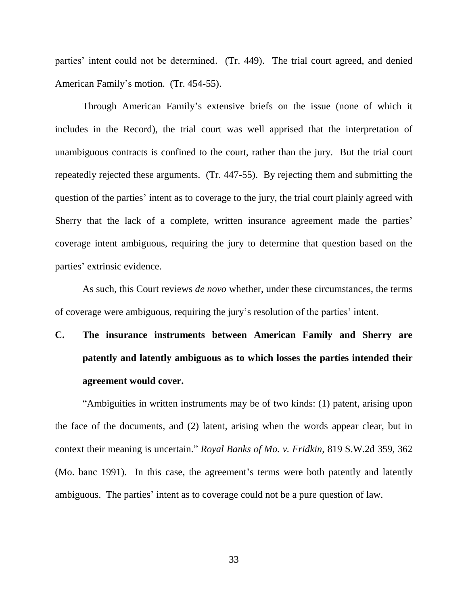parties' intent could not be determined. (Tr. 449). The trial court agreed, and denied American Family"s motion. (Tr. 454-55).

Through American Family"s extensive briefs on the issue (none of which it includes in the Record), the trial court was well apprised that the interpretation of unambiguous contracts is confined to the court, rather than the jury. But the trial court repeatedly rejected these arguments. (Tr. 447-55). By rejecting them and submitting the question of the parties' intent as to coverage to the jury, the trial court plainly agreed with Sherry that the lack of a complete, written insurance agreement made the parties' coverage intent ambiguous, requiring the jury to determine that question based on the parties' extrinsic evidence.

As such, this Court reviews *de novo* whether, under these circumstances, the terms of coverage were ambiguous, requiring the jury"s resolution of the parties" intent.

## **C. The insurance instruments between American Family and Sherry are patently and latently ambiguous as to which losses the parties intended their agreement would cover.**

"Ambiguities in written instruments may be of two kinds: (1) patent, arising upon the face of the documents, and (2) latent, arising when the words appear clear, but in context their meaning is uncertain." *Royal Banks of Mo. v. Fridkin*, 819 S.W.2d 359, 362 (Mo. banc 1991). In this case, the agreement's terms were both patently and latently ambiguous. The parties' intent as to coverage could not be a pure question of law.

33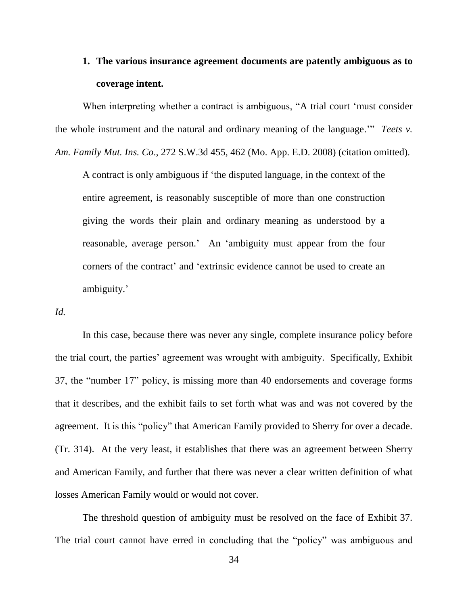### **1. The various insurance agreement documents are patently ambiguous as to coverage intent.**

When interpreting whether a contract is ambiguous, "A trial court 'must consider the whole instrument and the natural and ordinary meaning of the language."" *Teets v. Am. Family Mut. Ins. Co*., 272 S.W.3d 455, 462 (Mo. App. E.D. 2008) (citation omitted).

A contract is only ambiguous if "the disputed language, in the context of the entire agreement, is reasonably susceptible of more than one construction giving the words their plain and ordinary meaning as understood by a reasonable, average person." An "ambiguity must appear from the four corners of the contract" and "extrinsic evidence cannot be used to create an ambiguity.'

*Id.*

In this case, because there was never any single, complete insurance policy before the trial court, the parties' agreement was wrought with ambiguity. Specifically, Exhibit 37, the "number 17" policy, is missing more than 40 endorsements and coverage forms that it describes, and the exhibit fails to set forth what was and was not covered by the agreement. It is this "policy" that American Family provided to Sherry for over a decade. (Tr. 314). At the very least, it establishes that there was an agreement between Sherry and American Family, and further that there was never a clear written definition of what losses American Family would or would not cover.

The threshold question of ambiguity must be resolved on the face of Exhibit 37. The trial court cannot have erred in concluding that the "policy" was ambiguous and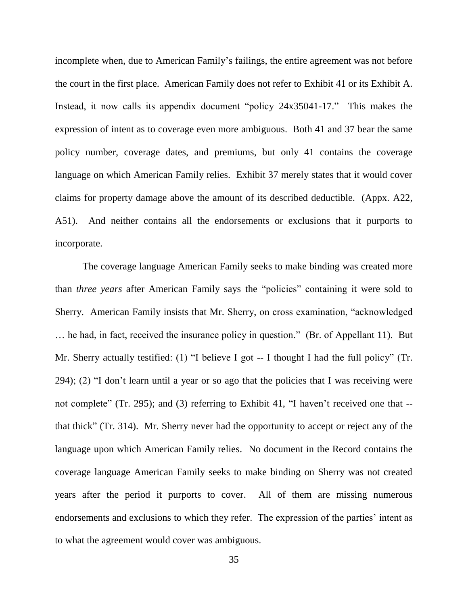incomplete when, due to American Family's failings, the entire agreement was not before the court in the first place. American Family does not refer to Exhibit 41 or its Exhibit A. Instead, it now calls its appendix document "policy 24x35041-17." This makes the expression of intent as to coverage even more ambiguous. Both 41 and 37 bear the same policy number, coverage dates, and premiums, but only 41 contains the coverage language on which American Family relies. Exhibit 37 merely states that it would cover claims for property damage above the amount of its described deductible. (Appx. A22, A51). And neither contains all the endorsements or exclusions that it purports to incorporate.

The coverage language American Family seeks to make binding was created more than *three years* after American Family says the "policies" containing it were sold to Sherry. American Family insists that Mr. Sherry, on cross examination, "acknowledged … he had, in fact, received the insurance policy in question." (Br. of Appellant 11). But Mr. Sherry actually testified: (1) "I believe I got -- I thought I had the full policy" (Tr.  $294$ ; (2) "I don't learn until a year or so ago that the policies that I was receiving were not complete" (Tr. 295); and (3) referring to Exhibit 41, "I haven't received one that -that thick" (Tr. 314). Mr. Sherry never had the opportunity to accept or reject any of the language upon which American Family relies. No document in the Record contains the coverage language American Family seeks to make binding on Sherry was not created years after the period it purports to cover. All of them are missing numerous endorsements and exclusions to which they refer. The expression of the parties' intent as to what the agreement would cover was ambiguous.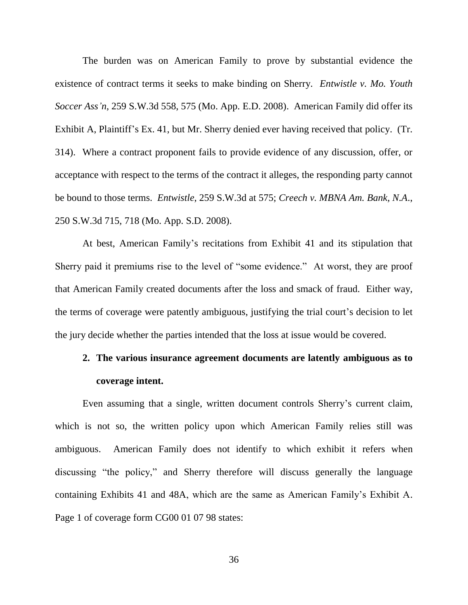The burden was on American Family to prove by substantial evidence the existence of contract terms it seeks to make binding on Sherry. *Entwistle v. Mo. Youth Soccer Ass'n*, 259 S.W.3d 558, 575 (Mo. App. E.D. 2008). American Family did offer its Exhibit A, Plaintiff"s Ex. 41, but Mr. Sherry denied ever having received that policy. (Tr. 314). Where a contract proponent fails to provide evidence of any discussion, offer, or acceptance with respect to the terms of the contract it alleges, the responding party cannot be bound to those terms. *Entwistle*, 259 S.W.3d at 575; *Creech v. MBNA Am. Bank, N.A*., 250 S.W.3d 715, 718 (Mo. App. S.D. 2008).

At best, American Family"s recitations from Exhibit 41 and its stipulation that Sherry paid it premiums rise to the level of "some evidence." At worst, they are proof that American Family created documents after the loss and smack of fraud. Either way, the terms of coverage were patently ambiguous, justifying the trial court"s decision to let the jury decide whether the parties intended that the loss at issue would be covered.

### **2. The various insurance agreement documents are latently ambiguous as to coverage intent.**

Even assuming that a single, written document controls Sherry's current claim, which is not so, the written policy upon which American Family relies still was ambiguous. American Family does not identify to which exhibit it refers when discussing "the policy," and Sherry therefore will discuss generally the language containing Exhibits 41 and 48A, which are the same as American Family"s Exhibit A. Page 1 of coverage form CG00 01 07 98 states: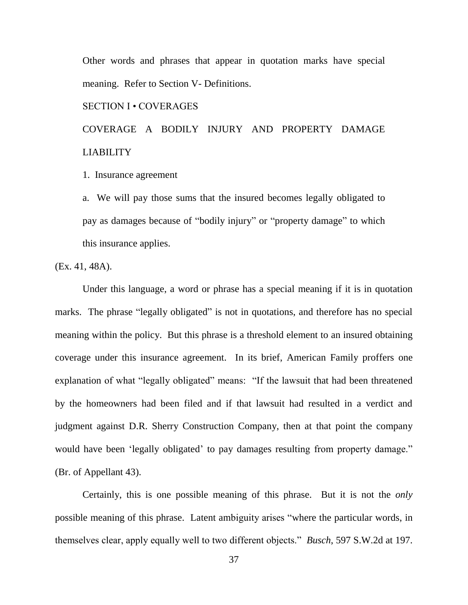Other words and phrases that appear in quotation marks have special meaning. Refer to Section V- Definitions.

#### SECTION I • COVERAGES

COVERAGE A BODILY INJURY AND PROPERTY DAMAGE LIABILITY

#### 1. Insurance agreement

a. We will pay those sums that the insured becomes legally obligated to pay as damages because of "bodily injury" or "property damage" to which this insurance applies.

(Ex. 41, 48A).

Under this language, a word or phrase has a special meaning if it is in quotation marks. The phrase "legally obligated" is not in quotations, and therefore has no special meaning within the policy. But this phrase is a threshold element to an insured obtaining coverage under this insurance agreement. In its brief, American Family proffers one explanation of what "legally obligated" means: "If the lawsuit that had been threatened by the homeowners had been filed and if that lawsuit had resulted in a verdict and judgment against D.R. Sherry Construction Company, then at that point the company would have been 'legally obligated' to pay damages resulting from property damage." (Br. of Appellant 43).

Certainly, this is one possible meaning of this phrase. But it is not the *only* possible meaning of this phrase. Latent ambiguity arises "where the particular words, in themselves clear, apply equally well to two different objects." *Busch*, 597 S.W.2d at 197.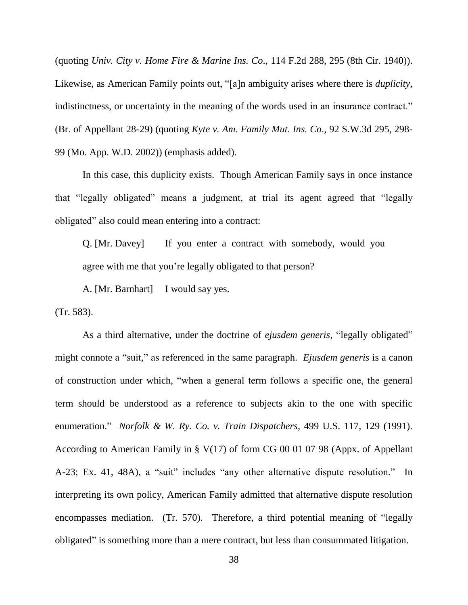(quoting *Univ. City v. Home Fire & Marine Ins. Co*., 114 F.2d 288, 295 (8th Cir. 1940)). Likewise, as American Family points out, "[a]n ambiguity arises where there is *duplicity*, indistinctness, or uncertainty in the meaning of the words used in an insurance contract." (Br. of Appellant 28-29) (quoting *Kyte v. Am. Family Mut. Ins. Co*., 92 S.W.3d 295, 298- 99 (Mo. App. W.D. 2002)) (emphasis added).

In this case, this duplicity exists. Though American Family says in once instance that "legally obligated" means a judgment, at trial its agent agreed that "legally obligated" also could mean entering into a contract:

Q. [Mr. Davey] If you enter a contract with somebody, would you agree with me that you're legally obligated to that person?

A. [Mr. Barnhart] I would say yes.

(Tr. 583).

As a third alternative, under the doctrine of *ejusdem generis*, "legally obligated" might connote a "suit," as referenced in the same paragraph. *Ejusdem generis* is a canon of construction under which, "when a general term follows a specific one, the general term should be understood as a reference to subjects akin to the one with specific enumeration." *Norfolk & W. Ry. Co. v. Train Dispatchers*, 499 U.S. 117, 129 (1991). According to American Family in § V(17) of form CG 00 01 07 98 (Appx. of Appellant A-23; Ex. 41, 48A), a "suit" includes "any other alternative dispute resolution." In interpreting its own policy, American Family admitted that alternative dispute resolution encompasses mediation. (Tr. 570). Therefore, a third potential meaning of "legally obligated" is something more than a mere contract, but less than consummated litigation.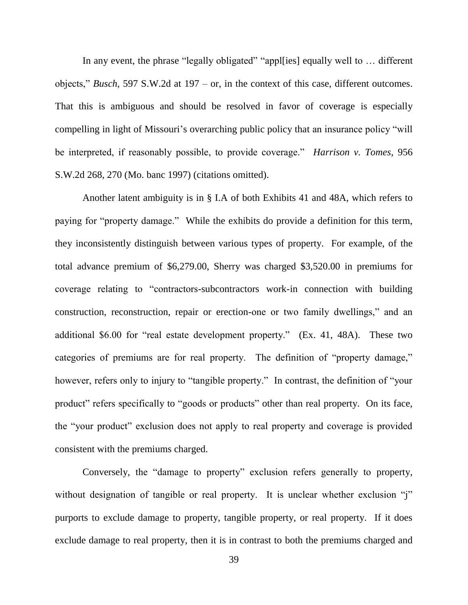In any event, the phrase "legally obligated" "appl[ies] equally well to … different objects," *Busch*, 597 S.W.2d at 197 – or, in the context of this case, different outcomes. That this is ambiguous and should be resolved in favor of coverage is especially compelling in light of Missouri's overarching public policy that an insurance policy "will be interpreted, if reasonably possible, to provide coverage." *Harrison v. Tomes*, 956 S.W.2d 268, 270 (Mo. banc 1997) (citations omitted).

Another latent ambiguity is in § I.A of both Exhibits 41 and 48A, which refers to paying for "property damage." While the exhibits do provide a definition for this term, they inconsistently distinguish between various types of property. For example, of the total advance premium of \$6,279.00, Sherry was charged \$3,520.00 in premiums for coverage relating to "contractors-subcontractors work-in connection with building construction, reconstruction, repair or erection-one or two family dwellings," and an additional \$6.00 for "real estate development property." (Ex. 41, 48A). These two categories of premiums are for real property. The definition of "property damage," however, refers only to injury to "tangible property." In contrast, the definition of "your product" refers specifically to "goods or products" other than real property. On its face, the "your product" exclusion does not apply to real property and coverage is provided consistent with the premiums charged.

Conversely, the "damage to property" exclusion refers generally to property, without designation of tangible or real property. It is unclear whether exclusion "j" purports to exclude damage to property, tangible property, or real property. If it does exclude damage to real property, then it is in contrast to both the premiums charged and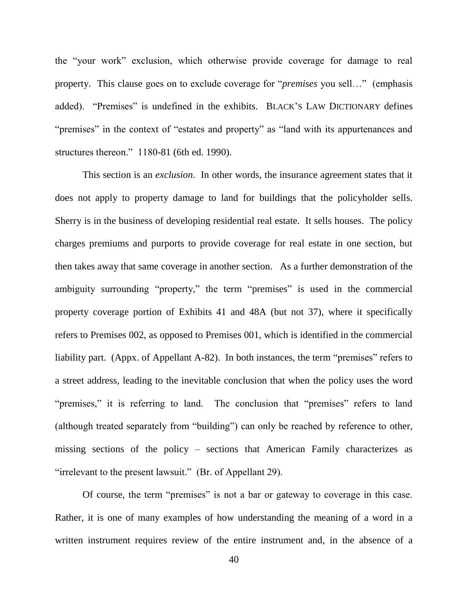the "your work" exclusion, which otherwise provide coverage for damage to real property. This clause goes on to exclude coverage for "*premises* you sell…" (emphasis added). "Premises" is undefined in the exhibits. BLACK"S LAW DICTIONARY defines "premises" in the context of "estates and property" as "land with its appurtenances and structures thereon." 1180-81 (6th ed. 1990).

This section is an *exclusion*. In other words, the insurance agreement states that it does not apply to property damage to land for buildings that the policyholder sells. Sherry is in the business of developing residential real estate. It sells houses. The policy charges premiums and purports to provide coverage for real estate in one section, but then takes away that same coverage in another section. As a further demonstration of the ambiguity surrounding "property," the term "premises" is used in the commercial property coverage portion of Exhibits 41 and 48A (but not 37), where it specifically refers to Premises 002, as opposed to Premises 001, which is identified in the commercial liability part. (Appx. of Appellant A-82). In both instances, the term "premises" refers to a street address, leading to the inevitable conclusion that when the policy uses the word "premises," it is referring to land. The conclusion that "premises" refers to land (although treated separately from "building") can only be reached by reference to other, missing sections of the policy – sections that American Family characterizes as "irrelevant to the present lawsuit." (Br. of Appellant 29).

Of course, the term "premises" is not a bar or gateway to coverage in this case. Rather, it is one of many examples of how understanding the meaning of a word in a written instrument requires review of the entire instrument and, in the absence of a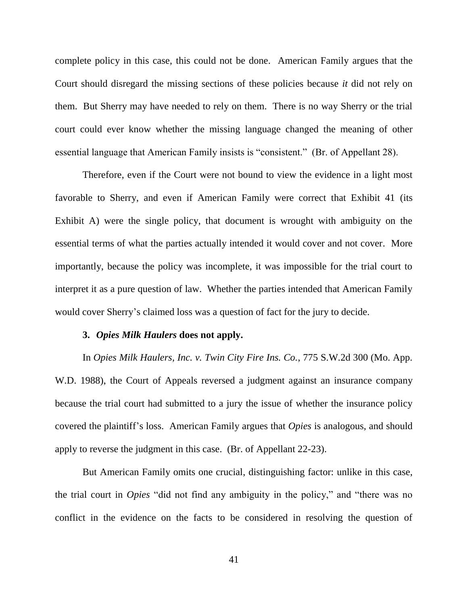complete policy in this case, this could not be done. American Family argues that the Court should disregard the missing sections of these policies because *it* did not rely on them. But Sherry may have needed to rely on them. There is no way Sherry or the trial court could ever know whether the missing language changed the meaning of other essential language that American Family insists is "consistent." (Br. of Appellant 28).

Therefore, even if the Court were not bound to view the evidence in a light most favorable to Sherry, and even if American Family were correct that Exhibit 41 (its Exhibit A) were the single policy, that document is wrought with ambiguity on the essential terms of what the parties actually intended it would cover and not cover. More importantly, because the policy was incomplete, it was impossible for the trial court to interpret it as a pure question of law. Whether the parties intended that American Family would cover Sherry's claimed loss was a question of fact for the jury to decide.

#### **3.** *Opies Milk Haulers* **does not apply.**

In *Opies Milk Haulers, Inc. v. Twin City Fire Ins. Co.*, 775 S.W.2d 300 (Mo. App. W.D. 1988), the Court of Appeals reversed a judgment against an insurance company because the trial court had submitted to a jury the issue of whether the insurance policy covered the plaintiff"s loss. American Family argues that *Opies* is analogous, and should apply to reverse the judgment in this case. (Br. of Appellant 22-23).

But American Family omits one crucial, distinguishing factor: unlike in this case, the trial court in *Opies* "did not find any ambiguity in the policy," and "there was no conflict in the evidence on the facts to be considered in resolving the question of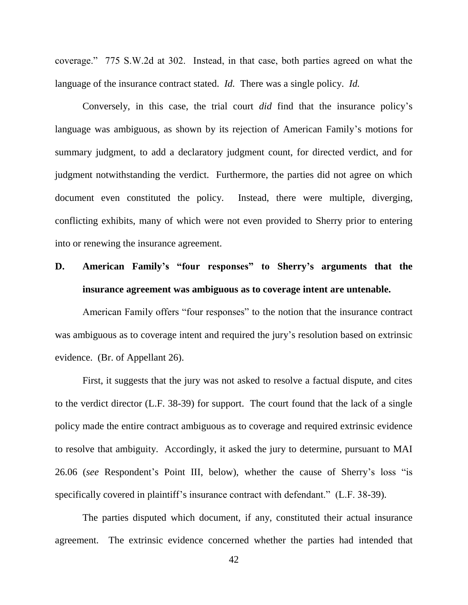coverage." 775 S.W.2d at 302. Instead, in that case, both parties agreed on what the language of the insurance contract stated. *Id.* There was a single policy. *Id.*

Conversely, in this case, the trial court *did* find that the insurance policy"s language was ambiguous, as shown by its rejection of American Family"s motions for summary judgment, to add a declaratory judgment count, for directed verdict, and for judgment notwithstanding the verdict. Furthermore, the parties did not agree on which document even constituted the policy. Instead, there were multiple, diverging, conflicting exhibits, many of which were not even provided to Sherry prior to entering into or renewing the insurance agreement.

### **D. American Family's "four responses" to Sherry's arguments that the insurance agreement was ambiguous as to coverage intent are untenable.**

American Family offers "four responses" to the notion that the insurance contract was ambiguous as to coverage intent and required the jury's resolution based on extrinsic evidence. (Br. of Appellant 26).

First, it suggests that the jury was not asked to resolve a factual dispute, and cites to the verdict director (L.F. 38-39) for support. The court found that the lack of a single policy made the entire contract ambiguous as to coverage and required extrinsic evidence to resolve that ambiguity. Accordingly, it asked the jury to determine, pursuant to MAI 26.06 (*see* Respondent"s Point III, below), whether the cause of Sherry"s loss "is specifically covered in plaintiff's insurance contract with defendant." (L.F. 38-39).

The parties disputed which document, if any, constituted their actual insurance agreement. The extrinsic evidence concerned whether the parties had intended that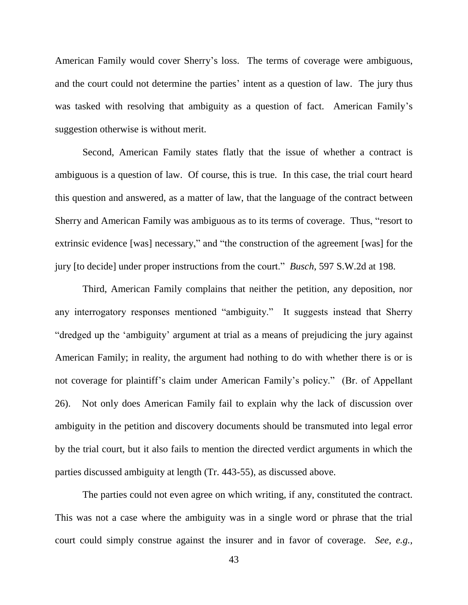American Family would cover Sherry"s loss. The terms of coverage were ambiguous, and the court could not determine the parties' intent as a question of law. The jury thus was tasked with resolving that ambiguity as a question of fact. American Family's suggestion otherwise is without merit.

Second, American Family states flatly that the issue of whether a contract is ambiguous is a question of law. Of course, this is true. In this case, the trial court heard this question and answered, as a matter of law, that the language of the contract between Sherry and American Family was ambiguous as to its terms of coverage. Thus, "resort to extrinsic evidence [was] necessary," and "the construction of the agreement [was] for the jury [to decide] under proper instructions from the court." *Busch*, 597 S.W.2d at 198.

Third, American Family complains that neither the petition, any deposition, nor any interrogatory responses mentioned "ambiguity." It suggests instead that Sherry "dredged up the "ambiguity" argument at trial as a means of prejudicing the jury against American Family; in reality, the argument had nothing to do with whether there is or is not coverage for plaintiff"s claim under American Family"s policy." (Br. of Appellant 26). Not only does American Family fail to explain why the lack of discussion over ambiguity in the petition and discovery documents should be transmuted into legal error by the trial court, but it also fails to mention the directed verdict arguments in which the parties discussed ambiguity at length (Tr. 443-55), as discussed above.

The parties could not even agree on which writing, if any, constituted the contract. This was not a case where the ambiguity was in a single word or phrase that the trial court could simply construe against the insurer and in favor of coverage. *See, e.g.,*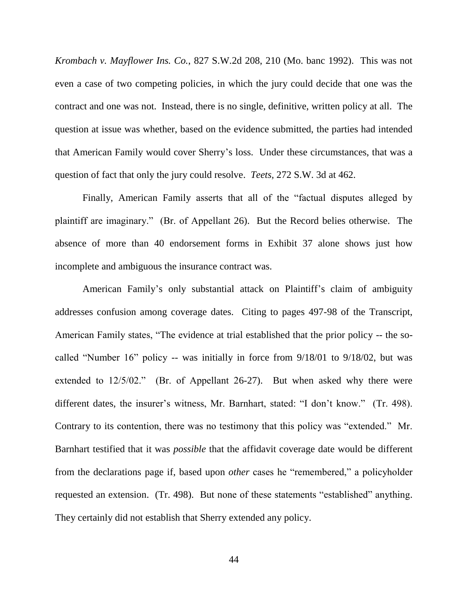*Krombach v. Mayflower Ins. Co.*, 827 S.W.2d 208, 210 (Mo. banc 1992). This was not even a case of two competing policies, in which the jury could decide that one was the contract and one was not. Instead, there is no single, definitive, written policy at all. The question at issue was whether, based on the evidence submitted, the parties had intended that American Family would cover Sherry"s loss. Under these circumstances, that was a question of fact that only the jury could resolve. *Teets,* 272 S.W. 3d at 462.

Finally, American Family asserts that all of the "factual disputes alleged by plaintiff are imaginary." (Br. of Appellant 26). But the Record belies otherwise. The absence of more than 40 endorsement forms in Exhibit 37 alone shows just how incomplete and ambiguous the insurance contract was.

American Family's only substantial attack on Plaintiff's claim of ambiguity addresses confusion among coverage dates. Citing to pages 497-98 of the Transcript, American Family states, "The evidence at trial established that the prior policy -- the socalled "Number 16" policy -- was initially in force from 9/18/01 to 9/18/02, but was extended to 12/5/02." (Br. of Appellant 26-27). But when asked why there were different dates, the insurer's witness, Mr. Barnhart, stated: "I don't know." (Tr. 498). Contrary to its contention, there was no testimony that this policy was "extended." Mr. Barnhart testified that it was *possible* that the affidavit coverage date would be different from the declarations page if, based upon *other* cases he "remembered," a policyholder requested an extension. (Tr. 498). But none of these statements "established" anything. They certainly did not establish that Sherry extended any policy.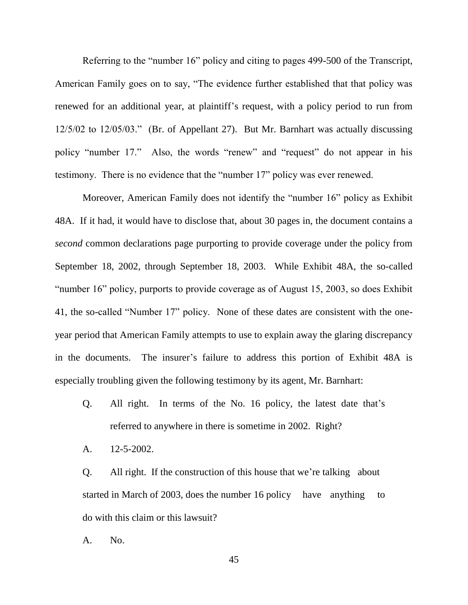Referring to the "number 16" policy and citing to pages 499-500 of the Transcript, American Family goes on to say, "The evidence further established that that policy was renewed for an additional year, at plaintiff"s request, with a policy period to run from 12/5/02 to 12/05/03." (Br. of Appellant 27). But Mr. Barnhart was actually discussing policy "number 17." Also, the words "renew" and "request" do not appear in his testimony. There is no evidence that the "number 17" policy was ever renewed.

Moreover, American Family does not identify the "number 16" policy as Exhibit 48A. If it had, it would have to disclose that, about 30 pages in, the document contains a *second* common declarations page purporting to provide coverage under the policy from September 18, 2002, through September 18, 2003. While Exhibit 48A, the so-called "number 16" policy, purports to provide coverage as of August 15, 2003, so does Exhibit 41, the so-called "Number 17" policy. None of these dates are consistent with the oneyear period that American Family attempts to use to explain away the glaring discrepancy in the documents. The insurer's failure to address this portion of Exhibit 48A is especially troubling given the following testimony by its agent, Mr. Barnhart:

- Q. All right. In terms of the No. 16 policy, the latest date that"s referred to anywhere in there is sometime in 2002. Right?
- A. 12-5-2002.

Q. All right. If the construction of this house that we"re talking about started in March of 2003, does the number 16 policy have anything to do with this claim or this lawsuit?

A. No.

45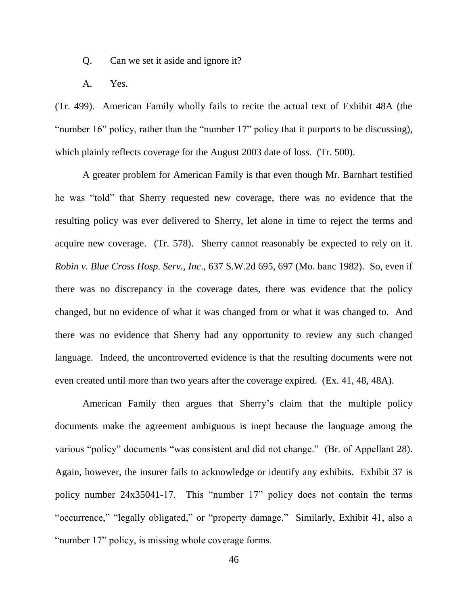Q. Can we set it aside and ignore it?

A. Yes.

(Tr. 499). American Family wholly fails to recite the actual text of Exhibit 48A (the "number 16" policy, rather than the "number 17" policy that it purports to be discussing), which plainly reflects coverage for the August 2003 date of loss. (Tr. 500).

A greater problem for American Family is that even though Mr. Barnhart testified he was "told" that Sherry requested new coverage, there was no evidence that the resulting policy was ever delivered to Sherry, let alone in time to reject the terms and acquire new coverage. (Tr. 578). Sherry cannot reasonably be expected to rely on it. *Robin v. Blue Cross Hosp. Serv., Inc*., 637 S.W.2d 695, 697 (Mo. banc 1982). So, even if there was no discrepancy in the coverage dates, there was evidence that the policy changed, but no evidence of what it was changed from or what it was changed to. And there was no evidence that Sherry had any opportunity to review any such changed language. Indeed, the uncontroverted evidence is that the resulting documents were not even created until more than two years after the coverage expired. (Ex. 41, 48, 48A).

American Family then argues that Sherry"s claim that the multiple policy documents make the agreement ambiguous is inept because the language among the various "policy" documents "was consistent and did not change." (Br. of Appellant 28). Again, however, the insurer fails to acknowledge or identify any exhibits. Exhibit 37 is policy number 24x35041-17. This "number 17" policy does not contain the terms "occurrence," "legally obligated," or "property damage." Similarly, Exhibit 41, also a "number 17" policy, is missing whole coverage forms.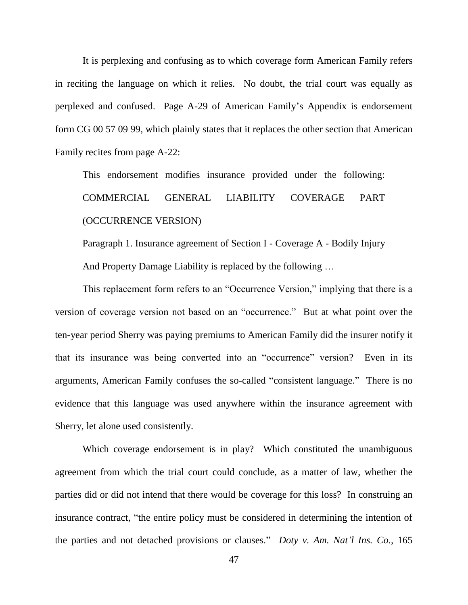It is perplexing and confusing as to which coverage form American Family refers in reciting the language on which it relies. No doubt, the trial court was equally as perplexed and confused. Page A-29 of American Family"s Appendix is endorsement form CG 00 57 09 99, which plainly states that it replaces the other section that American Family recites from page A-22:

This endorsement modifies insurance provided under the following: COMMERCIAL GENERAL LIABILITY COVERAGE PART (OCCURRENCE VERSION)

Paragraph 1. Insurance agreement of Section I - Coverage A - Bodily Injury And Property Damage Liability is replaced by the following …

This replacement form refers to an "Occurrence Version," implying that there is a version of coverage version not based on an "occurrence." But at what point over the ten-year period Sherry was paying premiums to American Family did the insurer notify it that its insurance was being converted into an "occurrence" version? Even in its arguments, American Family confuses the so-called "consistent language." There is no evidence that this language was used anywhere within the insurance agreement with Sherry, let alone used consistently.

Which coverage endorsement is in play? Which constituted the unambiguous agreement from which the trial court could conclude, as a matter of law, whether the parties did or did not intend that there would be coverage for this loss? In construing an insurance contract, "the entire policy must be considered in determining the intention of the parties and not detached provisions or clauses." *Doty v. Am. Nat'l Ins. Co.*, 165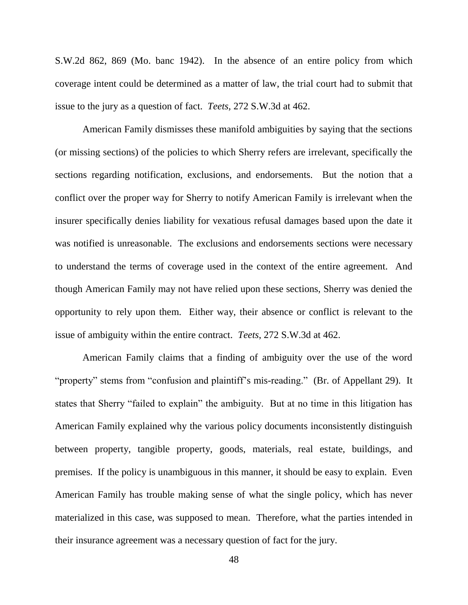S.W.2d 862, 869 (Mo. banc 1942). In the absence of an entire policy from which coverage intent could be determined as a matter of law, the trial court had to submit that issue to the jury as a question of fact. *Teets,* 272 S.W.3d at 462.

American Family dismisses these manifold ambiguities by saying that the sections (or missing sections) of the policies to which Sherry refers are irrelevant, specifically the sections regarding notification, exclusions, and endorsements. But the notion that a conflict over the proper way for Sherry to notify American Family is irrelevant when the insurer specifically denies liability for vexatious refusal damages based upon the date it was notified is unreasonable. The exclusions and endorsements sections were necessary to understand the terms of coverage used in the context of the entire agreement. And though American Family may not have relied upon these sections, Sherry was denied the opportunity to rely upon them. Either way, their absence or conflict is relevant to the issue of ambiguity within the entire contract. *Teets*, 272 S.W.3d at 462.

American Family claims that a finding of ambiguity over the use of the word "property" stems from "confusion and plaintiff"s mis-reading." (Br. of Appellant 29). It states that Sherry "failed to explain" the ambiguity. But at no time in this litigation has American Family explained why the various policy documents inconsistently distinguish between property, tangible property, goods, materials, real estate, buildings, and premises. If the policy is unambiguous in this manner, it should be easy to explain. Even American Family has trouble making sense of what the single policy, which has never materialized in this case, was supposed to mean. Therefore, what the parties intended in their insurance agreement was a necessary question of fact for the jury.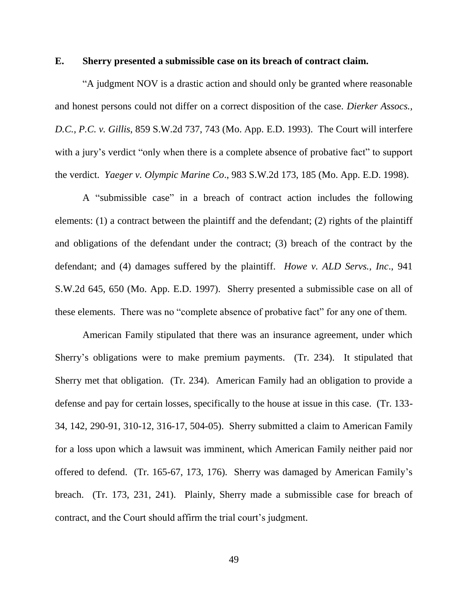#### **E. Sherry presented a submissible case on its breach of contract claim.**

"A judgment NOV is a drastic action and should only be granted where reasonable and honest persons could not differ on a correct disposition of the case. *Dierker Assocs., D.C., P.C. v. Gillis*, 859 S.W.2d 737, 743 (Mo. App. E.D. 1993). The Court will interfere with a jury's verdict "only when there is a complete absence of probative fact" to support the verdict. *Yaeger v. Olympic Marine Co*., 983 S.W.2d 173, 185 (Mo. App. E.D. 1998).

A "submissible case" in a breach of contract action includes the following elements: (1) a contract between the plaintiff and the defendant; (2) rights of the plaintiff and obligations of the defendant under the contract; (3) breach of the contract by the defendant; and (4) damages suffered by the plaintiff. *Howe v. ALD Servs., Inc*., 941 S.W.2d 645, 650 (Mo. App. E.D. 1997). Sherry presented a submissible case on all of these elements. There was no "complete absence of probative fact" for any one of them.

American Family stipulated that there was an insurance agreement, under which Sherry"s obligations were to make premium payments. (Tr. 234). It stipulated that Sherry met that obligation. (Tr. 234). American Family had an obligation to provide a defense and pay for certain losses, specifically to the house at issue in this case. (Tr. 133- 34, 142, 290-91, 310-12, 316-17, 504-05). Sherry submitted a claim to American Family for a loss upon which a lawsuit was imminent, which American Family neither paid nor offered to defend. (Tr. 165-67, 173, 176). Sherry was damaged by American Family"s breach. (Tr. 173, 231, 241). Plainly, Sherry made a submissible case for breach of contract, and the Court should affirm the trial court's judgment.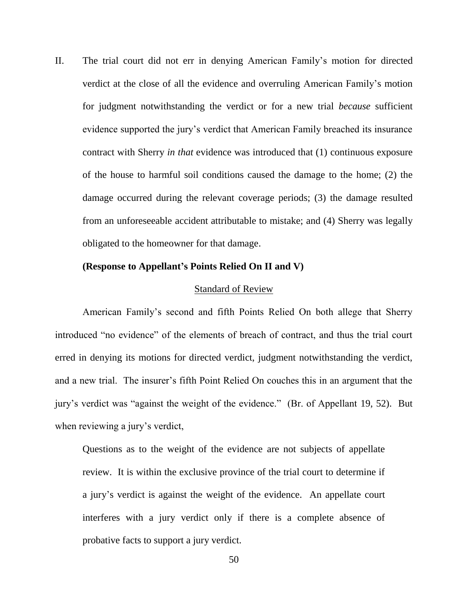II. The trial court did not err in denying American Family"s motion for directed verdict at the close of all the evidence and overruling American Family"s motion for judgment notwithstanding the verdict or for a new trial *because* sufficient evidence supported the jury"s verdict that American Family breached its insurance contract with Sherry *in that* evidence was introduced that (1) continuous exposure of the house to harmful soil conditions caused the damage to the home; (2) the damage occurred during the relevant coverage periods; (3) the damage resulted from an unforeseeable accident attributable to mistake; and (4) Sherry was legally obligated to the homeowner for that damage.

#### **(Response to Appellant's Points Relied On II and V)**

#### Standard of Review

American Family"s second and fifth Points Relied On both allege that Sherry introduced "no evidence" of the elements of breach of contract, and thus the trial court erred in denying its motions for directed verdict, judgment notwithstanding the verdict, and a new trial. The insurer's fifth Point Relied On couches this in an argument that the jury"s verdict was "against the weight of the evidence." (Br. of Appellant 19, 52). But when reviewing a jury's verdict,

Questions as to the weight of the evidence are not subjects of appellate review. It is within the exclusive province of the trial court to determine if a jury"s verdict is against the weight of the evidence. An appellate court interferes with a jury verdict only if there is a complete absence of probative facts to support a jury verdict.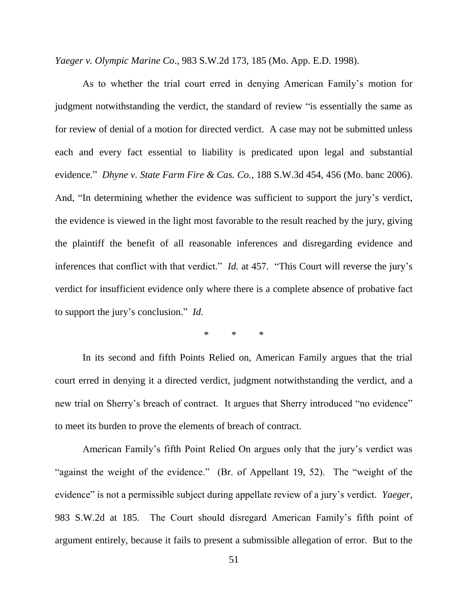*Yaeger v. Olympic Marine Co*., 983 S.W.2d 173, 185 (Mo. App. E.D. 1998).

As to whether the trial court erred in denying American Family"s motion for judgment notwithstanding the verdict, the standard of review "is essentially the same as for review of denial of a motion for directed verdict. A case may not be submitted unless each and every fact essential to liability is predicated upon legal and substantial evidence." *Dhyne v. State Farm Fire & Cas. Co.*, 188 S.W.3d 454, 456 (Mo. banc 2006). And, "In determining whether the evidence was sufficient to support the jury's verdict, the evidence is viewed in the light most favorable to the result reached by the jury, giving the plaintiff the benefit of all reasonable inferences and disregarding evidence and inferences that conflict with that verdict." *Id.* at 457. "This Court will reverse the jury's verdict for insufficient evidence only where there is a complete absence of probative fact to support the jury"s conclusion." *Id*.

 $*$   $*$ 

In its second and fifth Points Relied on, American Family argues that the trial court erred in denying it a directed verdict, judgment notwithstanding the verdict, and a new trial on Sherry's breach of contract. It argues that Sherry introduced "no evidence" to meet its burden to prove the elements of breach of contract.

American Family"s fifth Point Relied On argues only that the jury"s verdict was "against the weight of the evidence." (Br. of Appellant 19, 52). The "weight of the evidence" is not a permissible subject during appellate review of a jury"s verdict. *Yaeger*, 983 S.W.2d at 185. The Court should disregard American Family"s fifth point of argument entirely, because it fails to present a submissible allegation of error. But to the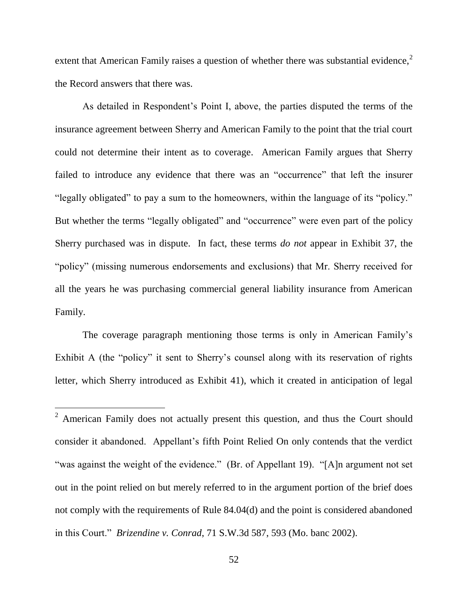extent that American Family raises a question of whether there was substantial evidence,<sup>2</sup> the Record answers that there was.

As detailed in Respondent's Point I, above, the parties disputed the terms of the insurance agreement between Sherry and American Family to the point that the trial court could not determine their intent as to coverage. American Family argues that Sherry failed to introduce any evidence that there was an "occurrence" that left the insurer "legally obligated" to pay a sum to the homeowners, within the language of its "policy." But whether the terms "legally obligated" and "occurrence" were even part of the policy Sherry purchased was in dispute. In fact, these terms *do not* appear in Exhibit 37, the "policy" (missing numerous endorsements and exclusions) that Mr. Sherry received for all the years he was purchasing commercial general liability insurance from American Family.

The coverage paragraph mentioning those terms is only in American Family"s Exhibit A (the "policy" it sent to Sherry's counsel along with its reservation of rights letter, which Sherry introduced as Exhibit 41), which it created in anticipation of legal

l

<sup>&</sup>lt;sup>2</sup> American Family does not actually present this question, and thus the Court should consider it abandoned. Appellant"s fifth Point Relied On only contends that the verdict "was against the weight of the evidence." (Br. of Appellant 19). "[A]n argument not set out in the point relied on but merely referred to in the argument portion of the brief does not comply with the requirements of Rule 84.04(d) and the point is considered abandoned in this Court." *Brizendine v. Conrad*, 71 S.W.3d 587, 593 (Mo. banc 2002).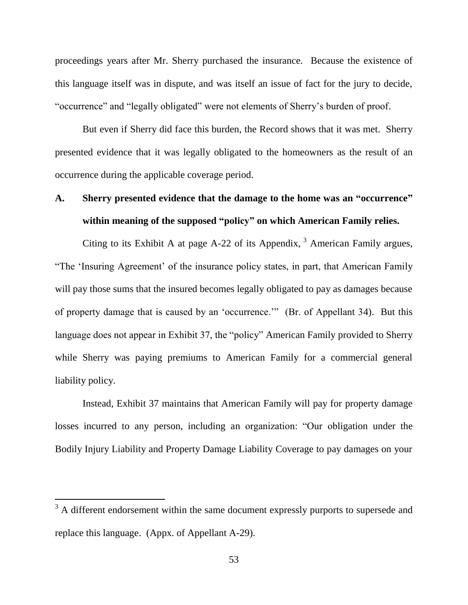proceedings years after Mr. Sherry purchased the insurance. Because the existence of this language itself was in dispute, and was itself an issue of fact for the jury to decide, "occurrence" and "legally obligated" were not elements of Sherry"s burden of proof.

But even if Sherry did face this burden, the Record shows that it was met. Sherry presented evidence that it was legally obligated to the homeowners as the result of an occurrence during the applicable coverage period.

### **A. Sherry presented evidence that the damage to the home was an "occurrence" within meaning of the supposed "policy" on which American Family relies.**

Citing to its Exhibit A at page A-22 of its Appendix,  $3$  American Family argues, "The "Insuring Agreement" of the insurance policy states, in part, that American Family will pay those sums that the insured becomes legally obligated to pay as damages because of property damage that is caused by an "occurrence."" (Br. of Appellant 34). But this language does not appear in Exhibit 37, the "policy" American Family provided to Sherry while Sherry was paying premiums to American Family for a commercial general liability policy.

Instead, Exhibit 37 maintains that American Family will pay for property damage losses incurred to any person, including an organization: "Our obligation under the Bodily Injury Liability and Property Damage Liability Coverage to pay damages on your

l

 $3 \text{ A}$  different endorsement within the same document expressly purports to supersede and replace this language. (Appx. of Appellant A-29).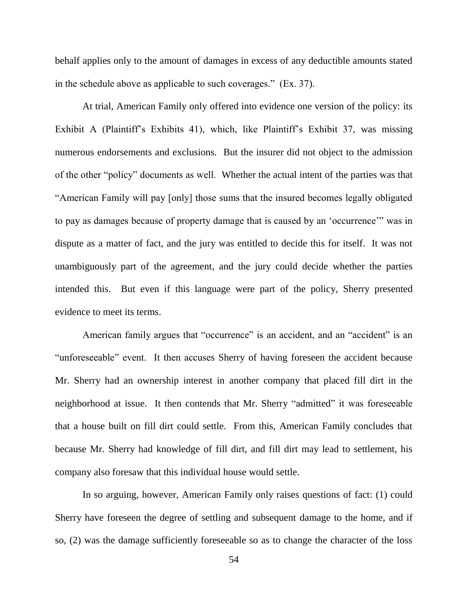behalf applies only to the amount of damages in excess of any deductible amounts stated in the schedule above as applicable to such coverages." (Ex. 37).

At trial, American Family only offered into evidence one version of the policy: its Exhibit A (Plaintiff's Exhibits 41), which, like Plaintiff's Exhibit 37, was missing numerous endorsements and exclusions. But the insurer did not object to the admission of the other "policy" documents as well. Whether the actual intent of the parties was that "American Family will pay [only] those sums that the insured becomes legally obligated to pay as damages because of property damage that is caused by an "occurrence"" was in dispute as a matter of fact, and the jury was entitled to decide this for itself. It was not unambiguously part of the agreement, and the jury could decide whether the parties intended this. But even if this language were part of the policy, Sherry presented evidence to meet its terms.

American family argues that "occurrence" is an accident, and an "accident" is an "unforeseeable" event. It then accuses Sherry of having foreseen the accident because Mr. Sherry had an ownership interest in another company that placed fill dirt in the neighborhood at issue. It then contends that Mr. Sherry "admitted" it was foreseeable that a house built on fill dirt could settle. From this, American Family concludes that because Mr. Sherry had knowledge of fill dirt, and fill dirt may lead to settlement, his company also foresaw that this individual house would settle.

In so arguing, however, American Family only raises questions of fact: (1) could Sherry have foreseen the degree of settling and subsequent damage to the home, and if so, (2) was the damage sufficiently foreseeable so as to change the character of the loss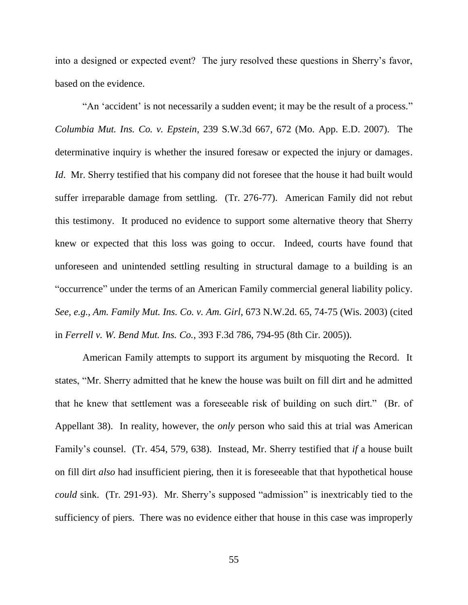into a designed or expected event? The jury resolved these questions in Sherry"s favor, based on the evidence.

"An 'accident' is not necessarily a sudden event; it may be the result of a process." *Columbia Mut. Ins. Co. v. Epstein*, 239 S.W.3d 667, 672 (Mo. App. E.D. 2007). The determinative inquiry is whether the insured foresaw or expected the injury or damages. *Id.* Mr. Sherry testified that his company did not foresee that the house it had built would suffer irreparable damage from settling. (Tr. 276-77). American Family did not rebut this testimony. It produced no evidence to support some alternative theory that Sherry knew or expected that this loss was going to occur. Indeed, courts have found that unforeseen and unintended settling resulting in structural damage to a building is an "occurrence" under the terms of an American Family commercial general liability policy. *See, e.g., Am. Family Mut. Ins. Co. v. Am. Girl*, 673 N.W.2d. 65, 74-75 (Wis. 2003) (cited in *Ferrell v. W. Bend Mut. Ins. Co.,* 393 F.3d 786, 794-95 (8th Cir. 2005)).

American Family attempts to support its argument by misquoting the Record. It states, "Mr. Sherry admitted that he knew the house was built on fill dirt and he admitted that he knew that settlement was a foreseeable risk of building on such dirt." (Br. of Appellant 38). In reality, however, the *only* person who said this at trial was American Family"s counsel. (Tr. 454, 579, 638). Instead, Mr. Sherry testified that *if* a house built on fill dirt *also* had insufficient piering, then it is foreseeable that that hypothetical house *could* sink. (Tr. 291-93). Mr. Sherry's supposed "admission" is inextricably tied to the sufficiency of piers. There was no evidence either that house in this case was improperly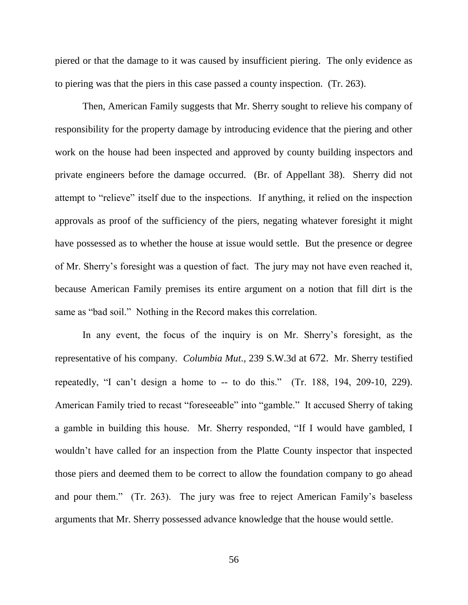piered or that the damage to it was caused by insufficient piering. The only evidence as to piering was that the piers in this case passed a county inspection. (Tr. 263).

Then, American Family suggests that Mr. Sherry sought to relieve his company of responsibility for the property damage by introducing evidence that the piering and other work on the house had been inspected and approved by county building inspectors and private engineers before the damage occurred. (Br. of Appellant 38). Sherry did not attempt to "relieve" itself due to the inspections. If anything, it relied on the inspection approvals as proof of the sufficiency of the piers, negating whatever foresight it might have possessed as to whether the house at issue would settle. But the presence or degree of Mr. Sherry"s foresight was a question of fact. The jury may not have even reached it, because American Family premises its entire argument on a notion that fill dirt is the same as "bad soil." Nothing in the Record makes this correlation.

In any event, the focus of the inquiry is on Mr. Sherry's foresight, as the representative of his company. *Columbia Mut.,* 239 S.W.3d at 672. Mr. Sherry testified repeatedly, "I can't design a home to  $-$  to do this." (Tr. 188, 194, 209-10, 229). American Family tried to recast "foreseeable" into "gamble." It accused Sherry of taking a gamble in building this house. Mr. Sherry responded, "If I would have gambled, I wouldn"t have called for an inspection from the Platte County inspector that inspected those piers and deemed them to be correct to allow the foundation company to go ahead and pour them." (Tr. 263). The jury was free to reject American Family's baseless arguments that Mr. Sherry possessed advance knowledge that the house would settle.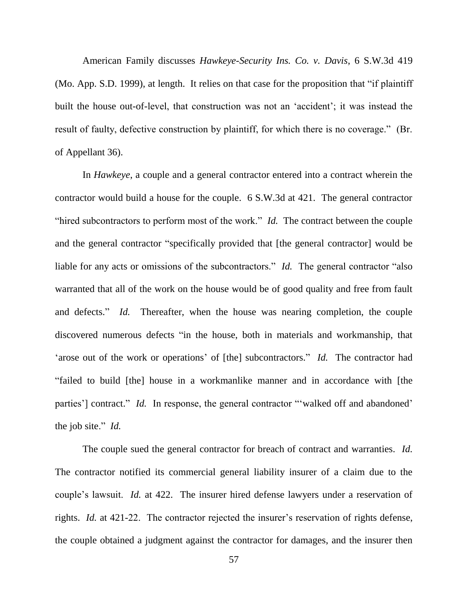American Family discusses *Hawkeye-Security Ins. Co. v. Davis*, 6 S.W.3d 419 (Mo. App. S.D. 1999), at length. It relies on that case for the proposition that "if plaintiff built the house out-of-level, that construction was not an "accident"; it was instead the result of faulty, defective construction by plaintiff, for which there is no coverage." (Br. of Appellant 36).

In *Hawkeye*, a couple and a general contractor entered into a contract wherein the contractor would build a house for the couple. 6 S.W.3d at 421. The general contractor "hired subcontractors to perform most of the work." *Id.* The contract between the couple and the general contractor "specifically provided that [the general contractor] would be liable for any acts or omissions of the subcontractors." *Id.* The general contractor "also" warranted that all of the work on the house would be of good quality and free from fault and defects." *Id.* Thereafter, when the house was nearing completion, the couple discovered numerous defects "in the house, both in materials and workmanship, that 'arose out of the work or operations' of [the] subcontractors." *Id.* The contractor had "failed to build [the] house in a workmanlike manner and in accordance with [the parties'] contract." *Id.* In response, the general contractor "walked off and abandoned' the job site." *Id.*

The couple sued the general contractor for breach of contract and warranties. *Id.* The contractor notified its commercial general liability insurer of a claim due to the couple"s lawsuit. *Id.* at 422. The insurer hired defense lawyers under a reservation of rights. *Id.* at 421-22. The contractor rejected the insurer's reservation of rights defense, the couple obtained a judgment against the contractor for damages, and the insurer then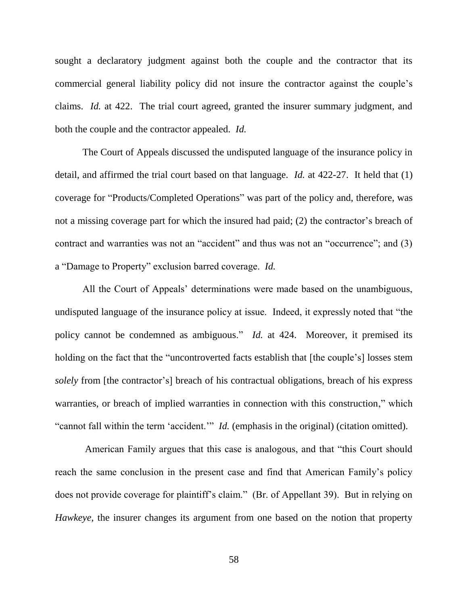sought a declaratory judgment against both the couple and the contractor that its commercial general liability policy did not insure the contractor against the couple"s claims. *Id.* at 422. The trial court agreed, granted the insurer summary judgment, and both the couple and the contractor appealed. *Id.*

The Court of Appeals discussed the undisputed language of the insurance policy in detail, and affirmed the trial court based on that language. *Id.* at 422-27. It held that (1) coverage for "Products/Completed Operations" was part of the policy and, therefore, was not a missing coverage part for which the insured had paid; (2) the contractor's breach of contract and warranties was not an "accident" and thus was not an "occurrence"; and (3) a "Damage to Property" exclusion barred coverage. *Id.*

All the Court of Appeals' determinations were made based on the unambiguous, undisputed language of the insurance policy at issue. Indeed, it expressly noted that "the policy cannot be condemned as ambiguous." *Id.* at 424. Moreover, it premised its holding on the fact that the "uncontroverted facts establish that [the couple's] losses stem *solely* from [the contractor"s] breach of his contractual obligations, breach of his express warranties, or breach of implied warranties in connection with this construction," which "cannot fall within the term 'accident."" *Id.* (emphasis in the original) (citation omitted).

American Family argues that this case is analogous, and that "this Court should reach the same conclusion in the present case and find that American Family"s policy does not provide coverage for plaintiff"s claim." (Br. of Appellant 39). But in relying on *Hawkeye*, the insurer changes its argument from one based on the notion that property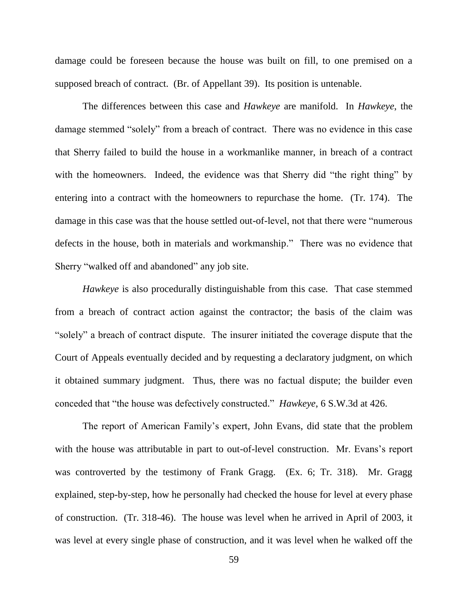damage could be foreseen because the house was built on fill, to one premised on a supposed breach of contract. (Br. of Appellant 39). Its position is untenable.

The differences between this case and *Hawkeye* are manifold. In *Hawkeye*, the damage stemmed "solely" from a breach of contract. There was no evidence in this case that Sherry failed to build the house in a workmanlike manner, in breach of a contract with the homeowners. Indeed, the evidence was that Sherry did "the right thing" by entering into a contract with the homeowners to repurchase the home. (Tr. 174). The damage in this case was that the house settled out-of-level, not that there were "numerous defects in the house, both in materials and workmanship." There was no evidence that Sherry "walked off and abandoned" any job site.

*Hawkeye* is also procedurally distinguishable from this case. That case stemmed from a breach of contract action against the contractor; the basis of the claim was "solely" a breach of contract dispute. The insurer initiated the coverage dispute that the Court of Appeals eventually decided and by requesting a declaratory judgment, on which it obtained summary judgment. Thus, there was no factual dispute; the builder even conceded that "the house was defectively constructed." *Hawkeye*, 6 S.W.3d at 426.

The report of American Family"s expert, John Evans, did state that the problem with the house was attributable in part to out-of-level construction. Mr. Evans's report was controverted by the testimony of Frank Gragg. (Ex. 6; Tr. 318). Mr. Gragg explained, step-by-step, how he personally had checked the house for level at every phase of construction. (Tr. 318-46). The house was level when he arrived in April of 2003, it was level at every single phase of construction, and it was level when he walked off the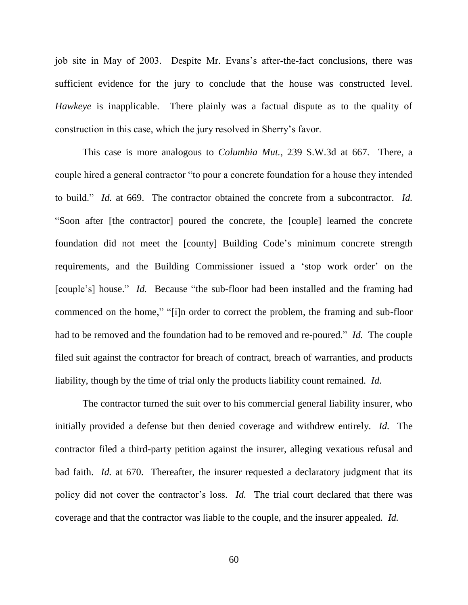job site in May of 2003. Despite Mr. Evans"s after-the-fact conclusions, there was sufficient evidence for the jury to conclude that the house was constructed level. *Hawkeye* is inapplicable. There plainly was a factual dispute as to the quality of construction in this case, which the jury resolved in Sherry"s favor.

This case is more analogous to *Columbia Mut.*, 239 S.W.3d at 667. There, a couple hired a general contractor "to pour a concrete foundation for a house they intended to build." *Id.* at 669. The contractor obtained the concrete from a subcontractor. *Id.* "Soon after [the contractor] poured the concrete, the [couple] learned the concrete foundation did not meet the [county] Building Code"s minimum concrete strength requirements, and the Building Commissioner issued a "stop work order" on the [couple's] house." *Id.* Because "the sub-floor had been installed and the framing had commenced on the home," "[i]n order to correct the problem, the framing and sub-floor had to be removed and the foundation had to be removed and re-poured." *Id.* The couple filed suit against the contractor for breach of contract, breach of warranties, and products liability, though by the time of trial only the products liability count remained. *Id.*

The contractor turned the suit over to his commercial general liability insurer, who initially provided a defense but then denied coverage and withdrew entirely. *Id.* The contractor filed a third-party petition against the insurer, alleging vexatious refusal and bad faith. *Id.* at 670. Thereafter, the insurer requested a declaratory judgment that its policy did not cover the contractor's loss. *Id.* The trial court declared that there was coverage and that the contractor was liable to the couple, and the insurer appealed. *Id.*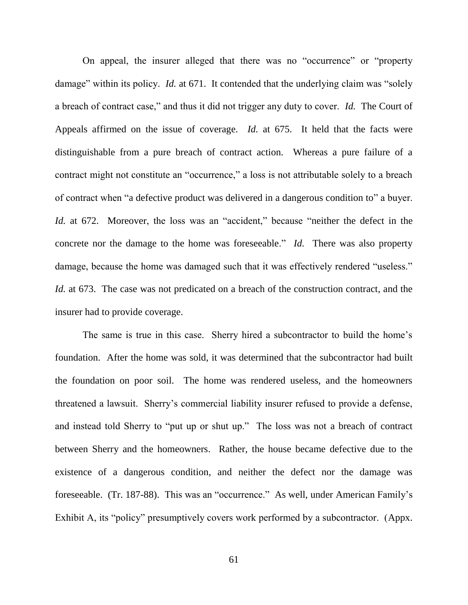On appeal, the insurer alleged that there was no "occurrence" or "property damage" within its policy. *Id.* at 671. It contended that the underlying claim was "solely a breach of contract case," and thus it did not trigger any duty to cover. *Id.* The Court of Appeals affirmed on the issue of coverage. *Id.* at 675. It held that the facts were distinguishable from a pure breach of contract action. Whereas a pure failure of a contract might not constitute an "occurrence," a loss is not attributable solely to a breach of contract when "a defective product was delivered in a dangerous condition to" a buyer. *Id.* at 672. Moreover, the loss was an "accident," because "neither the defect in the concrete nor the damage to the home was foreseeable." *Id.* There was also property damage, because the home was damaged such that it was effectively rendered "useless." *Id.* at 673. The case was not predicated on a breach of the construction contract, and the insurer had to provide coverage.

The same is true in this case. Sherry hired a subcontractor to build the home's foundation. After the home was sold, it was determined that the subcontractor had built the foundation on poor soil. The home was rendered useless, and the homeowners threatened a lawsuit. Sherry"s commercial liability insurer refused to provide a defense, and instead told Sherry to "put up or shut up." The loss was not a breach of contract between Sherry and the homeowners. Rather, the house became defective due to the existence of a dangerous condition, and neither the defect nor the damage was foreseeable. (Tr. 187-88). This was an "occurrence." As well, under American Family"s Exhibit A, its "policy" presumptively covers work performed by a subcontractor. (Appx.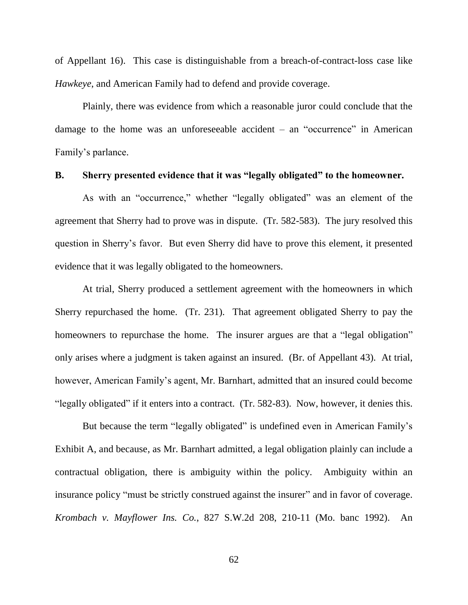of Appellant 16). This case is distinguishable from a breach-of-contract-loss case like *Hawkeye*, and American Family had to defend and provide coverage.

Plainly, there was evidence from which a reasonable juror could conclude that the damage to the home was an unforeseeable accident  $-$  an "occurrence" in American Family"s parlance.

#### **B. Sherry presented evidence that it was "legally obligated" to the homeowner.**

As with an "occurrence," whether "legally obligated" was an element of the agreement that Sherry had to prove was in dispute. (Tr. 582-583). The jury resolved this question in Sherry"s favor. But even Sherry did have to prove this element, it presented evidence that it was legally obligated to the homeowners.

At trial, Sherry produced a settlement agreement with the homeowners in which Sherry repurchased the home. (Tr. 231). That agreement obligated Sherry to pay the homeowners to repurchase the home. The insurer argues are that a "legal obligation" only arises where a judgment is taken against an insured. (Br. of Appellant 43). At trial, however, American Family"s agent, Mr. Barnhart, admitted that an insured could become "legally obligated" if it enters into a contract. (Tr. 582-83). Now, however, it denies this.

But because the term "legally obligated" is undefined even in American Family's Exhibit A, and because, as Mr. Barnhart admitted, a legal obligation plainly can include a contractual obligation, there is ambiguity within the policy. Ambiguity within an insurance policy "must be strictly construed against the insurer" and in favor of coverage. *Krombach v. Mayflower Ins. Co.*, 827 S.W.2d 208, 210-11 (Mo. banc 1992). An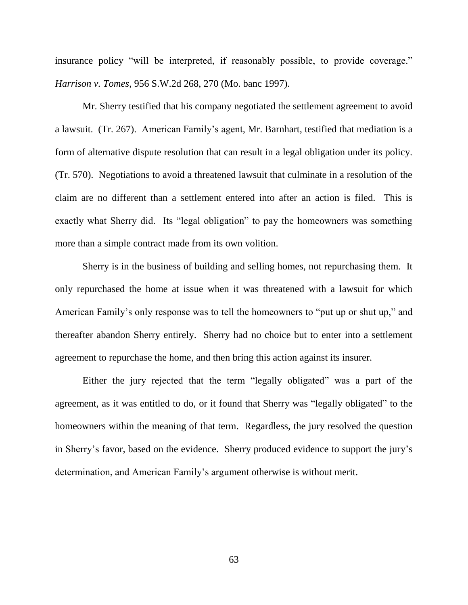insurance policy "will be interpreted, if reasonably possible, to provide coverage." *Harrison v. Tomes*, 956 S.W.2d 268, 270 (Mo. banc 1997).

Mr. Sherry testified that his company negotiated the settlement agreement to avoid a lawsuit. (Tr. 267). American Family"s agent, Mr. Barnhart, testified that mediation is a form of alternative dispute resolution that can result in a legal obligation under its policy. (Tr. 570). Negotiations to avoid a threatened lawsuit that culminate in a resolution of the claim are no different than a settlement entered into after an action is filed. This is exactly what Sherry did. Its "legal obligation" to pay the homeowners was something more than a simple contract made from its own volition.

Sherry is in the business of building and selling homes, not repurchasing them. It only repurchased the home at issue when it was threatened with a lawsuit for which American Family"s only response was to tell the homeowners to "put up or shut up," and thereafter abandon Sherry entirely. Sherry had no choice but to enter into a settlement agreement to repurchase the home, and then bring this action against its insurer.

Either the jury rejected that the term "legally obligated" was a part of the agreement, as it was entitled to do, or it found that Sherry was "legally obligated" to the homeowners within the meaning of that term. Regardless, the jury resolved the question in Sherry"s favor, based on the evidence. Sherry produced evidence to support the jury"s determination, and American Family"s argument otherwise is without merit.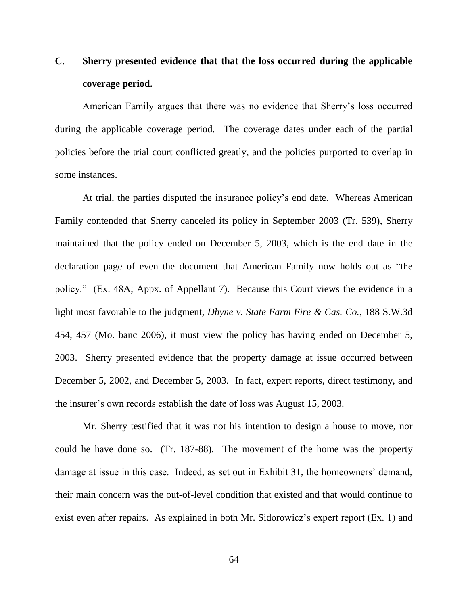## **C. Sherry presented evidence that that the loss occurred during the applicable coverage period.**

American Family argues that there was no evidence that Sherry"s loss occurred during the applicable coverage period. The coverage dates under each of the partial policies before the trial court conflicted greatly, and the policies purported to overlap in some instances.

At trial, the parties disputed the insurance policy"s end date. Whereas American Family contended that Sherry canceled its policy in September 2003 (Tr. 539), Sherry maintained that the policy ended on December 5, 2003, which is the end date in the declaration page of even the document that American Family now holds out as "the policy." (Ex. 48A; Appx. of Appellant 7). Because this Court views the evidence in a light most favorable to the judgment, *Dhyne v. State Farm Fire & Cas. Co.*, 188 S.W.3d 454, 457 (Mo. banc 2006), it must view the policy has having ended on December 5, 2003. Sherry presented evidence that the property damage at issue occurred between December 5, 2002, and December 5, 2003. In fact, expert reports, direct testimony, and the insurer"s own records establish the date of loss was August 15, 2003.

Mr. Sherry testified that it was not his intention to design a house to move, nor could he have done so. (Tr. 187-88). The movement of the home was the property damage at issue in this case. Indeed, as set out in Exhibit 31, the homeowners' demand, their main concern was the out-of-level condition that existed and that would continue to exist even after repairs. As explained in both Mr. Sidorowicz's expert report (Ex. 1) and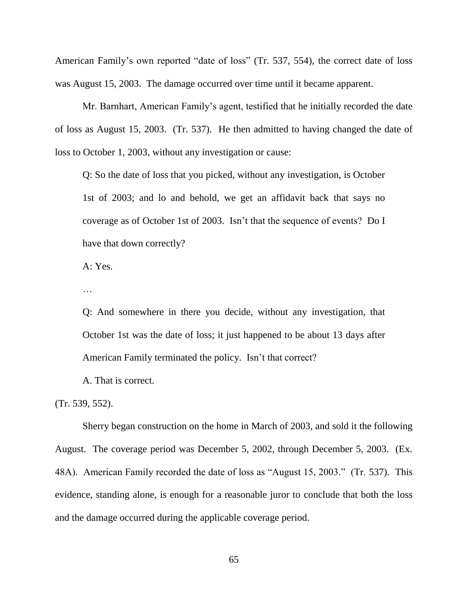American Family"s own reported "date of loss" (Tr. 537, 554), the correct date of loss was August 15, 2003. The damage occurred over time until it became apparent.

Mr. Barnhart, American Family"s agent, testified that he initially recorded the date of loss as August 15, 2003. (Tr. 537). He then admitted to having changed the date of loss to October 1, 2003, without any investigation or cause:

Q: So the date of loss that you picked, without any investigation, is October 1st of 2003; and lo and behold, we get an affidavit back that says no coverage as of October 1st of 2003. Isn"t that the sequence of events? Do I have that down correctly?

A: Yes.

…

Q: And somewhere in there you decide, without any investigation, that October 1st was the date of loss; it just happened to be about 13 days after American Family terminated the policy. Isn"t that correct?

A. That is correct.

(Tr. 539, 552).

Sherry began construction on the home in March of 2003, and sold it the following August. The coverage period was December 5, 2002, through December 5, 2003. (Ex. 48A). American Family recorded the date of loss as "August 15, 2003." (Tr. 537). This evidence, standing alone, is enough for a reasonable juror to conclude that both the loss and the damage occurred during the applicable coverage period.

65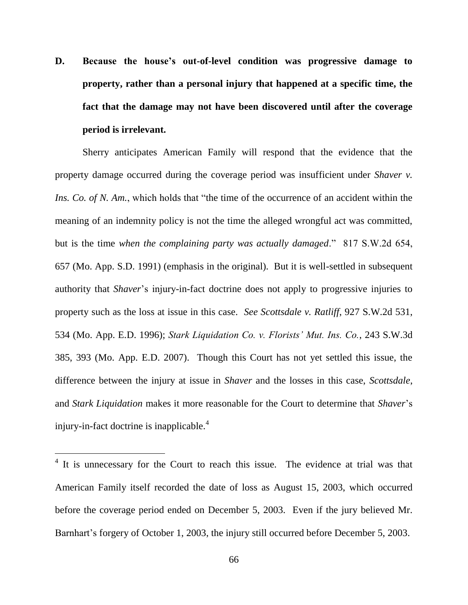**D. Because the house's out-of-level condition was progressive damage to property, rather than a personal injury that happened at a specific time, the fact that the damage may not have been discovered until after the coverage period is irrelevant.**

Sherry anticipates American Family will respond that the evidence that the property damage occurred during the coverage period was insufficient under *Shaver v. Ins. Co. of N. Am.*, which holds that "the time of the occurrence of an accident within the meaning of an indemnity policy is not the time the alleged wrongful act was committed, but is the time *when the complaining party was actually damaged*." 817 S.W.2d 654, 657 (Mo. App. S.D. 1991) (emphasis in the original). But it is well-settled in subsequent authority that *Shaver*"s injury-in-fact doctrine does not apply to progressive injuries to property such as the loss at issue in this case. *See Scottsdale v. Ratliff*, 927 S.W.2d 531, 534 (Mo. App. E.D. 1996); *Stark Liquidation Co. v. Florists' Mut. Ins. Co.*, 243 S.W.3d 385, 393 (Mo. App. E.D. 2007). Though this Court has not yet settled this issue, the difference between the injury at issue in *Shaver* and the losses in this case, *Scottsdale*, and *Stark Liquidation* makes it more reasonable for the Court to determine that *Shaver*"s injury-in-fact doctrine is inapplicable.<sup>4</sup>

 $\overline{a}$ 

<sup>&</sup>lt;sup>4</sup> It is unnecessary for the Court to reach this issue. The evidence at trial was that American Family itself recorded the date of loss as August 15, 2003, which occurred before the coverage period ended on December 5, 2003. Even if the jury believed Mr. Barnhart's forgery of October 1, 2003, the injury still occurred before December 5, 2003.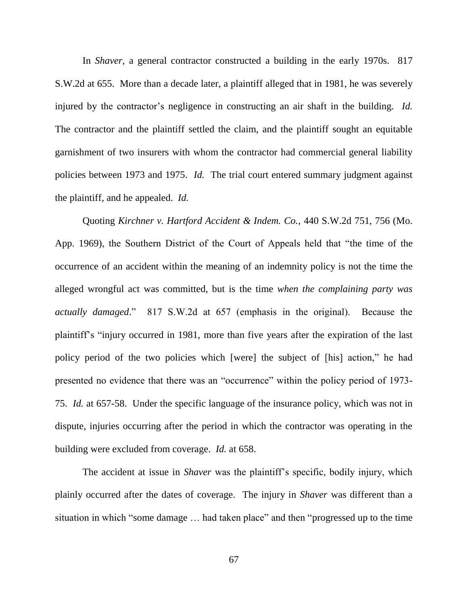In *Shaver*, a general contractor constructed a building in the early 1970s. 817 S.W.2d at 655. More than a decade later, a plaintiff alleged that in 1981, he was severely injured by the contractor's negligence in constructing an air shaft in the building. *Id.* The contractor and the plaintiff settled the claim, and the plaintiff sought an equitable garnishment of two insurers with whom the contractor had commercial general liability policies between 1973 and 1975. *Id.* The trial court entered summary judgment against the plaintiff, and he appealed. *Id.*

Quoting *Kirchner v. Hartford Accident & Indem. Co.*, 440 S.W.2d 751, 756 (Mo. App. 1969), the Southern District of the Court of Appeals held that "the time of the occurrence of an accident within the meaning of an indemnity policy is not the time the alleged wrongful act was committed, but is the time *when the complaining party was actually damaged*." 817 S.W.2d at 657 (emphasis in the original). Because the plaintiff"s "injury occurred in 1981, more than five years after the expiration of the last policy period of the two policies which [were] the subject of [his] action," he had presented no evidence that there was an "occurrence" within the policy period of 1973- 75. *Id.* at 657-58. Under the specific language of the insurance policy, which was not in dispute, injuries occurring after the period in which the contractor was operating in the building were excluded from coverage. *Id.* at 658.

The accident at issue in *Shaver* was the plaintiff's specific, bodily injury, which plainly occurred after the dates of coverage. The injury in *Shaver* was different than a situation in which "some damage … had taken place" and then "progressed up to the time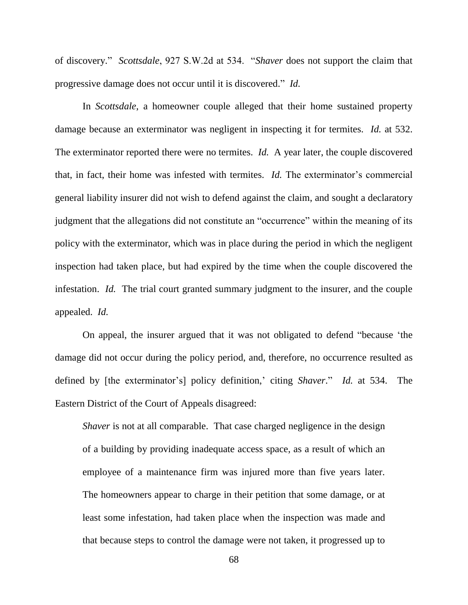of discovery." *Scottsdale*, 927 S.W.2d at 534. "*Shaver* does not support the claim that progressive damage does not occur until it is discovered." *Id.*

In *Scottsdale*, a homeowner couple alleged that their home sustained property damage because an exterminator was negligent in inspecting it for termites. *Id.* at 532. The exterminator reported there were no termites. *Id.* A year later, the couple discovered that, in fact, their home was infested with termites. *Id.* The exterminator's commercial general liability insurer did not wish to defend against the claim, and sought a declaratory judgment that the allegations did not constitute an "occurrence" within the meaning of its policy with the exterminator, which was in place during the period in which the negligent inspection had taken place, but had expired by the time when the couple discovered the infestation. *Id.* The trial court granted summary judgment to the insurer, and the couple appealed. *Id.*

On appeal, the insurer argued that it was not obligated to defend "because "the damage did not occur during the policy period, and, therefore, no occurrence resulted as defined by [the exterminator's] policy definition,' citing *Shaver*." *Id.* at 534. The Eastern District of the Court of Appeals disagreed:

*Shaver* is not at all comparable. That case charged negligence in the design of a building by providing inadequate access space, as a result of which an employee of a maintenance firm was injured more than five years later. The homeowners appear to charge in their petition that some damage, or at least some infestation, had taken place when the inspection was made and that because steps to control the damage were not taken, it progressed up to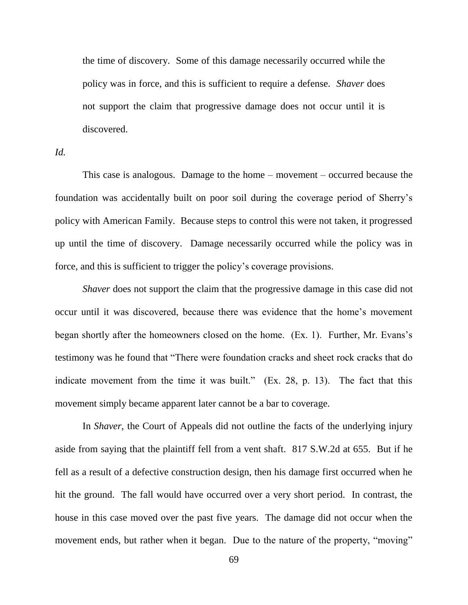the time of discovery. Some of this damage necessarily occurred while the policy was in force, and this is sufficient to require a defense. *Shaver* does not support the claim that progressive damage does not occur until it is discovered.

*Id.*

This case is analogous. Damage to the home – movement – occurred because the foundation was accidentally built on poor soil during the coverage period of Sherry"s policy with American Family. Because steps to control this were not taken, it progressed up until the time of discovery. Damage necessarily occurred while the policy was in force, and this is sufficient to trigger the policy"s coverage provisions.

*Shaver* does not support the claim that the progressive damage in this case did not occur until it was discovered, because there was evidence that the home"s movement began shortly after the homeowners closed on the home. (Ex. 1). Further, Mr. Evans"s testimony was he found that "There were foundation cracks and sheet rock cracks that do indicate movement from the time it was built." (Ex. 28, p. 13). The fact that this movement simply became apparent later cannot be a bar to coverage.

In *Shaver*, the Court of Appeals did not outline the facts of the underlying injury aside from saying that the plaintiff fell from a vent shaft. 817 S.W.2d at 655. But if he fell as a result of a defective construction design, then his damage first occurred when he hit the ground. The fall would have occurred over a very short period. In contrast, the house in this case moved over the past five years. The damage did not occur when the movement ends, but rather when it began. Due to the nature of the property, "moving"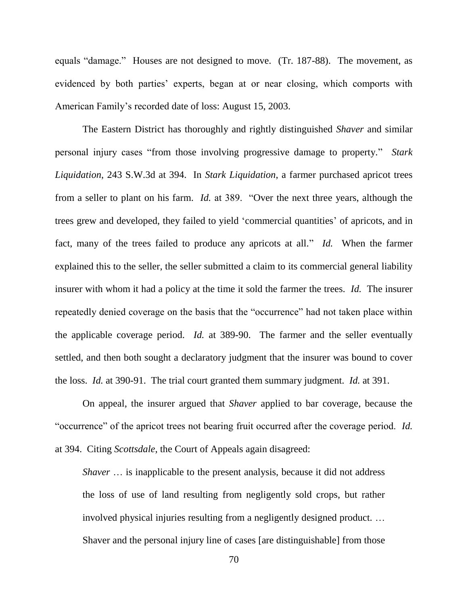equals "damage." Houses are not designed to move. (Tr. 187-88). The movement, as evidenced by both parties' experts, began at or near closing, which comports with American Family"s recorded date of loss: August 15, 2003.

The Eastern District has thoroughly and rightly distinguished *Shaver* and similar personal injury cases "from those involving progressive damage to property." *Stark Liquidation*, 243 S.W.3d at 394. In *Stark Liquidation*, a farmer purchased apricot trees from a seller to plant on his farm. *Id.* at 389. "Over the next three years, although the trees grew and developed, they failed to yield "commercial quantities" of apricots, and in fact, many of the trees failed to produce any apricots at all." *Id.* When the farmer explained this to the seller, the seller submitted a claim to its commercial general liability insurer with whom it had a policy at the time it sold the farmer the trees. *Id.* The insurer repeatedly denied coverage on the basis that the "occurrence" had not taken place within the applicable coverage period. *Id.* at 389-90. The farmer and the seller eventually settled, and then both sought a declaratory judgment that the insurer was bound to cover the loss. *Id.* at 390-91. The trial court granted them summary judgment. *Id.* at 391.

On appeal, the insurer argued that *Shaver* applied to bar coverage, because the "occurrence" of the apricot trees not bearing fruit occurred after the coverage period. *Id.* at 394. Citing *Scottsdale*, the Court of Appeals again disagreed:

*Shaver* ... is inapplicable to the present analysis, because it did not address the loss of use of land resulting from negligently sold crops, but rather involved physical injuries resulting from a negligently designed product. … Shaver and the personal injury line of cases [are distinguishable] from those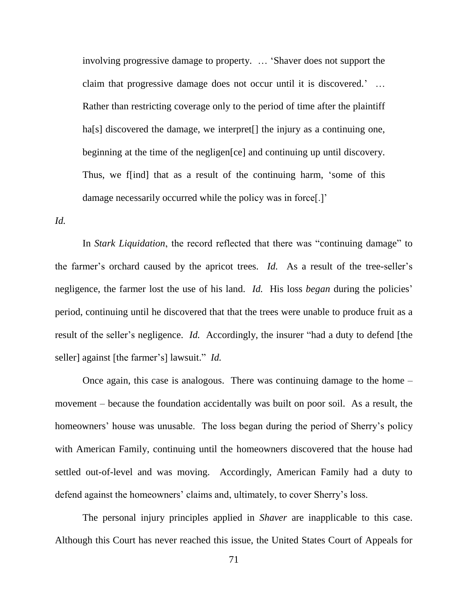involving progressive damage to property. … "Shaver does not support the claim that progressive damage does not occur until it is discovered." … Rather than restricting coverage only to the period of time after the plaintiff ha[s] discovered the damage, we interpret<sup>[]</sup> the injury as a continuing one, beginning at the time of the negligen[ce] and continuing up until discovery. Thus, we f[ind] that as a result of the continuing harm, "some of this damage necessarily occurred while the policy was in force.

*Id.*

In *Stark Liquidation*, the record reflected that there was "continuing damage" to the farmer's orchard caused by the apricot trees. *Id.* As a result of the tree-seller's negligence, the farmer lost the use of his land. *Id.* His loss *began* during the policies' period, continuing until he discovered that that the trees were unable to produce fruit as a result of the seller's negligence. *Id.* Accordingly, the insurer "had a duty to defend [the seller] against [the farmer"s] lawsuit." *Id.*

Once again, this case is analogous. There was continuing damage to the home – movement – because the foundation accidentally was built on poor soil. As a result, the homeowners' house was unusable. The loss began during the period of Sherry's policy with American Family, continuing until the homeowners discovered that the house had settled out-of-level and was moving. Accordingly, American Family had a duty to defend against the homeowners' claims and, ultimately, to cover Sherry's loss.

The personal injury principles applied in *Shaver* are inapplicable to this case. Although this Court has never reached this issue, the United States Court of Appeals for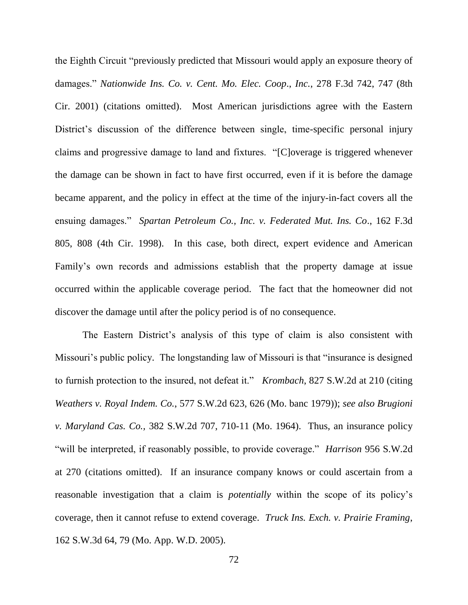the Eighth Circuit "previously predicted that Missouri would apply an exposure theory of damages." *Nationwide Ins. Co. v. Cent. Mo. Elec. Coop*., *Inc.*, 278 F.3d 742, 747 (8th Cir. 2001) (citations omitted). Most American jurisdictions agree with the Eastern District's discussion of the difference between single, time-specific personal injury claims and progressive damage to land and fixtures. "[C]overage is triggered whenever the damage can be shown in fact to have first occurred, even if it is before the damage became apparent, and the policy in effect at the time of the injury-in-fact covers all the ensuing damages." *Spartan Petroleum Co., Inc. v. Federated Mut. Ins. Co*., 162 F.3d 805, 808 (4th Cir. 1998). In this case, both direct, expert evidence and American Family"s own records and admissions establish that the property damage at issue occurred within the applicable coverage period. The fact that the homeowner did not discover the damage until after the policy period is of no consequence.

The Eastern District's analysis of this type of claim is also consistent with Missouri's public policy. The longstanding law of Missouri is that "insurance is designed" to furnish protection to the insured, not defeat it." *Krombach*, 827 S.W.2d at 210 (citing *Weathers v. Royal Indem. Co.*, 577 S.W.2d 623, 626 (Mo. banc 1979)); *see also Brugioni v. Maryland Cas. Co.,* 382 S.W.2d 707, 710-11 (Mo. 1964). Thus, an insurance policy "will be interpreted, if reasonably possible, to provide coverage." *Harrison* 956 S.W.2d at 270 (citations omitted). If an insurance company knows or could ascertain from a reasonable investigation that a claim is *potentially* within the scope of its policy"s coverage, then it cannot refuse to extend coverage. *Truck Ins. Exch. v. Prairie Framing*, 162 S.W.3d 64, 79 (Mo. App. W.D. 2005).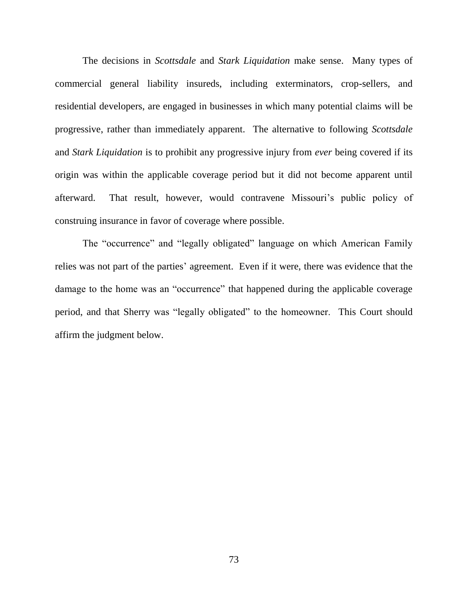The decisions in *Scottsdale* and *Stark Liquidation* make sense. Many types of commercial general liability insureds, including exterminators, crop-sellers, and residential developers, are engaged in businesses in which many potential claims will be progressive, rather than immediately apparent. The alternative to following *Scottsdale* and *Stark Liquidation* is to prohibit any progressive injury from *ever* being covered if its origin was within the applicable coverage period but it did not become apparent until afterward. That result, however, would contravene Missouri's public policy of construing insurance in favor of coverage where possible.

The "occurrence" and "legally obligated" language on which American Family relies was not part of the parties' agreement. Even if it were, there was evidence that the damage to the home was an "occurrence" that happened during the applicable coverage period, and that Sherry was "legally obligated" to the homeowner. This Court should affirm the judgment below.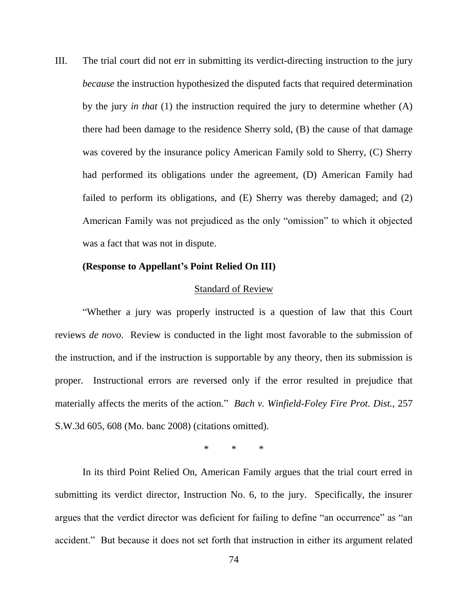III. The trial court did not err in submitting its verdict-directing instruction to the jury *because* the instruction hypothesized the disputed facts that required determination by the jury *in that* (1) the instruction required the jury to determine whether (A) there had been damage to the residence Sherry sold, (B) the cause of that damage was covered by the insurance policy American Family sold to Sherry, (C) Sherry had performed its obligations under the agreement, (D) American Family had failed to perform its obligations, and (E) Sherry was thereby damaged; and (2) American Family was not prejudiced as the only "omission" to which it objected was a fact that was not in dispute.

#### **(Response to Appellant's Point Relied On III)**

#### Standard of Review

"Whether a jury was properly instructed is a question of law that this Court reviews *de novo*. Review is conducted in the light most favorable to the submission of the instruction, and if the instruction is supportable by any theory, then its submission is proper. Instructional errors are reversed only if the error resulted in prejudice that materially affects the merits of the action." *Bach v. Winfield-Foley Fire Prot. Dist.*, 257 S.W.3d 605, 608 (Mo. banc 2008) (citations omitted).

\* \* \*

In its third Point Relied On, American Family argues that the trial court erred in submitting its verdict director, Instruction No. 6, to the jury. Specifically, the insurer argues that the verdict director was deficient for failing to define "an occurrence" as "an accident." But because it does not set forth that instruction in either its argument related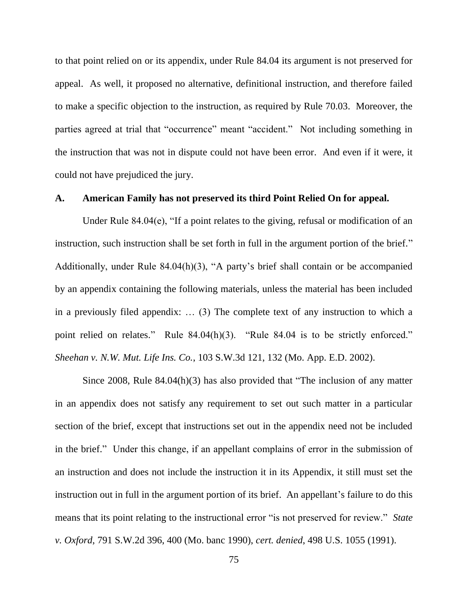to that point relied on or its appendix, under Rule 84.04 its argument is not preserved for appeal. As well, it proposed no alternative, definitional instruction, and therefore failed to make a specific objection to the instruction, as required by Rule 70.03. Moreover, the parties agreed at trial that "occurrence" meant "accident." Not including something in the instruction that was not in dispute could not have been error. And even if it were, it could not have prejudiced the jury.

#### **A. American Family has not preserved its third Point Relied On for appeal.**

Under Rule 84.04(e), "If a point relates to the giving, refusal or modification of an instruction, such instruction shall be set forth in full in the argument portion of the brief." Additionally, under Rule 84.04(h)(3), "A party"s brief shall contain or be accompanied by an appendix containing the following materials, unless the material has been included in a previously filed appendix: … (3) The complete text of any instruction to which a point relied on relates." Rule 84.04(h)(3). "Rule 84.04 is to be strictly enforced." *Sheehan v. N.W. Mut. Life Ins. Co.*, 103 S.W.3d 121, 132 (Mo. App. E.D. 2002).

Since 2008, Rule 84.04(h)(3) has also provided that "The inclusion of any matter in an appendix does not satisfy any requirement to set out such matter in a particular section of the brief, except that instructions set out in the appendix need not be included in the brief." Under this change, if an appellant complains of error in the submission of an instruction and does not include the instruction it in its Appendix, it still must set the instruction out in full in the argument portion of its brief. An appellant's failure to do this means that its point relating to the instructional error "is not preserved for review." *State v. Oxford*, 791 S.W.2d 396, 400 (Mo. banc 1990), *cert. denied*, 498 U.S. 1055 (1991).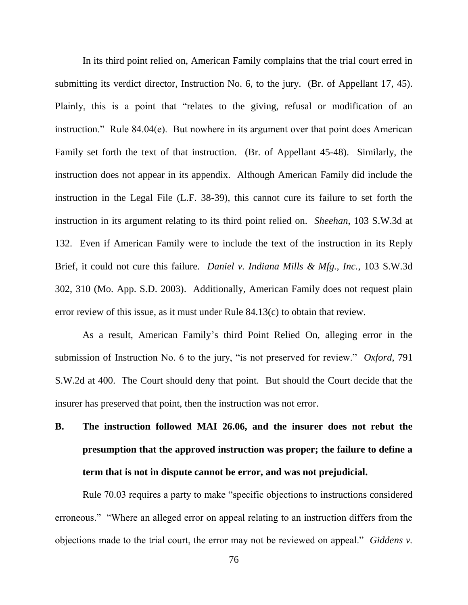In its third point relied on, American Family complains that the trial court erred in submitting its verdict director, Instruction No. 6, to the jury. (Br. of Appellant 17, 45). Plainly, this is a point that "relates to the giving, refusal or modification of an instruction." Rule 84.04(e). But nowhere in its argument over that point does American Family set forth the text of that instruction. (Br. of Appellant 45-48). Similarly, the instruction does not appear in its appendix. Although American Family did include the instruction in the Legal File (L.F. 38-39), this cannot cure its failure to set forth the instruction in its argument relating to its third point relied on. *Sheehan*, 103 S.W.3d at 132. Even if American Family were to include the text of the instruction in its Reply Brief, it could not cure this failure. *Daniel v. Indiana Mills & Mfg., Inc.*, 103 S.W.3d 302, 310 (Mo. App. S.D. 2003). Additionally, American Family does not request plain error review of this issue, as it must under Rule 84.13(c) to obtain that review.

As a result, American Family"s third Point Relied On, alleging error in the submission of Instruction No. 6 to the jury, "is not preserved for review." *Oxford*, 791 S.W.2d at 400. The Court should deny that point. But should the Court decide that the insurer has preserved that point, then the instruction was not error.

# **B. The instruction followed MAI 26.06, and the insurer does not rebut the presumption that the approved instruction was proper; the failure to define a term that is not in dispute cannot be error, and was not prejudicial.**

Rule 70.03 requires a party to make "specific objections to instructions considered erroneous." "Where an alleged error on appeal relating to an instruction differs from the objections made to the trial court, the error may not be reviewed on appeal." *Giddens v.*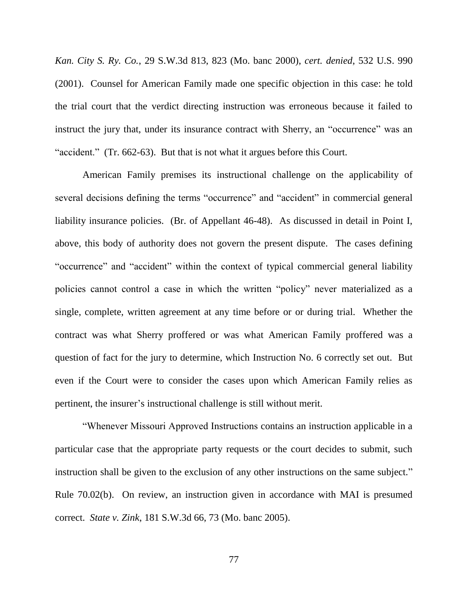*Kan. City S. Ry. Co.*, 29 S.W.3d 813, 823 (Mo. banc 2000), *cert. denied*, 532 U.S. 990 (2001). Counsel for American Family made one specific objection in this case: he told the trial court that the verdict directing instruction was erroneous because it failed to instruct the jury that, under its insurance contract with Sherry, an "occurrence" was an "accident." (Tr. 662-63). But that is not what it argues before this Court.

American Family premises its instructional challenge on the applicability of several decisions defining the terms "occurrence" and "accident" in commercial general liability insurance policies. (Br. of Appellant 46-48). As discussed in detail in Point I, above, this body of authority does not govern the present dispute. The cases defining "occurrence" and "accident" within the context of typical commercial general liability policies cannot control a case in which the written "policy" never materialized as a single, complete, written agreement at any time before or or during trial. Whether the contract was what Sherry proffered or was what American Family proffered was a question of fact for the jury to determine, which Instruction No. 6 correctly set out. But even if the Court were to consider the cases upon which American Family relies as pertinent, the insurer"s instructional challenge is still without merit.

"Whenever Missouri Approved Instructions contains an instruction applicable in a particular case that the appropriate party requests or the court decides to submit, such instruction shall be given to the exclusion of any other instructions on the same subject." Rule 70.02(b). On review, an instruction given in accordance with MAI is presumed correct. *State v. Zink*, 181 S.W.3d 66, 73 (Mo. banc 2005).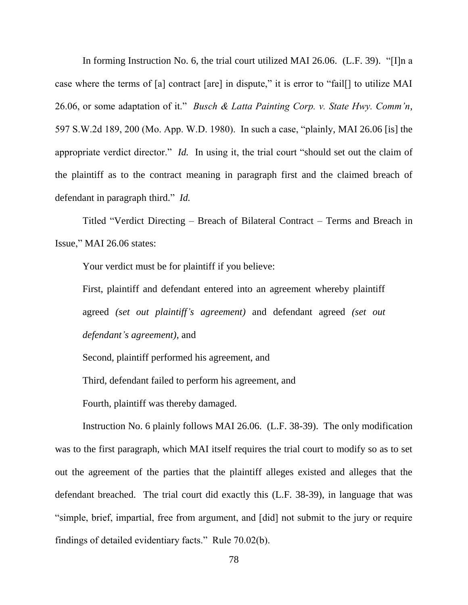In forming Instruction No. 6, the trial court utilized MAI 26.06. (L.F. 39). "[I]n a case where the terms of [a] contract [are] in dispute," it is error to "fail[] to utilize MAI 26.06, or some adaptation of it." *Busch & Latta Painting Corp. v. State Hwy. Comm'n*, 597 S.W.2d 189, 200 (Mo. App. W.D. 1980). In such a case, "plainly, MAI 26.06 [is] the appropriate verdict director." *Id.* In using it, the trial court "should set out the claim of the plaintiff as to the contract meaning in paragraph first and the claimed breach of defendant in paragraph third." *Id.*

Titled "Verdict Directing – Breach of Bilateral Contract – Terms and Breach in Issue," MAI 26.06 states:

Your verdict must be for plaintiff if you believe:

First, plaintiff and defendant entered into an agreement whereby plaintiff agreed *(set out plaintiff's agreement)* and defendant agreed *(set out defendant's agreement)*, and

Second, plaintiff performed his agreement, and

Third, defendant failed to perform his agreement, and

Fourth, plaintiff was thereby damaged.

Instruction No. 6 plainly follows MAI 26.06. (L.F. 38-39). The only modification was to the first paragraph, which MAI itself requires the trial court to modify so as to set out the agreement of the parties that the plaintiff alleges existed and alleges that the defendant breached. The trial court did exactly this (L.F. 38-39), in language that was "simple, brief, impartial, free from argument, and [did] not submit to the jury or require findings of detailed evidentiary facts." Rule 70.02(b).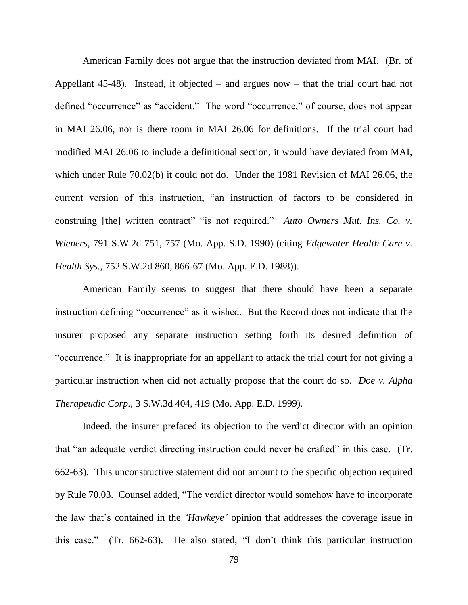American Family does not argue that the instruction deviated from MAI. (Br. of Appellant 45-48). Instead, it objected – and argues now – that the trial court had not defined "occurrence" as "accident." The word "occurrence," of course, does not appear in MAI 26.06, nor is there room in MAI 26.06 for definitions. If the trial court had modified MAI 26.06 to include a definitional section, it would have deviated from MAI, which under Rule 70.02(b) it could not do. Under the 1981 Revision of MAI 26.06, the current version of this instruction, "an instruction of factors to be considered in construing [the] written contract" "is not required." *Auto Owners Mut. Ins. Co. v. Wieners*, 791 S.W.2d 751, 757 (Mo. App. S.D. 1990) (citing *Edgewater Health Care v. Health Sys.*, 752 S.W.2d 860, 866-67 (Mo. App. E.D. 1988)).

American Family seems to suggest that there should have been a separate instruction defining "occurrence" as it wished. But the Record does not indicate that the insurer proposed any separate instruction setting forth its desired definition of "occurrence." It is inappropriate for an appellant to attack the trial court for not giving a particular instruction when did not actually propose that the court do so. *Doe v. Alpha Therapeudic Corp.*, 3 S.W.3d 404, 419 (Mo. App. E.D. 1999).

Indeed, the insurer prefaced its objection to the verdict director with an opinion that "an adequate verdict directing instruction could never be crafted" in this case. (Tr. 662-63). This unconstructive statement did not amount to the specific objection required by Rule 70.03. Counsel added, "The verdict director would somehow have to incorporate the law that"s contained in the *'Hawkeye'* opinion that addresses the coverage issue in this case." (Tr. 662-63). He also stated, "I don"t think this particular instruction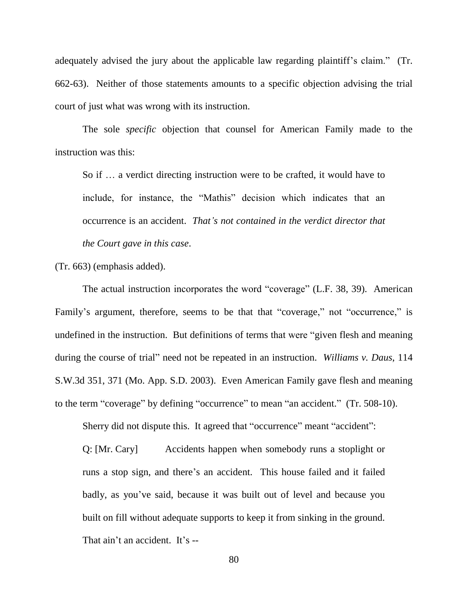adequately advised the jury about the applicable law regarding plaintiff's claim." (Tr. 662-63). Neither of those statements amounts to a specific objection advising the trial court of just what was wrong with its instruction.

The sole *specific* objection that counsel for American Family made to the instruction was this:

So if … a verdict directing instruction were to be crafted, it would have to include, for instance, the "Mathis" decision which indicates that an occurrence is an accident. *That's not contained in the verdict director that the Court gave in this case*.

(Tr. 663) (emphasis added).

The actual instruction incorporates the word "coverage" (L.F. 38, 39). American Family's argument, therefore, seems to be that that "coverage," not "occurrence," is undefined in the instruction. But definitions of terms that were "given flesh and meaning during the course of trial" need not be repeated in an instruction. *Williams v. Daus*, 114 S.W.3d 351, 371 (Mo. App. S.D. 2003). Even American Family gave flesh and meaning to the term "coverage" by defining "occurrence" to mean "an accident." (Tr. 508-10).

Sherry did not dispute this. It agreed that "occurrence" meant "accident":

Q: [Mr. Cary] Accidents happen when somebody runs a stoplight or runs a stop sign, and there"s an accident. This house failed and it failed badly, as you"ve said, because it was built out of level and because you built on fill without adequate supports to keep it from sinking in the ground. That ain't an accident. It's --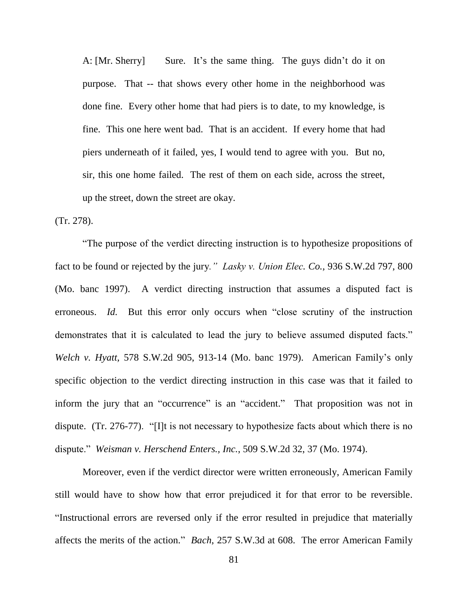A: [Mr. Sherry] Sure. It's the same thing. The guys didn't do it on purpose. That -- that shows every other home in the neighborhood was done fine. Every other home that had piers is to date, to my knowledge, is fine. This one here went bad. That is an accident. If every home that had piers underneath of it failed, yes, I would tend to agree with you. But no, sir, this one home failed. The rest of them on each side, across the street, up the street, down the street are okay.

(Tr. 278).

"The purpose of the verdict directing instruction is to hypothesize propositions of fact to be found or rejected by the jury*." Lasky v. Union Elec. Co.,* 936 S.W.2d 797, 800 (Mo. banc 1997). A verdict directing instruction that assumes a disputed fact is erroneous. *Id.* But this error only occurs when "close scrutiny of the instruction demonstrates that it is calculated to lead the jury to believe assumed disputed facts." *Welch v. Hyatt,* 578 S.W.2d 905, 913-14 (Mo. banc 1979). American Family"s only specific objection to the verdict directing instruction in this case was that it failed to inform the jury that an "occurrence" is an "accident." That proposition was not in dispute. (Tr. 276-77). "[I]t is not necessary to hypothesize facts about which there is no dispute." *Weisman v. Herschend Enters., Inc.*, 509 S.W.2d 32, 37 (Mo. 1974).

Moreover, even if the verdict director were written erroneously, American Family still would have to show how that error prejudiced it for that error to be reversible. "Instructional errors are reversed only if the error resulted in prejudice that materially affects the merits of the action." *Bach*, 257 S.W.3d at 608. The error American Family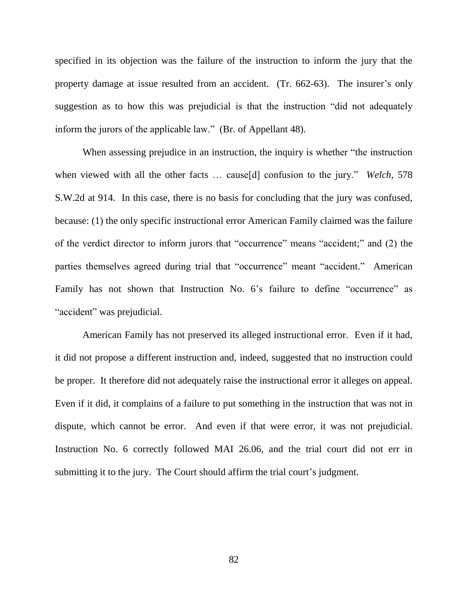specified in its objection was the failure of the instruction to inform the jury that the property damage at issue resulted from an accident. (Tr. 662-63). The insurer's only suggestion as to how this was prejudicial is that the instruction "did not adequately inform the jurors of the applicable law." (Br. of Appellant 48).

When assessing prejudice in an instruction, the inquiry is whether "the instruction when viewed with all the other facts … cause[d] confusion to the jury." *Welch*, 578 S.W.2d at 914. In this case, there is no basis for concluding that the jury was confused, because: (1) the only specific instructional error American Family claimed was the failure of the verdict director to inform jurors that "occurrence" means "accident;" and (2) the parties themselves agreed during trial that "occurrence" meant "accident." American Family has not shown that Instruction No. 6's failure to define "occurrence" as "accident" was prejudicial.

American Family has not preserved its alleged instructional error. Even if it had, it did not propose a different instruction and, indeed, suggested that no instruction could be proper. It therefore did not adequately raise the instructional error it alleges on appeal. Even if it did, it complains of a failure to put something in the instruction that was not in dispute, which cannot be error. And even if that were error, it was not prejudicial. Instruction No. 6 correctly followed MAI 26.06, and the trial court did not err in submitting it to the jury. The Court should affirm the trial court's judgment.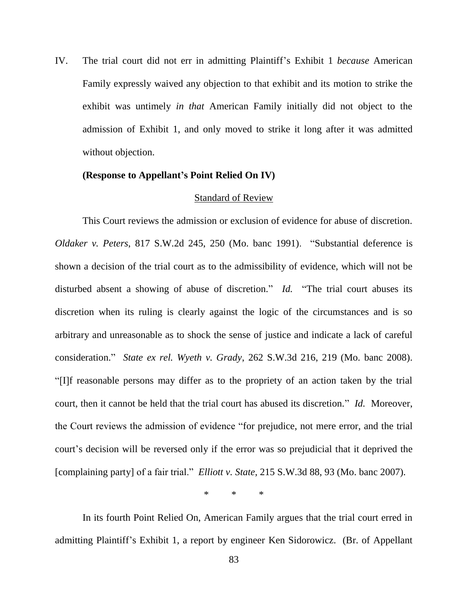IV. The trial court did not err in admitting Plaintiff"s Exhibit 1 *because* American Family expressly waived any objection to that exhibit and its motion to strike the exhibit was untimely *in that* American Family initially did not object to the admission of Exhibit 1, and only moved to strike it long after it was admitted without objection.

### **(Response to Appellant's Point Relied On IV)**

#### Standard of Review

This Court reviews the admission or exclusion of evidence for abuse of discretion. *Oldaker v. Peters*, 817 S.W.2d 245, 250 (Mo. banc 1991). "Substantial deference is shown a decision of the trial court as to the admissibility of evidence, which will not be disturbed absent a showing of abuse of discretion." *Id.* "The trial court abuses its discretion when its ruling is clearly against the logic of the circumstances and is so arbitrary and unreasonable as to shock the sense of justice and indicate a lack of careful consideration." *State ex rel. Wyeth v. Grady*, 262 S.W.3d 216, 219 (Mo. banc 2008). "[I]f reasonable persons may differ as to the propriety of an action taken by the trial court, then it cannot be held that the trial court has abused its discretion." *Id.* Moreover, the Court reviews the admission of evidence "for prejudice, not mere error, and the trial court's decision will be reversed only if the error was so prejudicial that it deprived the [complaining party] of a fair trial." *Elliott v. State*, 215 S.W.3d 88, 93 (Mo. banc 2007).

\* \* \*

In its fourth Point Relied On, American Family argues that the trial court erred in admitting Plaintiff"s Exhibit 1, a report by engineer Ken Sidorowicz. (Br. of Appellant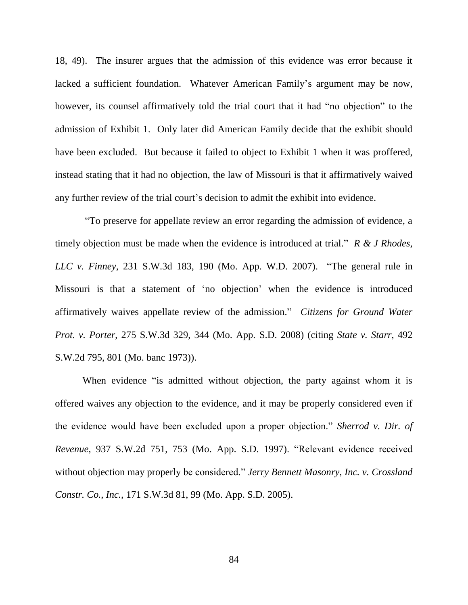18, 49). The insurer argues that the admission of this evidence was error because it lacked a sufficient foundation. Whatever American Family's argument may be now, however, its counsel affirmatively told the trial court that it had "no objection" to the admission of Exhibit 1. Only later did American Family decide that the exhibit should have been excluded. But because it failed to object to Exhibit 1 when it was proffered, instead stating that it had no objection, the law of Missouri is that it affirmatively waived any further review of the trial court's decision to admit the exhibit into evidence.

"To preserve for appellate review an error regarding the admission of evidence, a timely objection must be made when the evidence is introduced at trial." *R & J Rhodes, LLC v. Finney*, 231 S.W.3d 183, 190 (Mo. App. W.D. 2007). "The general rule in Missouri is that a statement of "no objection" when the evidence is introduced affirmatively waives appellate review of the admission." *Citizens for Ground Water Prot. v. Porter*, 275 S.W.3d 329, 344 (Mo. App. S.D. 2008) (citing *State v. Starr*, 492 S.W.2d 795, 801 (Mo. banc 1973)).

When evidence "is admitted without objection, the party against whom it is offered waives any objection to the evidence, and it may be properly considered even if the evidence would have been excluded upon a proper objection." *Sherrod v. Dir. of Revenue,* 937 S.W.2d 751, 753 (Mo. App. S.D. 1997). "Relevant evidence received without objection may properly be considered." *Jerry Bennett Masonry, Inc. v. Crossland Constr. Co., Inc.,* 171 S.W.3d 81, 99 (Mo. App. S.D. 2005).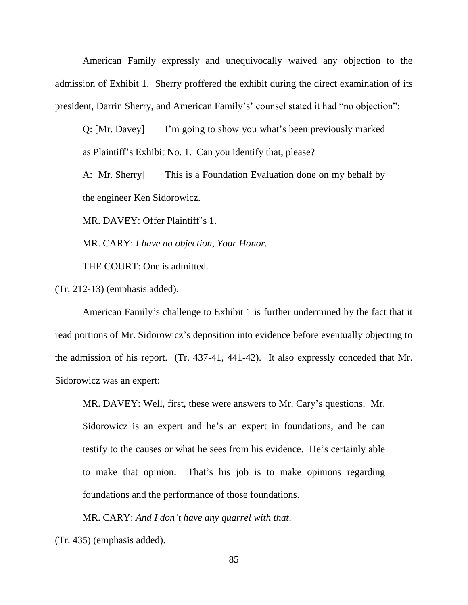American Family expressly and unequivocally waived any objection to the admission of Exhibit 1. Sherry proffered the exhibit during the direct examination of its president, Darrin Sherry, and American Family's' counsel stated it had "no objection":

Q: [Mr. Davey] I'm going to show you what's been previously marked as Plaintiff"s Exhibit No. 1. Can you identify that, please?

A: [Mr. Sherry] This is a Foundation Evaluation done on my behalf by the engineer Ken Sidorowicz.

MR. DAVEY: Offer Plaintiff's 1.

MR. CARY: *I have no objection, Your Honor.*

THE COURT: One is admitted.

(Tr. 212-13) (emphasis added).

American Family"s challenge to Exhibit 1 is further undermined by the fact that it read portions of Mr. Sidorowicz's deposition into evidence before eventually objecting to the admission of his report. (Tr. 437-41, 441-42). It also expressly conceded that Mr. Sidorowicz was an expert:

MR. DAVEY: Well, first, these were answers to Mr. Cary"s questions. Mr. Sidorowicz is an expert and he's an expert in foundations, and he can testify to the causes or what he sees from his evidence. He"s certainly able to make that opinion. That"s his job is to make opinions regarding foundations and the performance of those foundations.

MR. CARY: *And I don't have any quarrel with that*.

(Tr. 435) (emphasis added).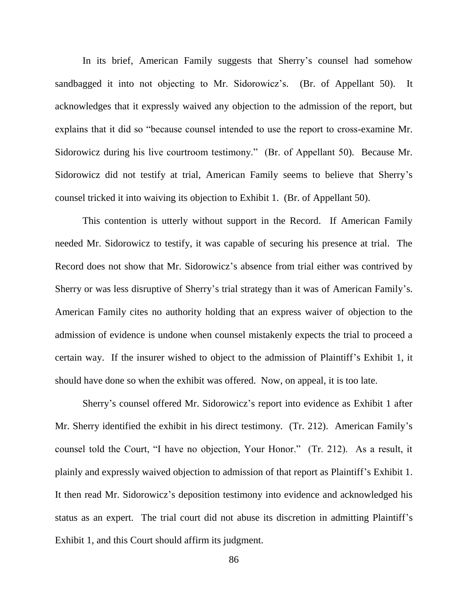In its brief, American Family suggests that Sherry's counsel had somehow sandbagged it into not objecting to Mr. Sidorowicz's. (Br. of Appellant 50). It acknowledges that it expressly waived any objection to the admission of the report, but explains that it did so "because counsel intended to use the report to cross-examine Mr. Sidorowicz during his live courtroom testimony." (Br. of Appellant 50). Because Mr. Sidorowicz did not testify at trial, American Family seems to believe that Sherry"s counsel tricked it into waiving its objection to Exhibit 1. (Br. of Appellant 50).

This contention is utterly without support in the Record. If American Family needed Mr. Sidorowicz to testify, it was capable of securing his presence at trial. The Record does not show that Mr. Sidorowicz"s absence from trial either was contrived by Sherry or was less disruptive of Sherry's trial strategy than it was of American Family's. American Family cites no authority holding that an express waiver of objection to the admission of evidence is undone when counsel mistakenly expects the trial to proceed a certain way. If the insurer wished to object to the admission of Plaintiff"s Exhibit 1, it should have done so when the exhibit was offered. Now, on appeal, it is too late.

Sherry"s counsel offered Mr. Sidorowicz"s report into evidence as Exhibit 1 after Mr. Sherry identified the exhibit in his direct testimony. (Tr. 212). American Family"s counsel told the Court, "I have no objection, Your Honor." (Tr. 212). As a result, it plainly and expressly waived objection to admission of that report as Plaintiff"s Exhibit 1. It then read Mr. Sidorowicz's deposition testimony into evidence and acknowledged his status as an expert. The trial court did not abuse its discretion in admitting Plaintiff"s Exhibit 1, and this Court should affirm its judgment.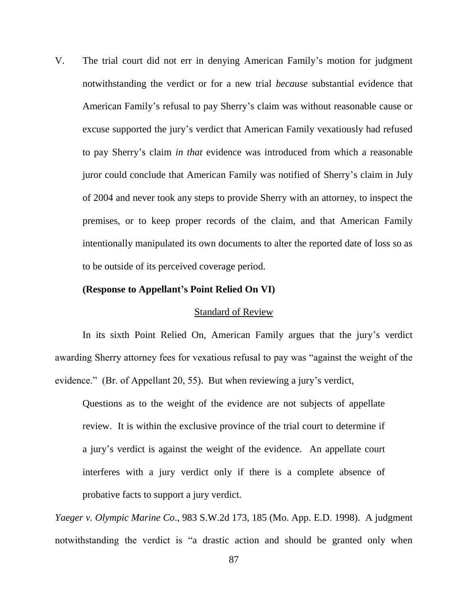V. The trial court did not err in denying American Family"s motion for judgment notwithstanding the verdict or for a new trial *because* substantial evidence that American Family"s refusal to pay Sherry"s claim was without reasonable cause or excuse supported the jury"s verdict that American Family vexatiously had refused to pay Sherry"s claim *in that* evidence was introduced from which a reasonable juror could conclude that American Family was notified of Sherry"s claim in July of 2004 and never took any steps to provide Sherry with an attorney, to inspect the premises, or to keep proper records of the claim, and that American Family intentionally manipulated its own documents to alter the reported date of loss so as to be outside of its perceived coverage period.

#### **(Response to Appellant's Point Relied On VI)**

#### Standard of Review

In its sixth Point Relied On, American Family argues that the jury's verdict awarding Sherry attorney fees for vexatious refusal to pay was "against the weight of the evidence." (Br. of Appellant 20, 55). But when reviewing a jury"s verdict,

Questions as to the weight of the evidence are not subjects of appellate review. It is within the exclusive province of the trial court to determine if a jury"s verdict is against the weight of the evidence. An appellate court interferes with a jury verdict only if there is a complete absence of probative facts to support a jury verdict.

*Yaeger v. Olympic Marine Co*., 983 S.W.2d 173, 185 (Mo. App. E.D. 1998). A judgment notwithstanding the verdict is "a drastic action and should be granted only when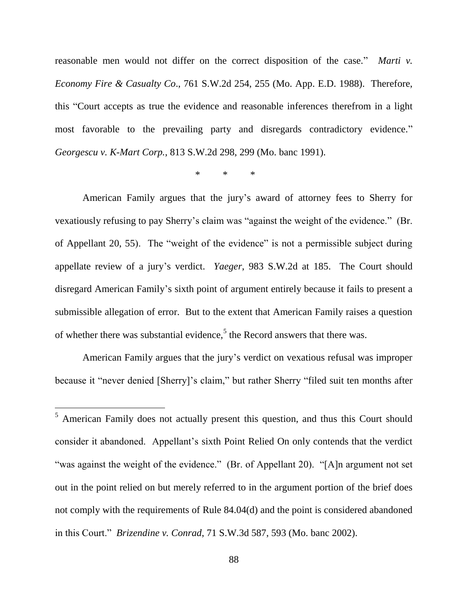reasonable men would not differ on the correct disposition of the case." *Marti v. Economy Fire & Casualty Co*., 761 S.W.2d 254, 255 (Mo. App. E.D. 1988). Therefore, this "Court accepts as true the evidence and reasonable inferences therefrom in a light most favorable to the prevailing party and disregards contradictory evidence." *Georgescu v. K-Mart Corp.*, 813 S.W.2d 298, 299 (Mo. banc 1991).

## \* \* \*

American Family argues that the jury"s award of attorney fees to Sherry for vexatiously refusing to pay Sherry's claim was "against the weight of the evidence." (Br. of Appellant 20, 55). The "weight of the evidence" is not a permissible subject during appellate review of a jury"s verdict. *Yaeger*, 983 S.W.2d at 185. The Court should disregard American Family"s sixth point of argument entirely because it fails to present a submissible allegation of error. But to the extent that American Family raises a question of whether there was substantial evidence,<sup>5</sup> the Record answers that there was.

American Family argues that the jury"s verdict on vexatious refusal was improper because it "never denied [Sherry]"s claim," but rather Sherry "filed suit ten months after

l

<sup>5</sup> American Family does not actually present this question, and thus this Court should consider it abandoned. Appellant"s sixth Point Relied On only contends that the verdict "was against the weight of the evidence." (Br. of Appellant 20). "[A]n argument not set out in the point relied on but merely referred to in the argument portion of the brief does not comply with the requirements of Rule 84.04(d) and the point is considered abandoned in this Court." *Brizendine v. Conrad*, 71 S.W.3d 587, 593 (Mo. banc 2002).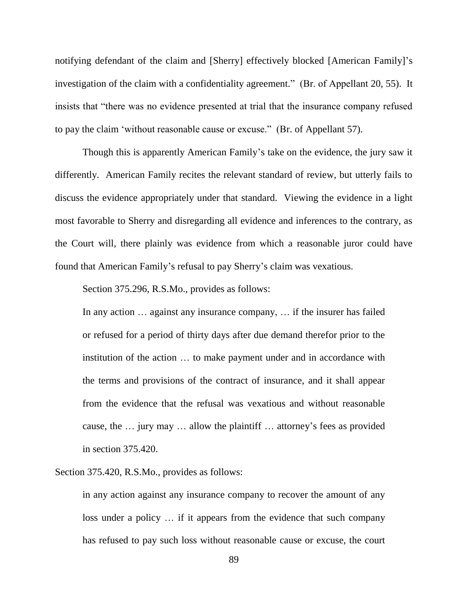notifying defendant of the claim and [Sherry] effectively blocked [American Family]"s investigation of the claim with a confidentiality agreement." (Br. of Appellant 20, 55). It insists that "there was no evidence presented at trial that the insurance company refused to pay the claim "without reasonable cause or excuse." (Br. of Appellant 57).

Though this is apparently American Family"s take on the evidence, the jury saw it differently. American Family recites the relevant standard of review, but utterly fails to discuss the evidence appropriately under that standard. Viewing the evidence in a light most favorable to Sherry and disregarding all evidence and inferences to the contrary, as the Court will, there plainly was evidence from which a reasonable juror could have found that American Family"s refusal to pay Sherry"s claim was vexatious.

Section 375.296, R.S.Mo., provides as follows:

In any action … against any insurance company, … if the insurer has failed or refused for a period of thirty days after due demand therefor prior to the institution of the action … to make payment under and in accordance with the terms and provisions of the contract of insurance, and it shall appear from the evidence that the refusal was vexatious and without reasonable cause, the … jury may … allow the plaintiff … attorney"s fees as provided in section 375.420.

Section 375.420, R.S.Mo., provides as follows:

in any action against any insurance company to recover the amount of any loss under a policy … if it appears from the evidence that such company has refused to pay such loss without reasonable cause or excuse, the court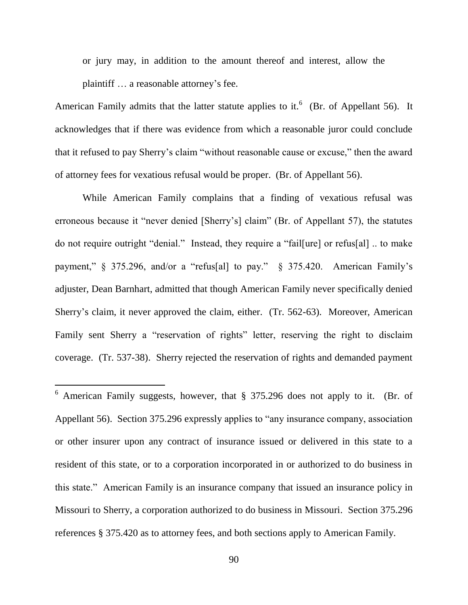or jury may, in addition to the amount thereof and interest, allow the plaintiff … a reasonable attorney"s fee.

American Family admits that the latter statute applies to it.<sup>6</sup> (Br. of Appellant 56). It acknowledges that if there was evidence from which a reasonable juror could conclude that it refused to pay Sherry"s claim "without reasonable cause or excuse," then the award of attorney fees for vexatious refusal would be proper. (Br. of Appellant 56).

While American Family complains that a finding of vexatious refusal was erroneous because it "never denied [Sherry"s] claim" (Br. of Appellant 57), the statutes do not require outright "denial." Instead, they require a "fail[ure] or refus[al] .. to make payment," § 375.296, and/or a "refus[al] to pay." § 375.420. American Family"s adjuster, Dean Barnhart, admitted that though American Family never specifically denied Sherry"s claim, it never approved the claim, either. (Tr. 562-63). Moreover, American Family sent Sherry a "reservation of rights" letter, reserving the right to disclaim coverage. (Tr. 537-38). Sherry rejected the reservation of rights and demanded payment

 $6$  American Family suggests, however, that  $§$  375.296 does not apply to it. (Br. of Appellant 56). Section 375.296 expressly applies to "any insurance company, association or other insurer upon any contract of insurance issued or delivered in this state to a resident of this state, or to a corporation incorporated in or authorized to do business in this state." American Family is an insurance company that issued an insurance policy in Missouri to Sherry, a corporation authorized to do business in Missouri. Section 375.296 references § 375.420 as to attorney fees, and both sections apply to American Family.

 $\overline{a}$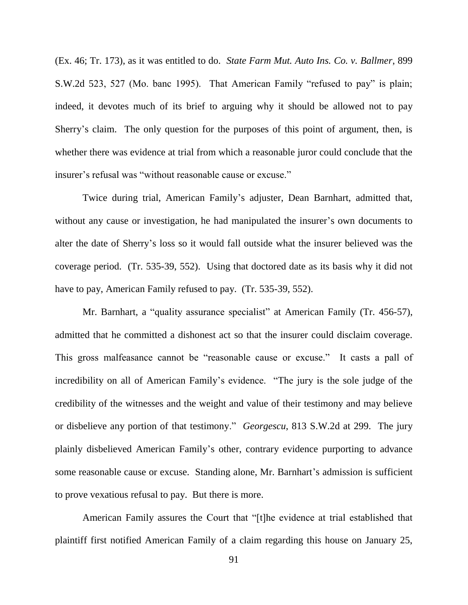(Ex. 46; Tr. 173), as it was entitled to do. *State Farm Mut. Auto Ins. Co. v. Ballmer*, 899 S.W.2d 523, 527 (Mo. banc 1995). That American Family "refused to pay" is plain; indeed, it devotes much of its brief to arguing why it should be allowed not to pay Sherry's claim. The only question for the purposes of this point of argument, then, is whether there was evidence at trial from which a reasonable juror could conclude that the insurer's refusal was "without reasonable cause or excuse."

Twice during trial, American Family"s adjuster, Dean Barnhart, admitted that, without any cause or investigation, he had manipulated the insurer's own documents to alter the date of Sherry"s loss so it would fall outside what the insurer believed was the coverage period. (Tr. 535-39, 552). Using that doctored date as its basis why it did not have to pay, American Family refused to pay. (Tr. 535-39, 552).

Mr. Barnhart, a "quality assurance specialist" at American Family (Tr. 456-57), admitted that he committed a dishonest act so that the insurer could disclaim coverage. This gross malfeasance cannot be "reasonable cause or excuse." It casts a pall of incredibility on all of American Family"s evidence. "The jury is the sole judge of the credibility of the witnesses and the weight and value of their testimony and may believe or disbelieve any portion of that testimony." *Georgescu*, 813 S.W.2d at 299. The jury plainly disbelieved American Family"s other, contrary evidence purporting to advance some reasonable cause or excuse. Standing alone, Mr. Barnhart's admission is sufficient to prove vexatious refusal to pay. But there is more.

American Family assures the Court that "[t]he evidence at trial established that plaintiff first notified American Family of a claim regarding this house on January 25,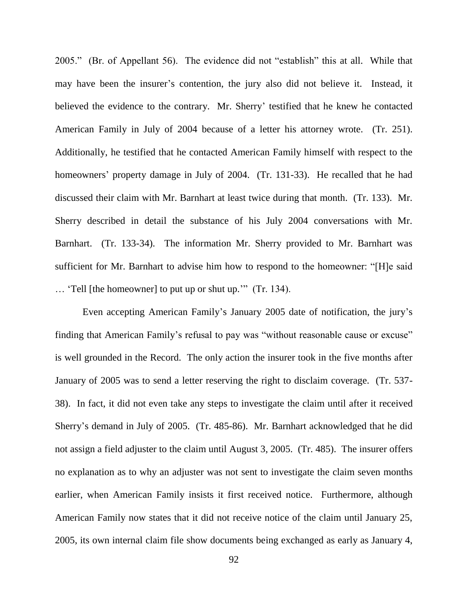2005." (Br. of Appellant 56). The evidence did not "establish" this at all. While that may have been the insurer's contention, the jury also did not believe it. Instead, it believed the evidence to the contrary. Mr. Sherry' testified that he knew he contacted American Family in July of 2004 because of a letter his attorney wrote. (Tr. 251). Additionally, he testified that he contacted American Family himself with respect to the homeowners' property damage in July of 2004. (Tr. 131-33). He recalled that he had discussed their claim with Mr. Barnhart at least twice during that month. (Tr. 133). Mr. Sherry described in detail the substance of his July 2004 conversations with Mr. Barnhart. (Tr. 133-34). The information Mr. Sherry provided to Mr. Barnhart was sufficient for Mr. Barnhart to advise him how to respond to the homeowner: "[H]e said … "Tell [the homeowner] to put up or shut up."" (Tr. 134).

Even accepting American Family"s January 2005 date of notification, the jury"s finding that American Family's refusal to pay was "without reasonable cause or excuse" is well grounded in the Record. The only action the insurer took in the five months after January of 2005 was to send a letter reserving the right to disclaim coverage. (Tr. 537- 38). In fact, it did not even take any steps to investigate the claim until after it received Sherry"s demand in July of 2005. (Tr. 485-86). Mr. Barnhart acknowledged that he did not assign a field adjuster to the claim until August 3, 2005. (Tr. 485). The insurer offers no explanation as to why an adjuster was not sent to investigate the claim seven months earlier, when American Family insists it first received notice. Furthermore, although American Family now states that it did not receive notice of the claim until January 25, 2005, its own internal claim file show documents being exchanged as early as January 4,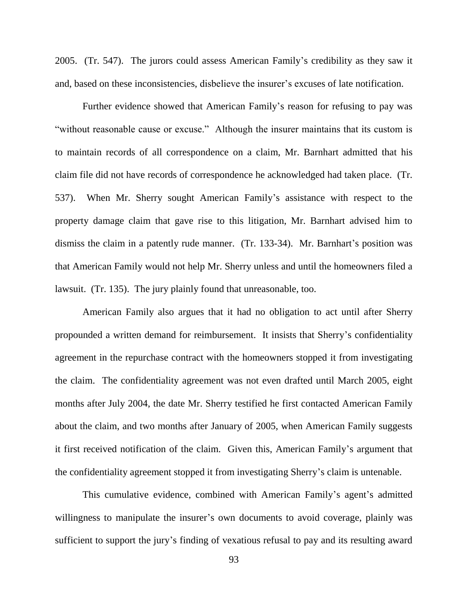2005. (Tr. 547). The jurors could assess American Family"s credibility as they saw it and, based on these inconsistencies, disbelieve the insurer's excuses of late notification.

Further evidence showed that American Family"s reason for refusing to pay was "without reasonable cause or excuse." Although the insurer maintains that its custom is to maintain records of all correspondence on a claim, Mr. Barnhart admitted that his claim file did not have records of correspondence he acknowledged had taken place. (Tr. 537). When Mr. Sherry sought American Family"s assistance with respect to the property damage claim that gave rise to this litigation, Mr. Barnhart advised him to dismiss the claim in a patently rude manner. (Tr. 133-34). Mr. Barnhart's position was that American Family would not help Mr. Sherry unless and until the homeowners filed a lawsuit. (Tr. 135). The jury plainly found that unreasonable, too.

American Family also argues that it had no obligation to act until after Sherry propounded a written demand for reimbursement. It insists that Sherry"s confidentiality agreement in the repurchase contract with the homeowners stopped it from investigating the claim. The confidentiality agreement was not even drafted until March 2005, eight months after July 2004, the date Mr. Sherry testified he first contacted American Family about the claim, and two months after January of 2005, when American Family suggests it first received notification of the claim. Given this, American Family"s argument that the confidentiality agreement stopped it from investigating Sherry"s claim is untenable.

This cumulative evidence, combined with American Family's agent's admitted willingness to manipulate the insurer's own documents to avoid coverage, plainly was sufficient to support the jury's finding of vexatious refusal to pay and its resulting award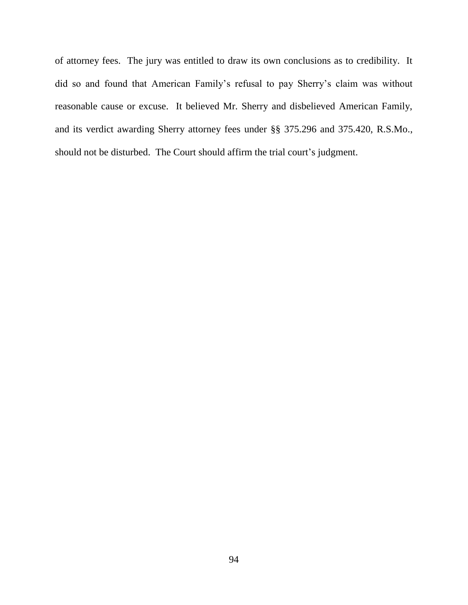of attorney fees. The jury was entitled to draw its own conclusions as to credibility. It did so and found that American Family"s refusal to pay Sherry"s claim was without reasonable cause or excuse. It believed Mr. Sherry and disbelieved American Family, and its verdict awarding Sherry attorney fees under §§ 375.296 and 375.420, R.S.Mo., should not be disturbed. The Court should affirm the trial court's judgment.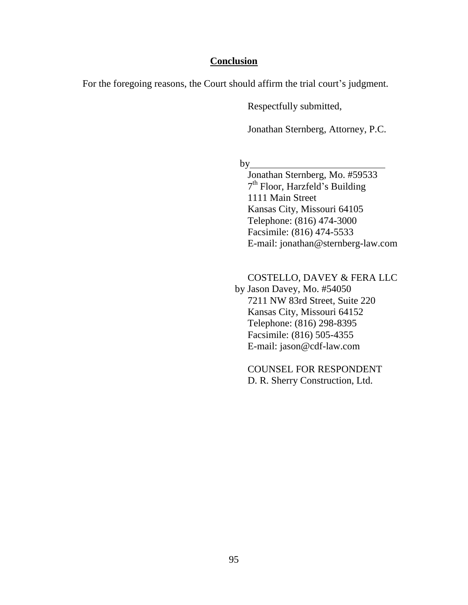## **Conclusion**

For the foregoing reasons, the Court should affirm the trial court's judgment.

Respectfully submitted,

Jonathan Sternberg, Attorney, P.C.

by

Jonathan Sternberg, Mo. #59533 7<sup>th</sup> Floor, Harzfeld's Building 1111 Main Street Kansas City, Missouri 64105 Telephone: (816) 474-3000 Facsimile: (816) 474-5533 E-mail: jonathan@sternberg-law.com

COSTELLO, DAVEY & FERA LLC by Jason Davey, Mo. #54050 7211 NW 83rd Street, Suite 220 Kansas City, Missouri 64152 Telephone: (816) 298-8395 Facsimile: (816) 505-4355 E-mail: jason@cdf-law.com

COUNSEL FOR RESPONDENT D. R. Sherry Construction, Ltd.